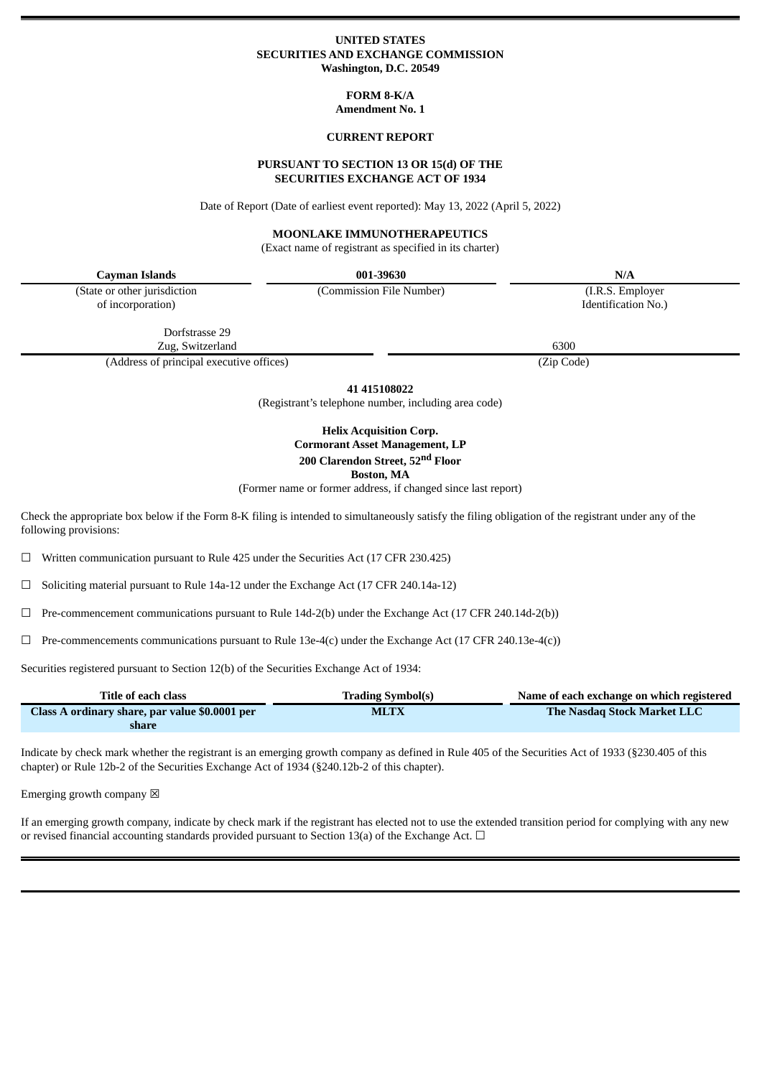### **UNITED STATES SECURITIES AND EXCHANGE COMMISSION Washington, D.C. 20549**

## **FORM 8-K/A Amendment No. 1**

### **CURRENT REPORT**

#### **PURSUANT TO SECTION 13 OR 15(d) OF THE SECURITIES EXCHANGE ACT OF 1934**

Date of Report (Date of earliest event reported): May 13, 2022 (April 5, 2022)

# **MOONLAKE IMMUNOTHERAPEUTICS**

(Exact name of registrant as specified in its charter)

| Cayman Islands                           | 001-39630                | N/A                 |  |
|------------------------------------------|--------------------------|---------------------|--|
| (State or other jurisdiction             | (Commission File Number) | (I.R.S. Employer)   |  |
| of incorporation)                        |                          | Identification No.) |  |
| Dorfstrasse 29                           |                          |                     |  |
| Zug, Switzerland                         |                          | 6300                |  |
| (Address of principal executive offices) |                          | (Zip Code)          |  |

**41 415108022**

(Registrant's telephone number, including area code)

# **Helix Acquisition Corp. Cormorant Asset Management, LP 200 Clarendon Street, 52 nd Floor Boston, MA**

(Former name or former address, if changed since last report)

Check the appropriate box below if the Form 8-K filing is intended to simultaneously satisfy the filing obligation of the registrant under any of the following provisions:

☐ Written communication pursuant to Rule 425 under the Securities Act (17 CFR 230.425)

 $\Box$  Soliciting material pursuant to Rule 14a-12 under the Exchange Act (17 CFR 240.14a-12)

☐ Pre-commencement communications pursuant to Rule 14d-2(b) under the Exchange Act (17 CFR 240.14d-2(b))

 $\Box$  Pre-commencements communications pursuant to Rule 13e-4(c) under the Exchange Act (17 CFR 240.13e-4(c))

Securities registered pursuant to Section 12(b) of the Securities Exchange Act of 1934:

| Title of each class                            | <b>Trading Symbol(s)</b> | Name of each exchange on which registered |
|------------------------------------------------|--------------------------|-------------------------------------------|
| Class A ordinary share, par value \$0.0001 per | <b>MLTX</b>              | The Nasdag Stock Market LLC               |
| share                                          |                          |                                           |

Indicate by check mark whether the registrant is an emerging growth company as defined in Rule 405 of the Securities Act of 1933 (§230.405 of this chapter) or Rule 12b-2 of the Securities Exchange Act of 1934 (§240.12b-2 of this chapter).

Emerging growth company  $\boxtimes$ 

If an emerging growth company, indicate by check mark if the registrant has elected not to use the extended transition period for complying with any new or revised financial accounting standards provided pursuant to Section 13(a) of the Exchange Act.  $\Box$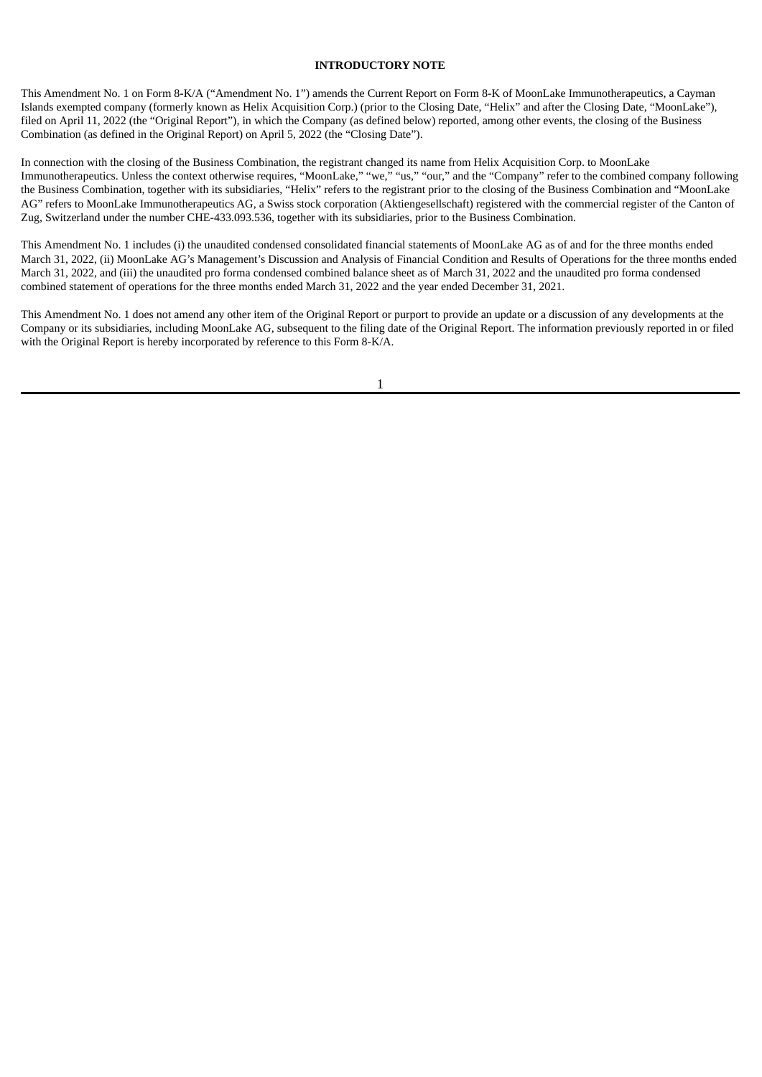## **INTRODUCTORY NOTE**

This Amendment No. 1 on Form 8-K/A ("Amendment No. 1") amends the Current Report on Form 8-K of MoonLake Immunotherapeutics, a Cayman Islands exempted company (formerly known as Helix Acquisition Corp.) (prior to the Closing Date, "Helix" and after the Closing Date, "MoonLake"), filed on April 11, 2022 (the "Original Report"), in which the Company (as defined below) reported, among other events, the closing of the Business Combination (as defined in the Original Report) on April 5, 2022 (the "Closing Date").

In connection with the closing of the Business Combination, the registrant changed its name from Helix Acquisition Corp. to MoonLake Immunotherapeutics. Unless the context otherwise requires, "MoonLake," "we," "us," "our," and the "Company" refer to the combined company following the Business Combination, together with its subsidiaries, "Helix" refers to the registrant prior to the closing of the Business Combination and "MoonLake AG" refers to MoonLake Immunotherapeutics AG, a Swiss stock corporation (Aktiengesellschaft) registered with the commercial register of the Canton of Zug, Switzerland under the number CHE-433.093.536, together with its subsidiaries, prior to the Business Combination.

This Amendment No. 1 includes (i) the unaudited condensed consolidated financial statements of MoonLake AG as of and for the three months ended March 31, 2022, (ii) MoonLake AG's Management's Discussion and Analysis of Financial Condition and Results of Operations for the three months ended March 31, 2022, and (iii) the unaudited pro forma condensed combined balance sheet as of March 31, 2022 and the unaudited pro forma condensed combined statement of operations for the three months ended March 31, 2022 and the year ended December 31, 2021.

This Amendment No. 1 does not amend any other item of the Original Report or purport to provide an update or a discussion of any developments at the Company or its subsidiaries, including MoonLake AG, subsequent to the filing date of the Original Report. The information previously reported in or filed with the Original Report is hereby incorporated by reference to this Form 8-K/A.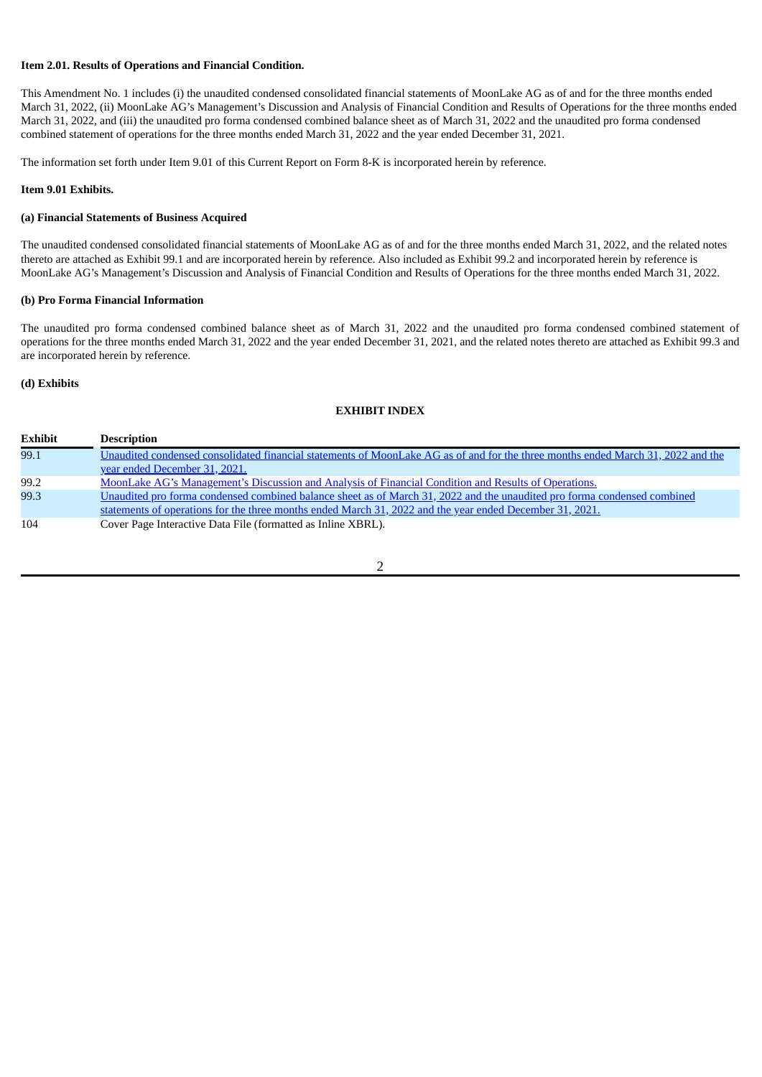# **Item 2.01. Results of Operations and Financial Condition.**

This Amendment No. 1 includes (i) the unaudited condensed consolidated financial statements of MoonLake AG as of and for the three months ended March 31, 2022, (ii) MoonLake AG's Management's Discussion and Analysis of Financial Condition and Results of Operations for the three months ended March 31, 2022, and (iii) the unaudited pro forma condensed combined balance sheet as of March 31, 2022 and the unaudited pro forma condensed combined statement of operations for the three months ended March 31, 2022 and the year ended December 31, 2021.

The information set forth under Item 9.01 of this Current Report on Form 8-K is incorporated herein by reference.

#### **Item 9.01 Exhibits.**

## **(a) Financial Statements of Business Acquired**

The unaudited condensed consolidated financial statements of MoonLake AG as of and for the three months ended March 31, 2022, and the related notes thereto are attached as Exhibit 99.1 and are incorporated herein by reference. Also included as Exhibit 99.2 and incorporated herein by reference is MoonLake AG's Management's Discussion and Analysis of Financial Condition and Results of Operations for the three months ended March 31, 2022.

### **(b) Pro Forma Financial Information**

The unaudited pro forma condensed combined balance sheet as of March 31, 2022 and the unaudited pro forma condensed combined statement of operations for the three months ended March 31, 2022 and the year ended December 31, 2021, and the related notes thereto are attached as Exhibit 99.3 and are incorporated herein by reference.

### **(d) Exhibits**

#### **EXHIBIT INDEX**

| <b>Exhibit</b> | <b>Description</b>                                                                                                               |
|----------------|----------------------------------------------------------------------------------------------------------------------------------|
| 99.1           | Unaudited condensed consolidated financial statements of MoonLake AG as of and for the three months ended March 31, 2022 and the |
|                | vear ended December 31, 2021.                                                                                                    |
| 99.2           | MoonLake AG's Management's Discussion and Analysis of Financial Condition and Results of Operations.                             |
| 99.3           | Unaudited pro forma condensed combined balance sheet as of March 31, 2022 and the unaudited pro forma condensed combined         |
|                | statements of operations for the three months ended March 31, 2022 and the year ended December 31, 2021.                         |
| 104            | Cover Page Interactive Data File (formatted as Inline XBRL).                                                                     |
|                |                                                                                                                                  |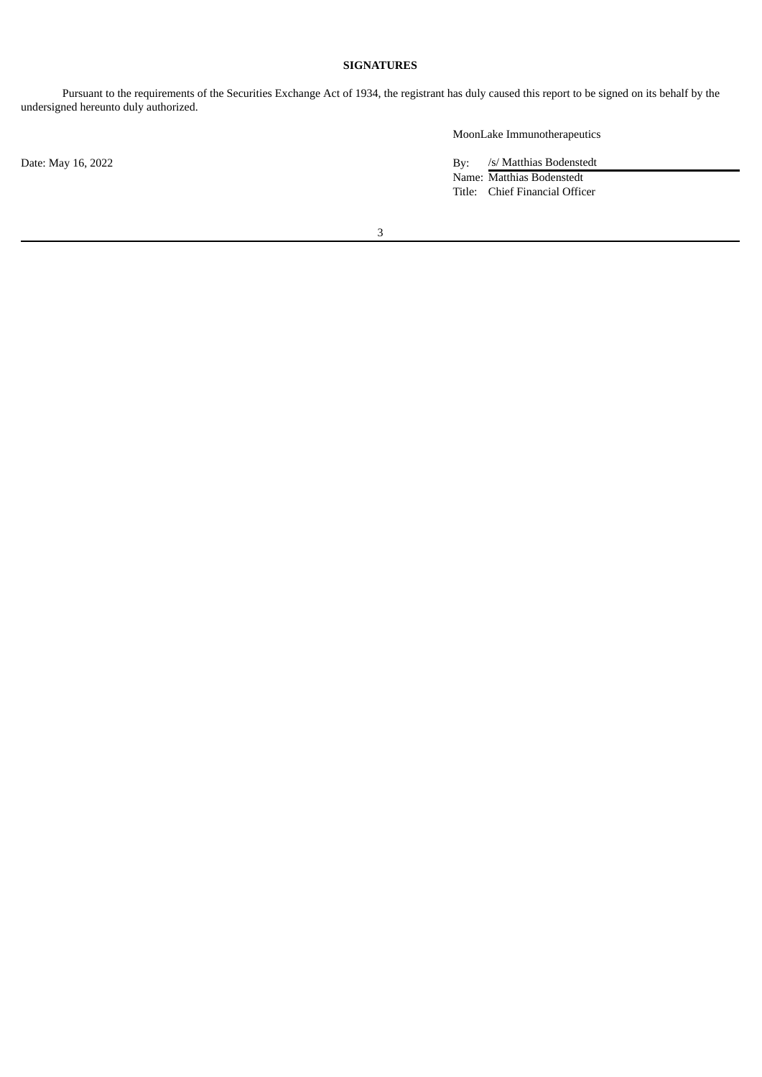# **SIGNATURES**

Pursuant to the requirements of the Securities Exchange Act of 1934, the registrant has duly caused this report to be signed on its behalf by the undersigned hereunto duly authorized.

MoonLake Immunotherapeutics

Date: May 16, 2022 By: /s/ Matthias Bodenstedt Name: Matthias Bodenstedt Title: Chief Financial Officer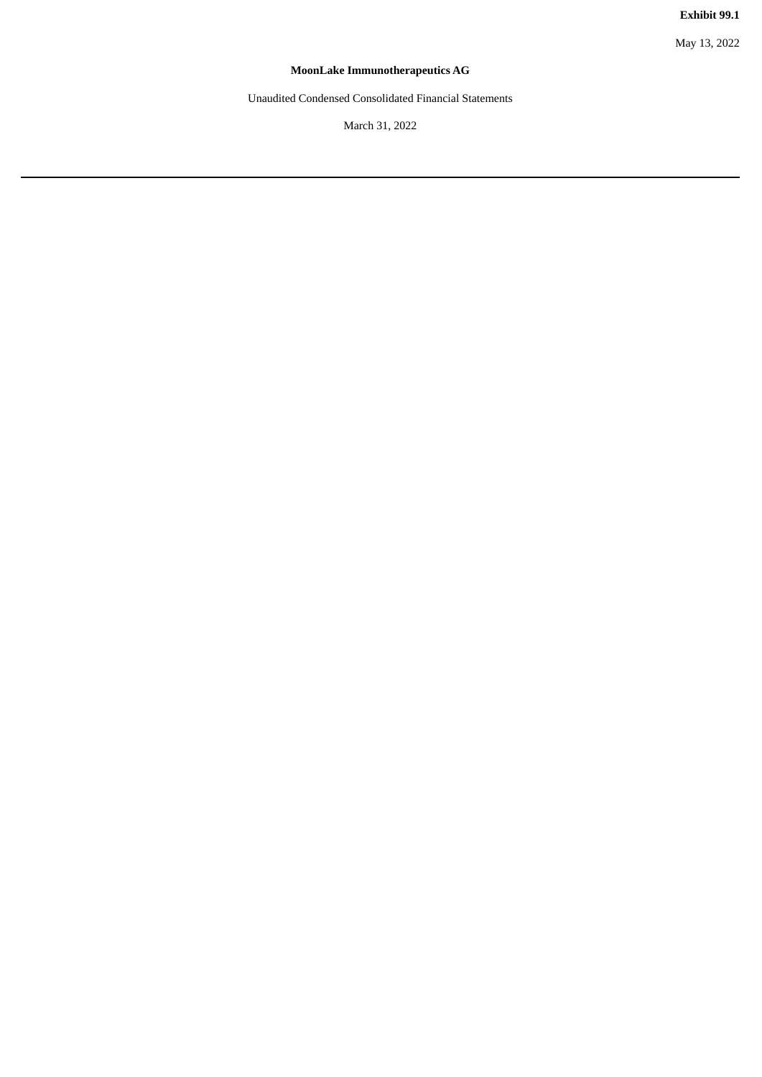May 13, 2022

# **MoonLake Immunotherapeutics AG**

<span id="page-4-0"></span>Unaudited Condensed Consolidated Financial Statements

March 31, 2022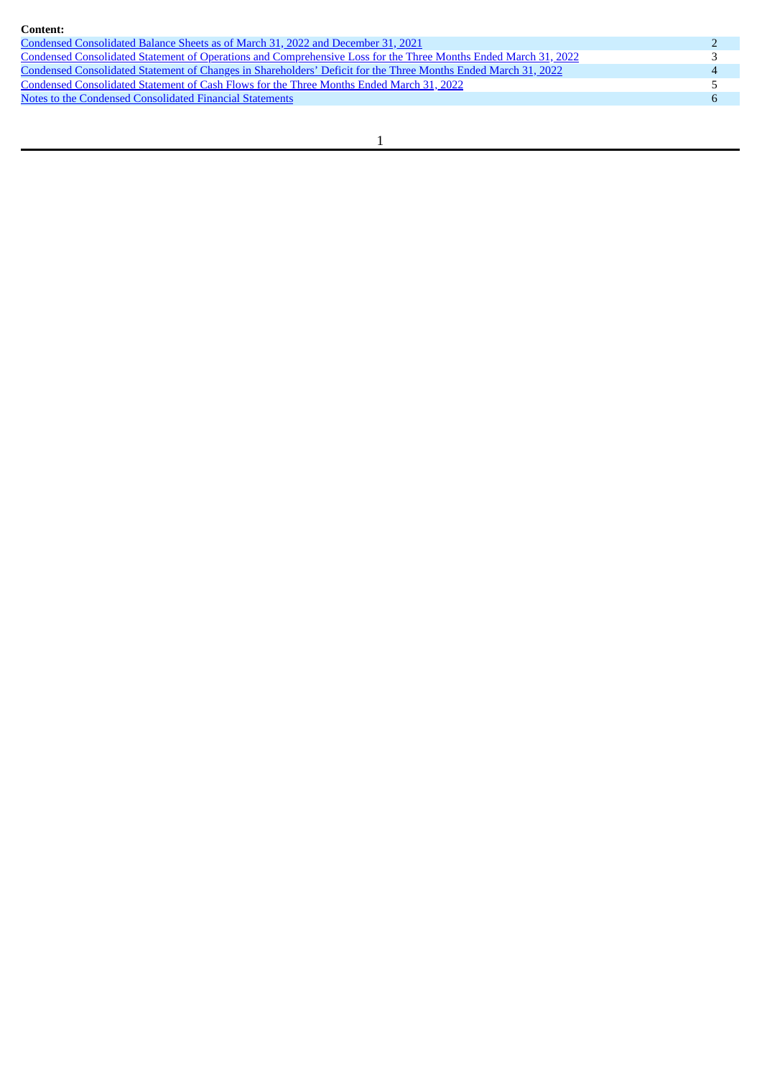| Content:                                                                                                        |  |
|-----------------------------------------------------------------------------------------------------------------|--|
| Condensed Consolidated Balance Sheets as of March 31, 2022 and December 31, 2021                                |  |
| Condensed Consolidated Statement of Operations and Comprehensive Loss for the Three Months Ended March 31, 2022 |  |
| Condensed Consolidated Statement of Changes in Shareholders' Deficit for the Three Months Ended March 31, 2022  |  |
| Condensed Consolidated Statement of Cash Flows for the Three Months Ended March 31, 2022                        |  |
| Notes to the Condensed Consolidated Financial Statements                                                        |  |
|                                                                                                                 |  |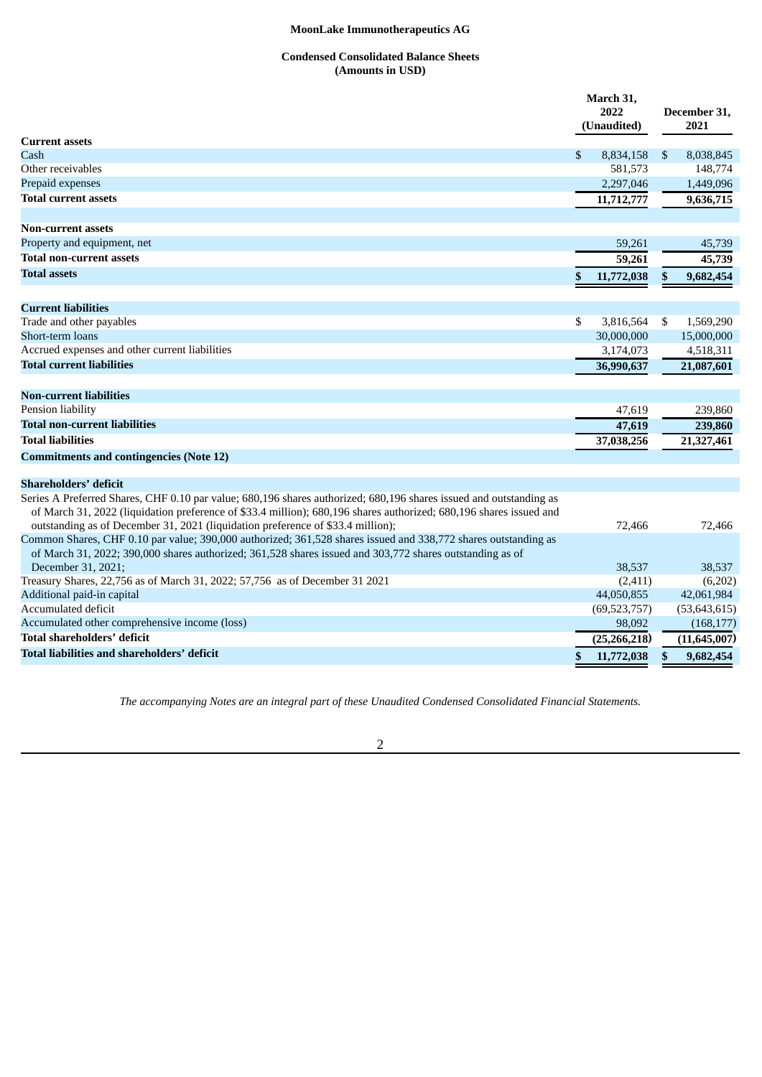# **Condensed Consolidated Balance Sheets (Amounts in USD)**

<span id="page-6-0"></span>

|                                                                                                                                                                                                   | March 31,        |    |                |
|---------------------------------------------------------------------------------------------------------------------------------------------------------------------------------------------------|------------------|----|----------------|
|                                                                                                                                                                                                   | 2022             |    | December 31,   |
|                                                                                                                                                                                                   | (Unaudited)      |    | 2021           |
| <b>Current assets</b>                                                                                                                                                                             |                  |    |                |
| Cash                                                                                                                                                                                              | \$<br>8,834,158  | \$ | 8,038,845      |
| Other receivables                                                                                                                                                                                 | 581,573          |    | 148,774        |
| Prepaid expenses                                                                                                                                                                                  | 2,297,046        |    | 1,449,096      |
| <b>Total current assets</b>                                                                                                                                                                       | 11,712,777       |    | 9,636,715      |
| <b>Non-current assets</b>                                                                                                                                                                         |                  |    |                |
| Property and equipment, net                                                                                                                                                                       | 59,261           |    | 45,739         |
| <b>Total non-current assets</b>                                                                                                                                                                   | 59,261           |    | 45,739         |
| <b>Total assets</b>                                                                                                                                                                               | \$<br>11,772,038 | \$ | 9,682,454      |
| <b>Current liabilities</b>                                                                                                                                                                        |                  |    |                |
| Trade and other payables                                                                                                                                                                          | \$<br>3,816,564  | \$ | 1,569,290      |
| Short-term loans                                                                                                                                                                                  | 30,000,000       |    | 15,000,000     |
| Accrued expenses and other current liabilities                                                                                                                                                    | 3,174,073        |    | 4,518,311      |
| Total current liabilities                                                                                                                                                                         | 36,990,637       |    | 21,087,601     |
|                                                                                                                                                                                                   |                  |    |                |
| <b>Non-current liabilities</b>                                                                                                                                                                    |                  |    |                |
| Pension liability                                                                                                                                                                                 | 47,619           |    | 239,860        |
| <b>Total non-current liabilities</b>                                                                                                                                                              | 47,619           |    | 239,860        |
| <b>Total liabilities</b>                                                                                                                                                                          | 37,038,256       |    | 21,327,461     |
| <b>Commitments and contingencies (Note 12)</b>                                                                                                                                                    |                  |    |                |
| <b>Shareholders' deficit</b>                                                                                                                                                                      |                  |    |                |
| Series A Preferred Shares, CHF 0.10 par value; 680,196 shares authorized; 680,196 shares issued and outstanding as                                                                                |                  |    |                |
| of March 31, 2022 (liquidation preference of \$33.4 million); 680,196 shares authorized; 680,196 shares issued and                                                                                |                  |    |                |
| outstanding as of December 31, 2021 (liquidation preference of \$33.4 million);<br>Common Shares, CHF 0.10 par value; 390,000 authorized; 361,528 shares issued and 338,772 shares outstanding as | 72,466           |    | 72,466         |
| of March 31, 2022; 390,000 shares authorized; 361,528 shares issued and 303,772 shares outstanding as of                                                                                          |                  |    |                |
| December 31, 2021;                                                                                                                                                                                | 38,537           |    | 38,537         |
| Treasury Shares, 22,756 as of March 31, 2022; 57,756 as of December 31 2021                                                                                                                       | (2,411)          |    | (6,202)        |
| Additional paid-in capital                                                                                                                                                                        | 44,050,855       |    | 42,061,984     |
| Accumulated deficit                                                                                                                                                                               | (69, 523, 757)   |    | (53, 643, 615) |
| Accumulated other comprehensive income (loss)                                                                                                                                                     | 98,092           |    | (168, 177)     |
| <b>Total shareholders' deficit</b>                                                                                                                                                                | (25, 266, 218)   |    | (11, 645, 007) |
| Total liabilities and shareholders' deficit                                                                                                                                                       | \$<br>11,772,038 | S  | 9,682,454      |
|                                                                                                                                                                                                   |                  |    |                |

*The accompanying Notes are an integral part of these Unaudited Condensed Consolidated Financial Statements.*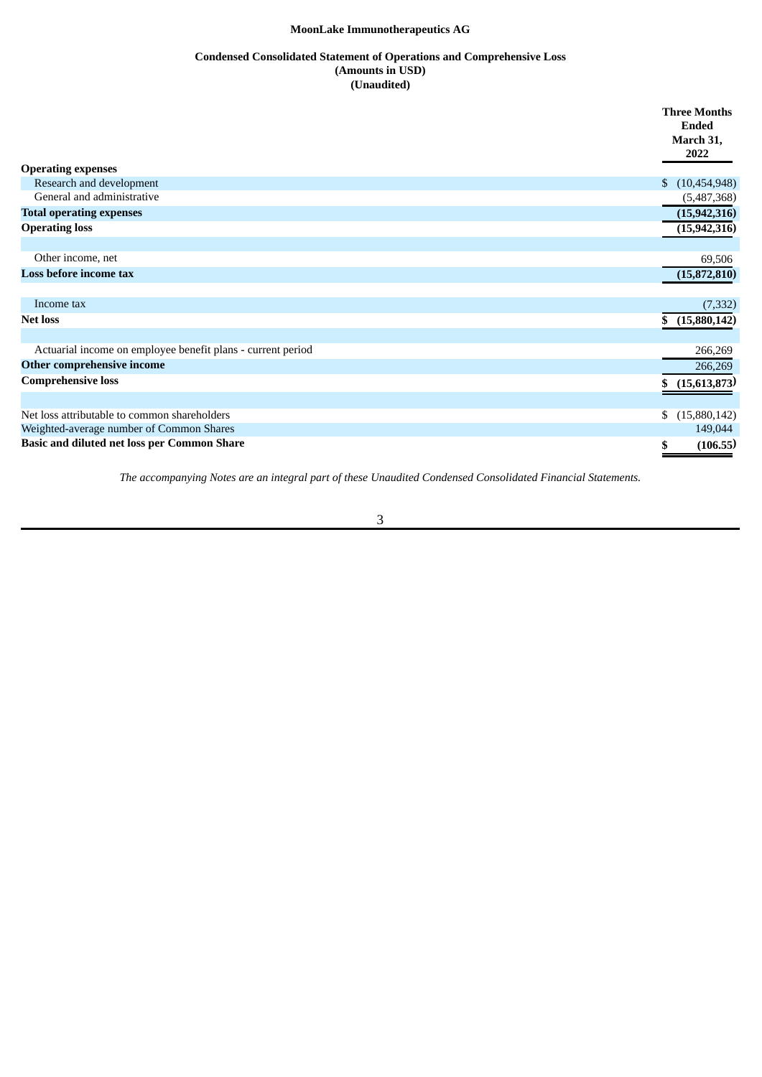# **Condensed Consolidated Statement of Operations and Comprehensive Loss (Amounts in USD) (Unaudited)**

<span id="page-7-0"></span>

|                                                             | <b>Three Months</b>   |
|-------------------------------------------------------------|-----------------------|
|                                                             | <b>Ended</b>          |
|                                                             | March 31,             |
|                                                             | 2022                  |
| <b>Operating expenses</b>                                   |                       |
| Research and development                                    | (10, 454, 948)<br>\$. |
| General and administrative                                  | (5,487,368)           |
| <b>Total operating expenses</b>                             | (15, 942, 316)        |
| <b>Operating loss</b>                                       | (15, 942, 316)        |
|                                                             |                       |
| Other income, net                                           | 69,506                |
| Loss before income tax                                      | (15,872,810)          |
|                                                             |                       |
| Income tax                                                  | (7, 332)              |
| <b>Net loss</b>                                             | (15,880,142)          |
|                                                             |                       |
| Actuarial income on employee benefit plans - current period | 266,269               |
| Other comprehensive income                                  | 266,269               |
| <b>Comprehensive loss</b>                                   | (15,613,873)          |
|                                                             |                       |
| Net loss attributable to common shareholders                | (15,880,142)<br>\$    |
| Weighted-average number of Common Shares                    | 149,044               |
| <b>Basic and diluted net loss per Common Share</b>          | (106.55)              |
|                                                             |                       |

*The accompanying Notes are an integral part of these Unaudited Condensed Consolidated Financial Statements.*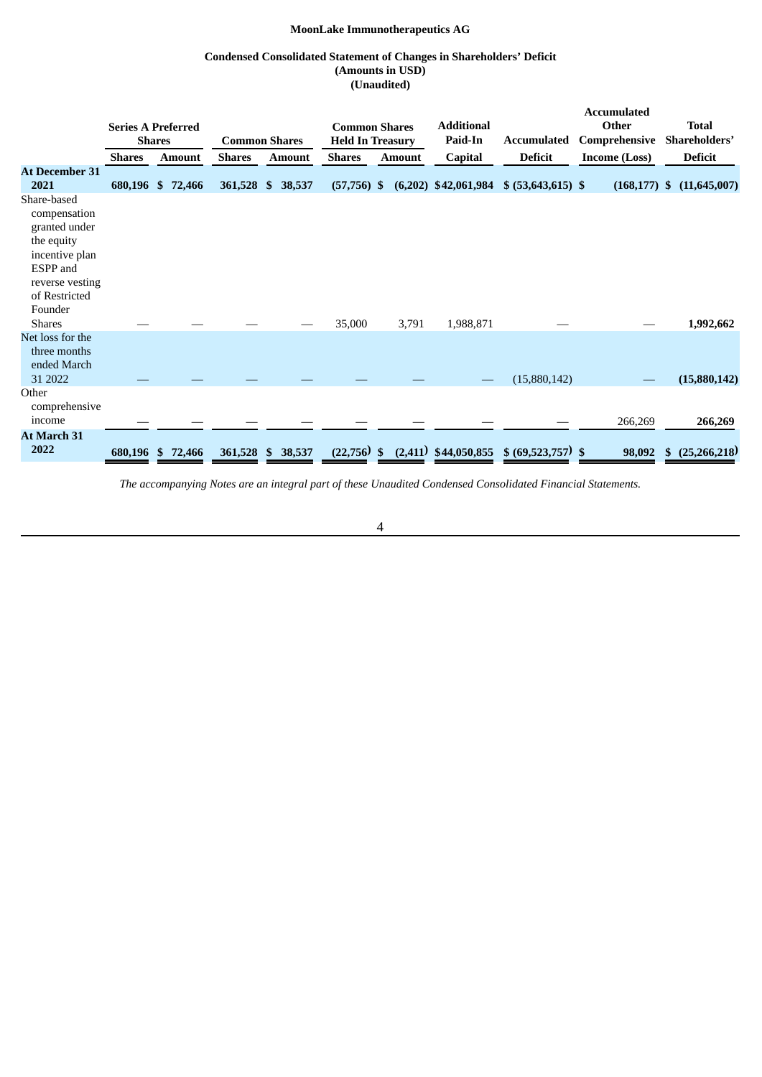# **Condensed Consolidated Statement of Changes in Shareholders' Deficit (Amounts in USD) (Unaudited)**

<span id="page-8-0"></span>

|                                                                                                                                         |               |                           |               |                        |                         |               |                        |                                           | <b>Accumulated</b>   |                      |
|-----------------------------------------------------------------------------------------------------------------------------------------|---------------|---------------------------|---------------|------------------------|-------------------------|---------------|------------------------|-------------------------------------------|----------------------|----------------------|
|                                                                                                                                         |               | <b>Series A Preferred</b> |               |                        | <b>Common Shares</b>    |               | <b>Additional</b>      |                                           | Other                | <b>Total</b>         |
|                                                                                                                                         |               | <b>Shares</b>             |               | <b>Common Shares</b>   | <b>Held In Treasury</b> |               | Paid-In                | Accumulated                               | Comprehensive        | Shareholders'        |
|                                                                                                                                         | <b>Shares</b> | <b>Amount</b>             | <b>Shares</b> | <b>Amount</b>          | <b>Shares</b>           | <b>Amount</b> | Capital                | <b>Deficit</b>                            | <b>Income (Loss)</b> | <b>Deficit</b>       |
| <b>At December 31</b><br>2021                                                                                                           |               | 680,196 \$ 72,466         | 361,528 \$    | 38,537                 | $(57,756)$ \$           |               |                        | $(6,202)$ \$42,061,984 \$ (53,643,615) \$ | $(168, 177)$ \$      | (11,645,007)         |
| Share-based<br>compensation<br>granted under<br>the equity<br>incentive plan<br>ESPP and<br>reverse vesting<br>of Restricted<br>Founder |               |                           |               |                        |                         |               |                        |                                           |                      |                      |
| <b>Shares</b>                                                                                                                           |               |                           |               |                        | 35,000                  | 3,791         | 1,988,871              |                                           |                      | 1,992,662            |
| Net loss for the<br>three months<br>ended March<br>31 2022                                                                              |               |                           |               |                        |                         |               |                        | (15,880,142)                              |                      | (15,880,142)         |
| Other<br>comprehensive<br>income                                                                                                        |               |                           |               |                        |                         |               |                        |                                           | 266,269              | 266,269              |
| At March 31<br>2022                                                                                                                     |               | 680,196 \$ 72,466         | 361,528       | 38,537<br>$\mathbf{s}$ | $(22,756)$ \$           |               | $(2,411)$ \$44,050,855 | $$ (69,523,757)$ \$                       | 98,092               | (25, 266, 218)<br>\$ |

*The accompanying Notes are an integral part of these Unaudited Condensed Consolidated Financial Statements.*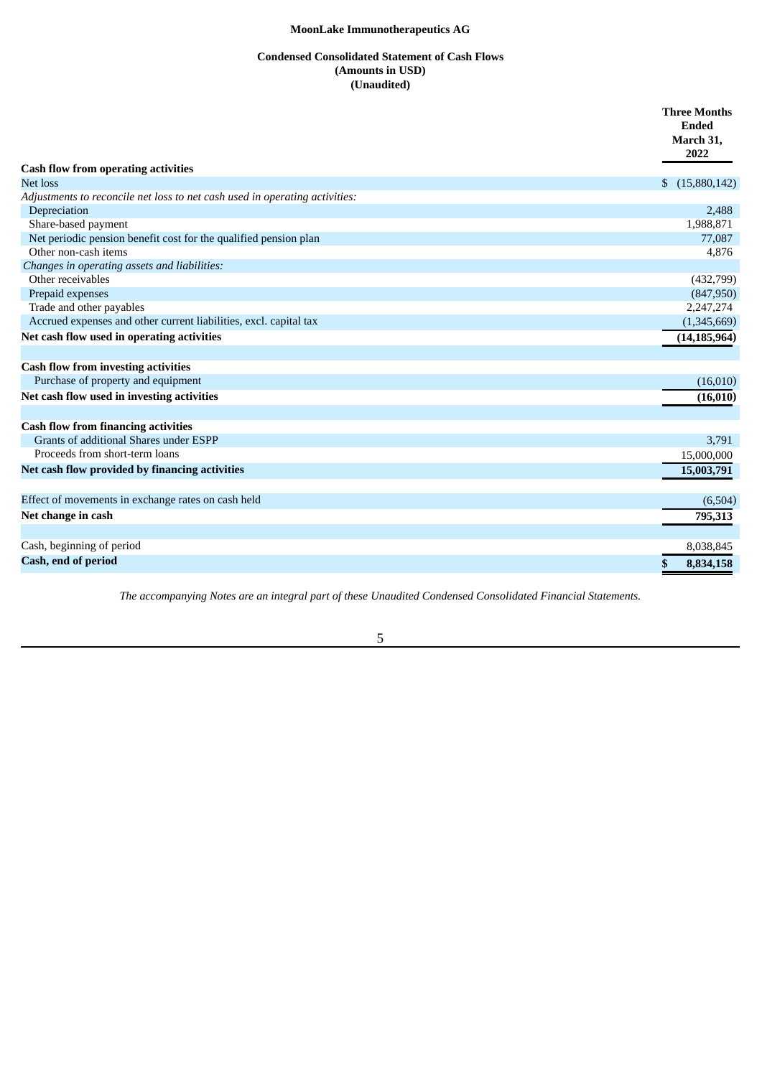# **Condensed Consolidated Statement of Cash Flows (Amounts in USD) (Unaudited)**

<span id="page-9-0"></span>

|                                                                             | <b>Three Months</b><br><b>Ended</b><br>March 31,<br>2022 |
|-----------------------------------------------------------------------------|----------------------------------------------------------|
| <b>Cash flow from operating activities</b>                                  |                                                          |
| Net loss                                                                    | $\mathbb{S}$<br>(15,880,142)                             |
| Adjustments to reconcile net loss to net cash used in operating activities: |                                                          |
| Depreciation                                                                | 2,488                                                    |
| Share-based payment                                                         | 1,988,871                                                |
| Net periodic pension benefit cost for the qualified pension plan            | 77,087                                                   |
| Other non-cash items                                                        | 4,876                                                    |
| Changes in operating assets and liabilities:                                |                                                          |
| Other receivables                                                           | (432,799)                                                |
| Prepaid expenses                                                            | (847,950)                                                |
| Trade and other payables                                                    | 2,247,274                                                |
| Accrued expenses and other current liabilities, excl. capital tax           | (1,345,669)                                              |
| Net cash flow used in operating activities                                  | (14, 185, 964)                                           |
|                                                                             |                                                          |
| <b>Cash flow from investing activities</b>                                  |                                                          |
| Purchase of property and equipment                                          | (16,010)                                                 |
| Net cash flow used in investing activities                                  | (16, 010)                                                |
|                                                                             |                                                          |
| <b>Cash flow from financing activities</b>                                  |                                                          |
| Grants of additional Shares under ESPP                                      | 3,791                                                    |
| Proceeds from short-term loans                                              | 15,000,000                                               |
| Net cash flow provided by financing activities                              | 15,003,791                                               |
|                                                                             |                                                          |
| Effect of movements in exchange rates on cash held                          | (6,504)                                                  |
| Net change in cash                                                          | 795,313                                                  |
|                                                                             |                                                          |
| Cash, beginning of period                                                   | 8,038,845                                                |
| Cash, end of period                                                         | \$<br>8,834,158                                          |
|                                                                             |                                                          |

*The accompanying Notes are an integral part of these Unaudited Condensed Consolidated Financial Statements.*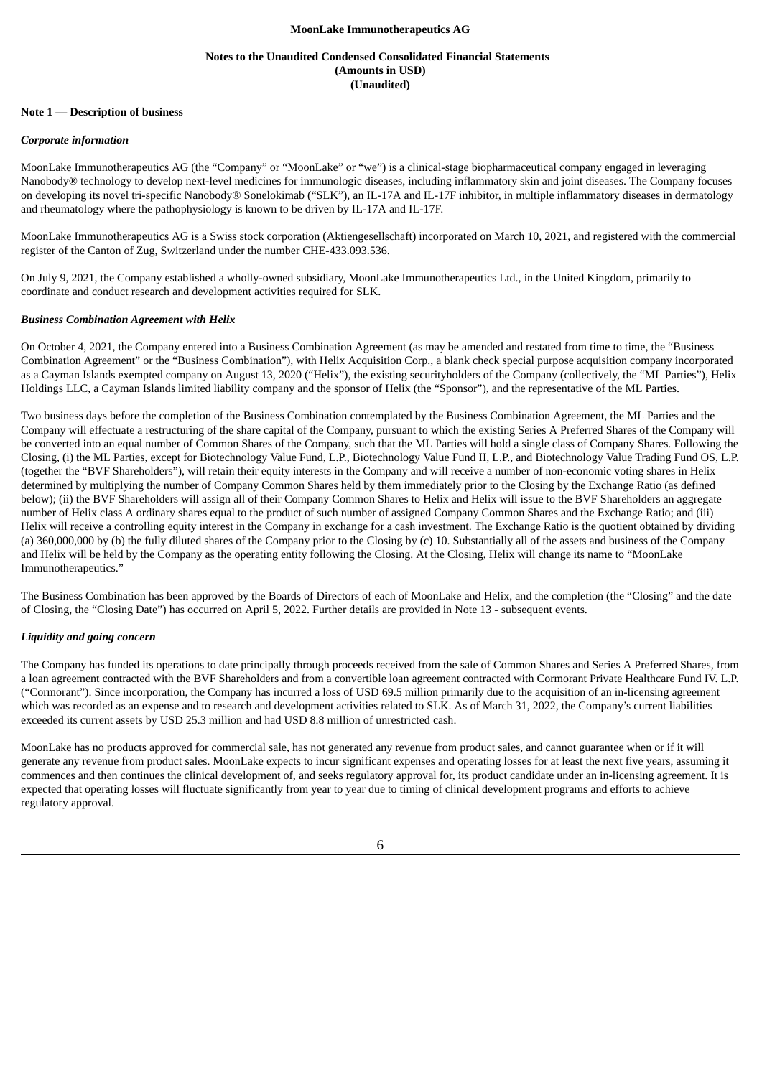#### **Notes to the Unaudited Condensed Consolidated Financial Statements (Amounts in USD) (Unaudited)**

#### <span id="page-10-0"></span>**Note 1 — Description of business**

#### *Corporate information*

MoonLake Immunotherapeutics AG (the "Company" or "MoonLake" or "we") is a clinical-stage biopharmaceutical company engaged in leveraging Nanobody® technology to develop next-level medicines for immunologic diseases, including inflammatory skin and joint diseases. The Company focuses on developing its novel tri-specific Nanobody® Sonelokimab ("SLK"), an IL-17A and IL-17F inhibitor, in multiple inflammatory diseases in dermatology and rheumatology where the pathophysiology is known to be driven by IL-17A and IL-17F.

MoonLake Immunotherapeutics AG is a Swiss stock corporation (Aktiengesellschaft) incorporated on March 10, 2021, and registered with the commercial register of the Canton of Zug, Switzerland under the number CHE-433.093.536.

On July 9, 2021, the Company established a wholly-owned subsidiary, MoonLake Immunotherapeutics Ltd., in the United Kingdom, primarily to coordinate and conduct research and development activities required for SLK.

#### *Business Combination Agreement with Helix*

On October 4, 2021, the Company entered into a Business Combination Agreement (as may be amended and restated from time to time, the "Business Combination Agreement" or the "Business Combination"), with Helix Acquisition Corp., a blank check special purpose acquisition company incorporated as a Cayman Islands exempted company on August 13, 2020 ("Helix"), the existing securityholders of the Company (collectively, the "ML Parties"), Helix Holdings LLC, a Cayman Islands limited liability company and the sponsor of Helix (the "Sponsor"), and the representative of the ML Parties.

Two business days before the completion of the Business Combination contemplated by the Business Combination Agreement, the ML Parties and the Company will effectuate a restructuring of the share capital of the Company, pursuant to which the existing Series A Preferred Shares of the Company will be converted into an equal number of Common Shares of the Company, such that the ML Parties will hold a single class of Company Shares. Following the Closing, (i) the ML Parties, except for Biotechnology Value Fund, L.P., Biotechnology Value Fund II, L.P., and Biotechnology Value Trading Fund OS, L.P. (together the "BVF Shareholders"), will retain their equity interests in the Company and will receive a number of non-economic voting shares in Helix determined by multiplying the number of Company Common Shares held by them immediately prior to the Closing by the Exchange Ratio (as defined below); (ii) the BVF Shareholders will assign all of their Company Common Shares to Helix and Helix will issue to the BVF Shareholders an aggregate number of Helix class A ordinary shares equal to the product of such number of assigned Company Common Shares and the Exchange Ratio; and (iii) Helix will receive a controlling equity interest in the Company in exchange for a cash investment. The Exchange Ratio is the quotient obtained by dividing (a) 360,000,000 by (b) the fully diluted shares of the Company prior to the Closing by (c) 10. Substantially all of the assets and business of the Company and Helix will be held by the Company as the operating entity following the Closing. At the Closing, Helix will change its name to "MoonLake Immunotherapeutics."

The Business Combination has been approved by the Boards of Directors of each of MoonLake and Helix, and the completion (the "Closing" and the date of Closing, the "Closing Date") has occurred on April 5, 2022. Further details are provided in Note 13 - subsequent events.

## *Liquidity and going concern*

The Company has funded its operations to date principally through proceeds received from the sale of Common Shares and Series A Preferred Shares, from a loan agreement contracted with the BVF Shareholders and from a convertible loan agreement contracted with Cormorant Private Healthcare Fund IV. L.P. ("Cormorant"). Since incorporation, the Company has incurred a loss of USD 69.5 million primarily due to the acquisition of an in-licensing agreement which was recorded as an expense and to research and development activities related to SLK. As of March 31, 2022, the Company's current liabilities exceeded its current assets by USD 25.3 million and had USD 8.8 million of unrestricted cash.

MoonLake has no products approved for commercial sale, has not generated any revenue from product sales, and cannot guarantee when or if it will generate any revenue from product sales. MoonLake expects to incur significant expenses and operating losses for at least the next five years, assuming it commences and then continues the clinical development of, and seeks regulatory approval for, its product candidate under an in-licensing agreement. It is expected that operating losses will fluctuate significantly from year to year due to timing of clinical development programs and efforts to achieve regulatory approval.

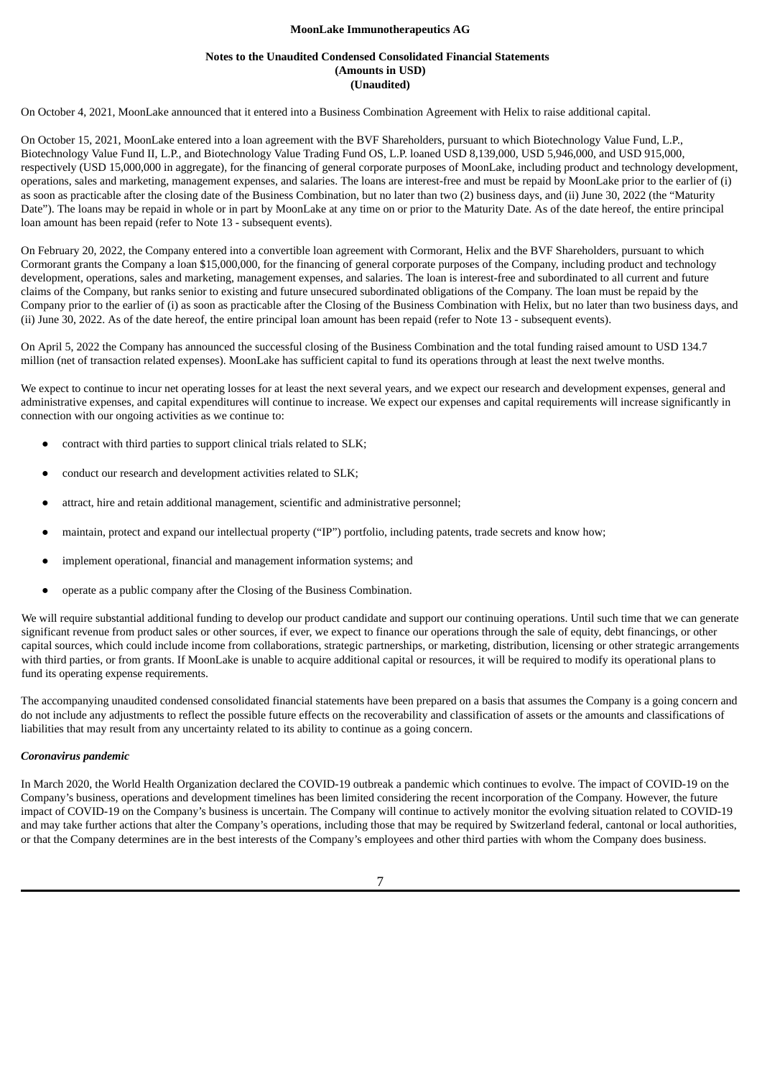#### **Notes to the Unaudited Condensed Consolidated Financial Statements (Amounts in USD) (Unaudited)**

On October 4, 2021, MoonLake announced that it entered into a Business Combination Agreement with Helix to raise additional capital.

On October 15, 2021, MoonLake entered into a loan agreement with the BVF Shareholders, pursuant to which Biotechnology Value Fund, L.P., Biotechnology Value Fund II, L.P., and Biotechnology Value Trading Fund OS, L.P. loaned USD 8,139,000, USD 5,946,000, and USD 915,000, respectively (USD 15,000,000 in aggregate), for the financing of general corporate purposes of MoonLake, including product and technology development, operations, sales and marketing, management expenses, and salaries. The loans are interest-free and must be repaid by MoonLake prior to the earlier of (i) as soon as practicable after the closing date of the Business Combination, but no later than two (2) business days, and (ii) June 30, 2022 (the "Maturity Date"). The loans may be repaid in whole or in part by MoonLake at any time on or prior to the Maturity Date. As of the date hereof, the entire principal loan amount has been repaid (refer to Note 13 - subsequent events).

On February 20, 2022, the Company entered into a convertible loan agreement with Cormorant, Helix and the BVF Shareholders, pursuant to which Cormorant grants the Company a loan \$15,000,000, for the financing of general corporate purposes of the Company, including product and technology development, operations, sales and marketing, management expenses, and salaries. The loan is interest-free and subordinated to all current and future claims of the Company, but ranks senior to existing and future unsecured subordinated obligations of the Company. The loan must be repaid by the Company prior to the earlier of (i) as soon as practicable after the Closing of the Business Combination with Helix, but no later than two business days, and (ii) June 30, 2022. As of the date hereof, the entire principal loan amount has been repaid (refer to Note 13 - subsequent events).

On April 5, 2022 the Company has announced the successful closing of the Business Combination and the total funding raised amount to USD 134.7 million (net of transaction related expenses). MoonLake has sufficient capital to fund its operations through at least the next twelve months.

We expect to continue to incur net operating losses for at least the next several years, and we expect our research and development expenses, general and administrative expenses, and capital expenditures will continue to increase. We expect our expenses and capital requirements will increase significantly in connection with our ongoing activities as we continue to:

- contract with third parties to support clinical trials related to SLK;
- conduct our research and development activities related to SLK;
- attract, hire and retain additional management, scientific and administrative personnel;
- maintain, protect and expand our intellectual property ("IP") portfolio, including patents, trade secrets and know how;
- implement operational, financial and management information systems; and
- operate as a public company after the Closing of the Business Combination.

We will require substantial additional funding to develop our product candidate and support our continuing operations. Until such time that we can generate significant revenue from product sales or other sources, if ever, we expect to finance our operations through the sale of equity, debt financings, or other capital sources, which could include income from collaborations, strategic partnerships, or marketing, distribution, licensing or other strategic arrangements with third parties, or from grants. If MoonLake is unable to acquire additional capital or resources, it will be required to modify its operational plans to fund its operating expense requirements.

The accompanying unaudited condensed consolidated financial statements have been prepared on a basis that assumes the Company is a going concern and do not include any adjustments to reflect the possible future effects on the recoverability and classification of assets or the amounts and classifications of liabilities that may result from any uncertainty related to its ability to continue as a going concern.

#### *Coronavirus pandemic*

In March 2020, the World Health Organization declared the COVID-19 outbreak a pandemic which continues to evolve. The impact of COVID-19 on the Company's business, operations and development timelines has been limited considering the recent incorporation of the Company. However, the future impact of COVID-19 on the Company's business is uncertain. The Company will continue to actively monitor the evolving situation related to COVID-19 and may take further actions that alter the Company's operations, including those that may be required by Switzerland federal, cantonal or local authorities, or that the Company determines are in the best interests of the Company's employees and other third parties with whom the Company does business.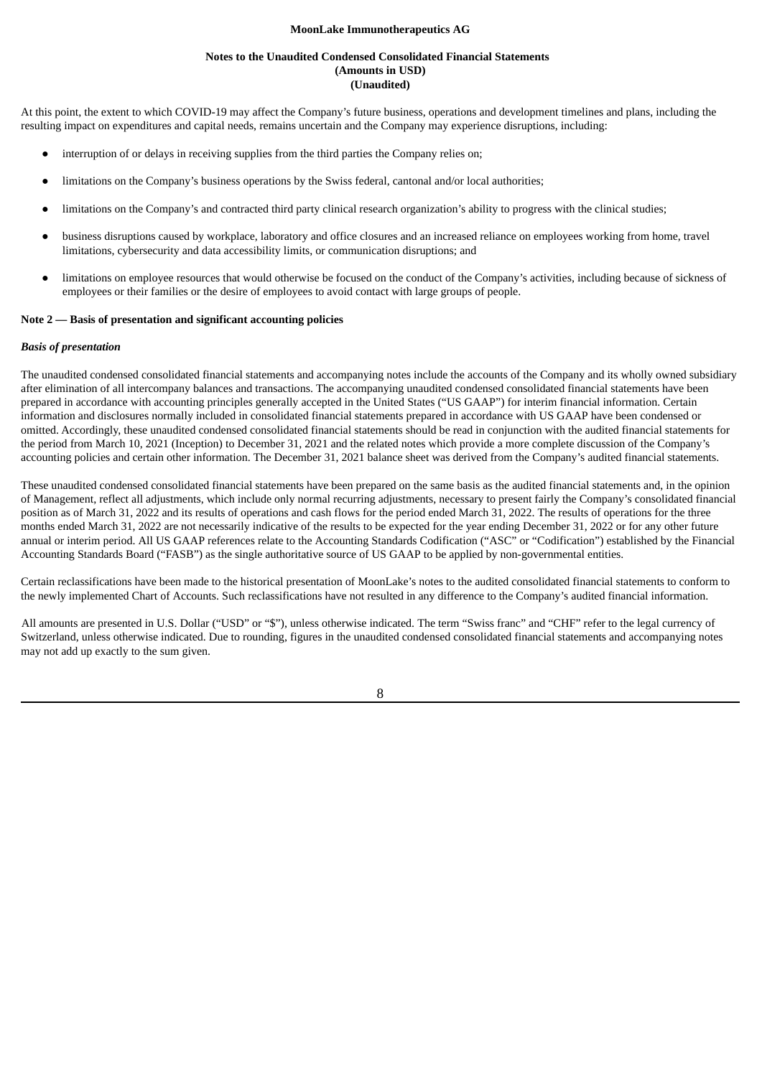### **Notes to the Unaudited Condensed Consolidated Financial Statements (Amounts in USD) (Unaudited)**

At this point, the extent to which COVID-19 may affect the Company's future business, operations and development timelines and plans, including the resulting impact on expenditures and capital needs, remains uncertain and the Company may experience disruptions, including:

- interruption of or delays in receiving supplies from the third parties the Company relies on;
- limitations on the Company's business operations by the Swiss federal, cantonal and/or local authorities;
- limitations on the Company's and contracted third party clinical research organization's ability to progress with the clinical studies;
- business disruptions caused by workplace, laboratory and office closures and an increased reliance on employees working from home, travel limitations, cybersecurity and data accessibility limits, or communication disruptions; and
- limitations on employee resources that would otherwise be focused on the conduct of the Company's activities, including because of sickness of employees or their families or the desire of employees to avoid contact with large groups of people.

### **Note 2 — Basis of presentation and significant accounting policies**

#### *Basis of presentation*

The unaudited condensed consolidated financial statements and accompanying notes include the accounts of the Company and its wholly owned subsidiary after elimination of all intercompany balances and transactions. The accompanying unaudited condensed consolidated financial statements have been prepared in accordance with accounting principles generally accepted in the United States ("US GAAP") for interim financial information. Certain information and disclosures normally included in consolidated financial statements prepared in accordance with US GAAP have been condensed or omitted. Accordingly, these unaudited condensed consolidated financial statements should be read in conjunction with the audited financial statements for the period from March 10, 2021 (Inception) to December 31, 2021 and the related notes which provide a more complete discussion of the Company's accounting policies and certain other information. The December 31, 2021 balance sheet was derived from the Company's audited financial statements.

These unaudited condensed consolidated financial statements have been prepared on the same basis as the audited financial statements and, in the opinion of Management, reflect all adjustments, which include only normal recurring adjustments, necessary to present fairly the Company's consolidated financial position as of March 31, 2022 and its results of operations and cash flows for the period ended March 31, 2022. The results of operations for the three months ended March 31, 2022 are not necessarily indicative of the results to be expected for the year ending December 31, 2022 or for any other future annual or interim period. All US GAAP references relate to the Accounting Standards Codification ("ASC" or "Codification") established by the Financial Accounting Standards Board ("FASB") as the single authoritative source of US GAAP to be applied by non-governmental entities.

Certain reclassifications have been made to the historical presentation of MoonLake's notes to the audited consolidated financial statements to conform to the newly implemented Chart of Accounts. Such reclassifications have not resulted in any difference to the Company's audited financial information.

All amounts are presented in U.S. Dollar ("USD" or "\$"), unless otherwise indicated. The term "Swiss franc" and "CHF" refer to the legal currency of Switzerland, unless otherwise indicated. Due to rounding, figures in the unaudited condensed consolidated financial statements and accompanying notes may not add up exactly to the sum given.

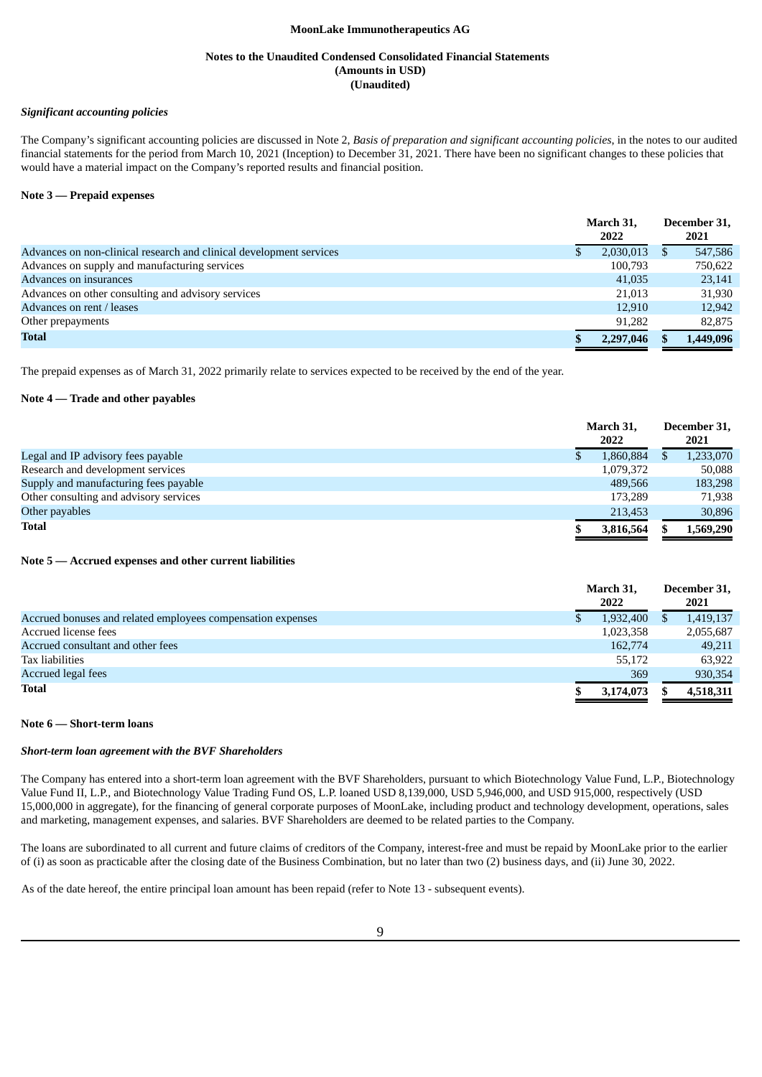#### **Notes to the Unaudited Condensed Consolidated Financial Statements (Amounts in USD) (Unaudited)**

#### *Significant accounting policies*

The Company's significant accounting policies are discussed in Note 2, *Basis of preparation and significant accounting policies*, in the notes to our audited financial statements for the period from March 10, 2021 (Inception) to December 31, 2021. There have been no significant changes to these policies that would have a material impact on the Company's reported results and financial position.

## **Note 3 — Prepaid expenses**

|                                                                     | March 31.<br>2022 |          | December 31,<br>2021 |
|---------------------------------------------------------------------|-------------------|----------|----------------------|
| Advances on non-clinical research and clinical development services | 2,030,013         | <b>S</b> | 547,586              |
| Advances on supply and manufacturing services                       | 100,793           |          | 750,622              |
| Advances on insurances                                              | 41,035            |          | 23,141               |
| Advances on other consulting and advisory services                  | 21,013            |          | 31,930               |
| Advances on rent / leases                                           | 12,910            |          | 12,942               |
| Other prepayments                                                   | 91.282            |          | 82,875               |
| Total                                                               | 2,297,046         |          | 1,449,096            |

The prepaid expenses as of March 31, 2022 primarily relate to services expected to be received by the end of the year.

#### **Note 4 — Trade and other payables**

|                                        | March 31, |  | December 31, |  |
|----------------------------------------|-----------|--|--------------|--|
|                                        | 2022      |  | 2021         |  |
| Legal and IP advisory fees payable     | 1,860,884 |  | 1,233,070    |  |
| Research and development services      | 1,079,372 |  | 50,088       |  |
| Supply and manufacturing fees payable  | 489.566   |  | 183,298      |  |
| Other consulting and advisory services | 173.289   |  | 71,938       |  |
| Other payables                         | 213.453   |  | 30,896       |  |
| <b>Total</b>                           | 3,816,564 |  | 1,569,290    |  |

## **Note 5 — Accrued expenses and other current liabilities**

|                                                             | March 31,<br>2022 | December 31,<br>2021 |
|-------------------------------------------------------------|-------------------|----------------------|
| Accrued bonuses and related employees compensation expenses | 1,932,400         | 1,419,137            |
| Accrued license fees                                        | 1,023,358         | 2,055,687            |
| Accrued consultant and other fees                           | 162,774           | 49,211               |
| Tax liabilities                                             | 55.172            | 63,922               |
| Accrued legal fees                                          | 369               | 930,354              |
| Total                                                       | 3,174,073         | 4,518,311            |

#### **Note 6 — Short-term loans**

#### *Short-term loan agreement with the BVF Shareholders*

The Company has entered into a short-term loan agreement with the BVF Shareholders, pursuant to which Biotechnology Value Fund, L.P., Biotechnology Value Fund II, L.P., and Biotechnology Value Trading Fund OS, L.P. loaned USD 8,139,000, USD 5,946,000, and USD 915,000, respectively (USD 15,000,000 in aggregate), for the financing of general corporate purposes of MoonLake, including product and technology development, operations, sales and marketing, management expenses, and salaries. BVF Shareholders are deemed to be related parties to the Company.

The loans are subordinated to all current and future claims of creditors of the Company, interest-free and must be repaid by MoonLake prior to the earlier of (i) as soon as practicable after the closing date of the Business Combination, but no later than two (2) business days, and (ii) June 30, 2022.

As of the date hereof, the entire principal loan amount has been repaid (refer to Note 13 - subsequent events).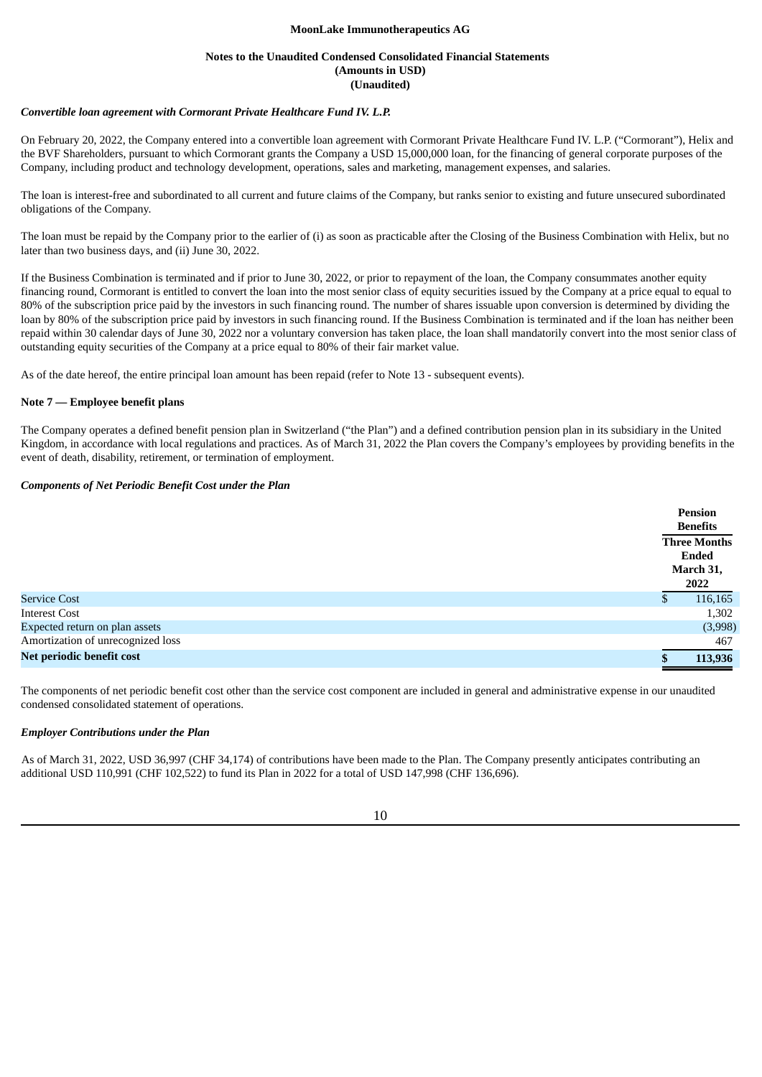#### **Notes to the Unaudited Condensed Consolidated Financial Statements (Amounts in USD) (Unaudited)**

#### *Convertible loan agreement with Cormorant Private Healthcare Fund IV. L.P.*

On February 20, 2022, the Company entered into a convertible loan agreement with Cormorant Private Healthcare Fund IV. L.P. ("Cormorant"), Helix and the BVF Shareholders, pursuant to which Cormorant grants the Company a USD 15,000,000 loan, for the financing of general corporate purposes of the Company, including product and technology development, operations, sales and marketing, management expenses, and salaries.

The loan is interest-free and subordinated to all current and future claims of the Company, but ranks senior to existing and future unsecured subordinated obligations of the Company.

The loan must be repaid by the Company prior to the earlier of (i) as soon as practicable after the Closing of the Business Combination with Helix, but no later than two business days, and (ii) June 30, 2022.

If the Business Combination is terminated and if prior to June 30, 2022, or prior to repayment of the loan, the Company consummates another equity financing round, Cormorant is entitled to convert the loan into the most senior class of equity securities issued by the Company at a price equal to equal to 80% of the subscription price paid by the investors in such financing round. The number of shares issuable upon conversion is determined by dividing the loan by 80% of the subscription price paid by investors in such financing round. If the Business Combination is terminated and if the loan has neither been repaid within 30 calendar days of June 30, 2022 nor a voluntary conversion has taken place, the loan shall mandatorily convert into the most senior class of outstanding equity securities of the Company at a price equal to 80% of their fair market value.

As of the date hereof, the entire principal loan amount has been repaid (refer to Note 13 - subsequent events).

#### **Note 7 — Employee benefit plans**

The Company operates a defined benefit pension plan in Switzerland ("the Plan") and a defined contribution pension plan in its subsidiary in the United Kingdom, in accordance with local regulations and practices. As of March 31, 2022 the Plan covers the Company's employees by providing benefits in the event of death, disability, retirement, or termination of employment.

#### *Components of Net Periodic Benefit Cost under the Plan*

|                                   | <b>Pension</b><br><b>Benefits</b>                 |
|-----------------------------------|---------------------------------------------------|
|                                   | <b>Three Months</b><br>Ended<br>March 31,<br>2022 |
| <b>Service Cost</b>               | 116,165                                           |
| <b>Interest Cost</b>              | 1,302                                             |
| Expected return on plan assets    | (3,998)                                           |
| Amortization of unrecognized loss | 467                                               |
| Net periodic benefit cost         | 113,936                                           |

The components of net periodic benefit cost other than the service cost component are included in general and administrative expense in our unaudited condensed consolidated statement of operations.

#### *Employer Contributions under the Plan*

As of March 31, 2022, USD 36,997 (CHF 34,174) of contributions have been made to the Plan. The Company presently anticipates contributing an additional USD 110,991 (CHF 102,522) to fund its Plan in 2022 for a total of USD 147,998 (CHF 136,696).

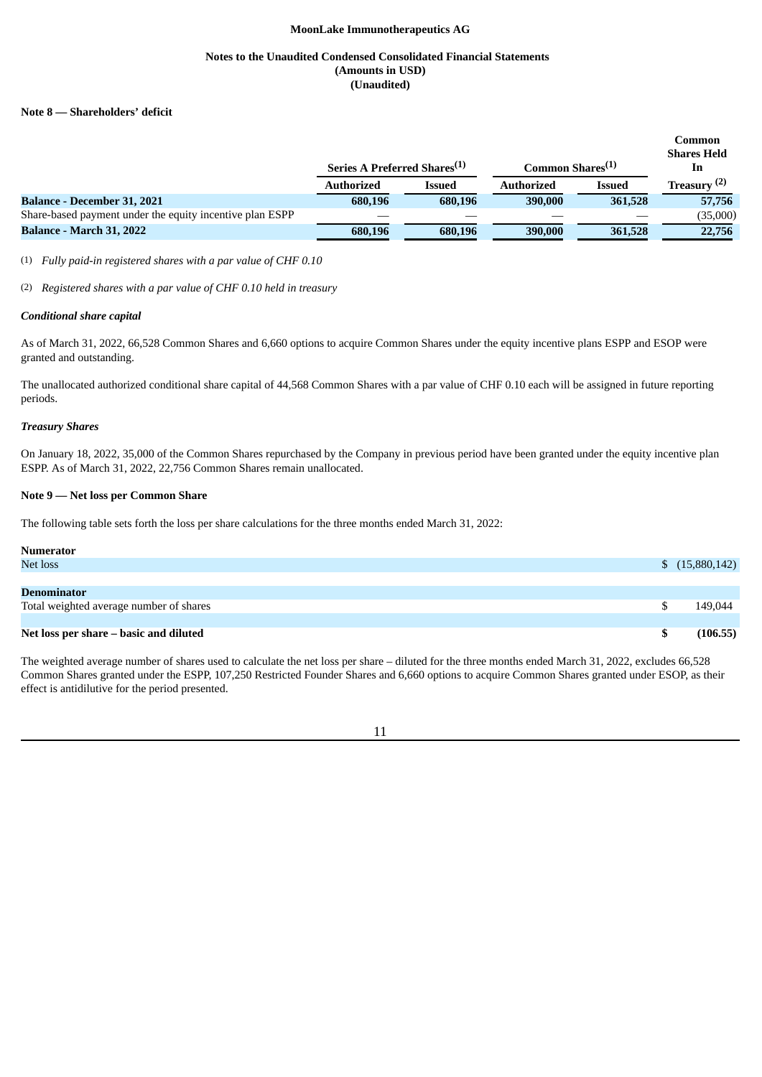## **Notes to the Unaudited Condensed Consolidated Financial Statements (Amounts in USD) (Unaudited)**

#### **Note 8 — Shareholders' deficit**

|                                                          |                                          |         |                              |               | Common<br><b>Shares Held</b> |
|----------------------------------------------------------|------------------------------------------|---------|------------------------------|---------------|------------------------------|
|                                                          | Series A Preferred Shares <sup>(1)</sup> |         | Common Shares <sup>(1)</sup> |               | 1n                           |
|                                                          | <b>Authorized</b>                        | Issued  | <b>Authorized</b>            | <b>Issued</b> | Treasury $(2)$               |
| <b>Balance - December 31, 2021</b>                       | 680,196                                  | 680,196 | 390,000                      | 361,528       | 57,756                       |
| Share-based payment under the equity incentive plan ESPP |                                          |         |                              |               | (35,000)                     |
| <b>Balance - March 31, 2022</b>                          | 680,196                                  | 680,196 | 390,000                      | 361,528       | 22,756                       |

(1) *Fully paid-in registered shares with a par value of CHF 0.10*

(2) *Registered shares with a par value of CHF 0.10 held in treasury*

#### *Conditional share capital*

As of March 31, 2022, 66,528 Common Shares and 6,660 options to acquire Common Shares under the equity incentive plans ESPP and ESOP were granted and outstanding.

The unallocated authorized conditional share capital of 44,568 Common Shares with a par value of CHF 0.10 each will be assigned in future reporting periods.

#### *Treasury Shares*

On January 18, 2022, 35,000 of the Common Shares repurchased by the Company in previous period have been granted under the equity incentive plan ESPP. As of March 31, 2022, 22,756 Common Shares remain unallocated.

# **Note 9 — Net loss per Common Share**

The following table sets forth the loss per share calculations for the three months ended March 31, 2022:

| <b>Numerator</b>                        |                |
|-----------------------------------------|----------------|
| Net loss                                | \$(15,880,142) |
|                                         |                |
| Denominator                             |                |
| Total weighted average number of shares | 149.044        |
|                                         |                |
| Net loss per share – basic and diluted  | (106.55)       |

The weighted average number of shares used to calculate the net loss per share – diluted for the three months ended March 31, 2022, excludes 66,528 Common Shares granted under the ESPP, 107,250 Restricted Founder Shares and 6,660 options to acquire Common Shares granted under ESOP, as their effect is antidilutive for the period presented.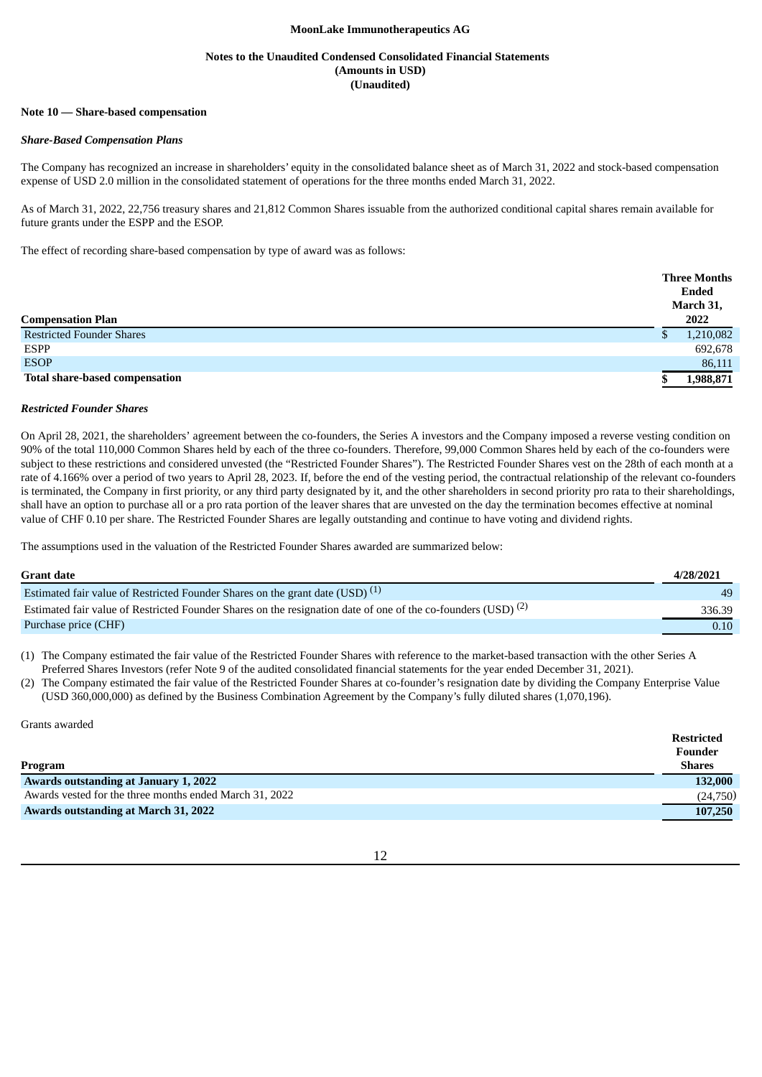#### **Notes to the Unaudited Condensed Consolidated Financial Statements (Amounts in USD) (Unaudited)**

#### **Note 10 — Share-based compensation**

#### *Share-Based Compensation Plans*

The Company has recognized an increase in shareholders' equity in the consolidated balance sheet as of March 31, 2022 and stock-based compensation expense of USD 2.0 million in the consolidated statement of operations for the three months ended March 31, 2022.

As of March 31, 2022, 22,756 treasury shares and 21,812 Common Shares issuable from the authorized conditional capital shares remain available for future grants under the ESPP and the ESOP.

The effect of recording share-based compensation by type of award was as follows:

|                                       | <b>Three Months</b><br>Ended<br>March 31, |  |
|---------------------------------------|-------------------------------------------|--|
| <b>Compensation Plan</b>              | 2022                                      |  |
| <b>Restricted Founder Shares</b>      | 1,210,082                                 |  |
| ESPP                                  | 692,678                                   |  |
| <b>ESOP</b>                           | 86,111                                    |  |
| <b>Total share-based compensation</b> | 1,988,871                                 |  |

#### *Restricted Founder Shares*

On April 28, 2021, the shareholders' agreement between the co-founders, the Series A investors and the Company imposed a reverse vesting condition on 90% of the total 110,000 Common Shares held by each of the three co-founders. Therefore, 99,000 Common Shares held by each of the co-founders were subject to these restrictions and considered unvested (the "Restricted Founder Shares"). The Restricted Founder Shares vest on the 28th of each month at a rate of 4.166% over a period of two years to April 28, 2023. If, before the end of the vesting period, the contractual relationship of the relevant co-founders is terminated, the Company in first priority, or any third party designated by it, and the other shareholders in second priority pro rata to their shareholdings, shall have an option to purchase all or a pro rata portion of the leaver shares that are unvested on the day the termination becomes effective at nominal value of CHF 0.10 per share. The Restricted Founder Shares are legally outstanding and continue to have voting and dividend rights.

The assumptions used in the valuation of the Restricted Founder Shares awarded are summarized below:

| <b>Grant date</b>                                                                                                        | 4/28/2021 |
|--------------------------------------------------------------------------------------------------------------------------|-----------|
| Estimated fair value of Restricted Founder Shares on the grant date (USD) $(1)$                                          | 49        |
| Estimated fair value of Restricted Founder Shares on the resignation date of one of the co-founders (USD) <sup>(2)</sup> | 336.39    |
| Purchase price (CHF)                                                                                                     | 0.10      |

(1) The Company estimated the fair value of the Restricted Founder Shares with reference to the market-based transaction with the other Series A Preferred Shares Investors (refer Note 9 of the audited consolidated financial statements for the year ended December 31, 2021).

(2) The Company estimated the fair value of the Restricted Founder Shares at co-founder's resignation date by dividing the Company Enterprise Value (USD 360,000,000) as defined by the Business Combination Agreement by the Company's fully diluted shares (1,070,196).

Grants awarded

|                                                         | <b>Restricted</b> |
|---------------------------------------------------------|-------------------|
|                                                         | Founder           |
| Program                                                 | <b>Shares</b>     |
| <b>Awards outstanding at January 1, 2022</b>            | 132,000           |
| Awards vested for the three months ended March 31, 2022 | (24,750)          |
| <b>Awards outstanding at March 31, 2022</b>             | 107,250           |

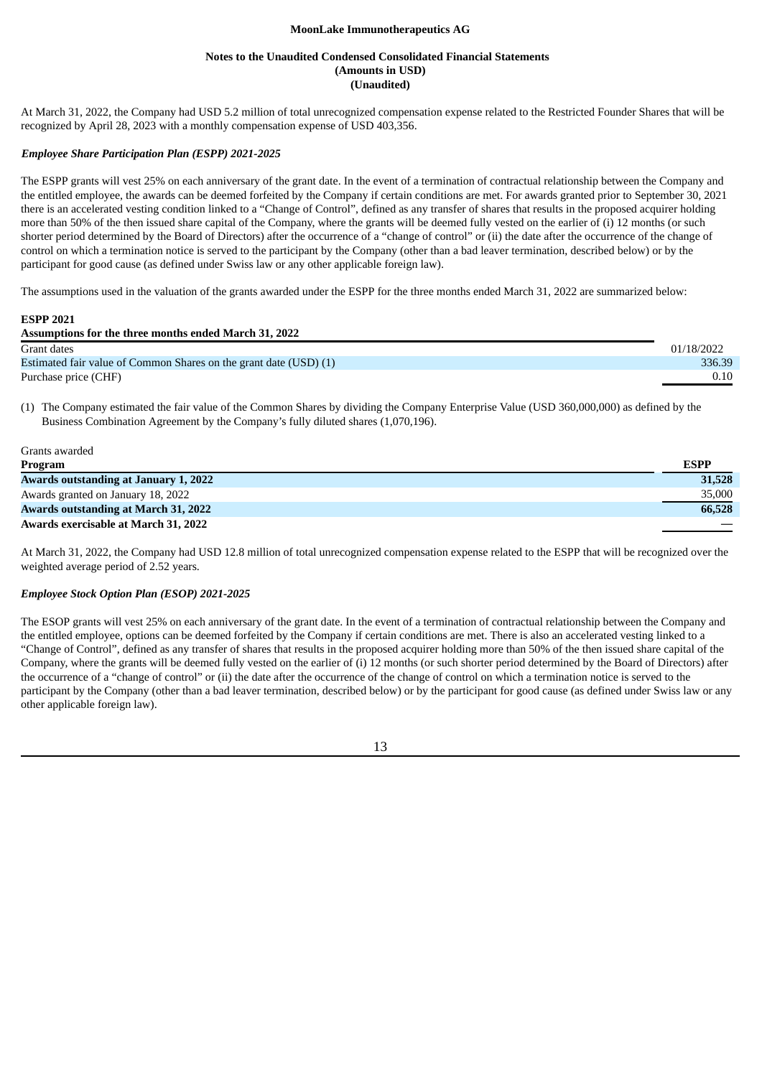#### **Notes to the Unaudited Condensed Consolidated Financial Statements (Amounts in USD) (Unaudited)**

At March 31, 2022, the Company had USD 5.2 million of total unrecognized compensation expense related to the Restricted Founder Shares that will be recognized by April 28, 2023 with a monthly compensation expense of USD 403,356.

#### *Employee Share Participation Plan (ESPP) 2021-2025*

The ESPP grants will vest 25% on each anniversary of the grant date. In the event of a termination of contractual relationship between the Company and the entitled employee, the awards can be deemed forfeited by the Company if certain conditions are met. For awards granted prior to September 30, 2021 there is an accelerated vesting condition linked to a "Change of Control", defined as any transfer of shares that results in the proposed acquirer holding more than 50% of the then issued share capital of the Company, where the grants will be deemed fully vested on the earlier of (i) 12 months (or such shorter period determined by the Board of Directors) after the occurrence of a "change of control" or (ii) the date after the occurrence of the change of control on which a termination notice is served to the participant by the Company (other than a bad leaver termination, described below) or by the participant for good cause (as defined under Swiss law or any other applicable foreign law).

The assumptions used in the valuation of the grants awarded under the ESPP for the three months ended March 31, 2022 are summarized below:

| <b>ESPP 2021</b>                                                  |            |
|-------------------------------------------------------------------|------------|
| Assumptions for the three months ended March 31, 2022             |            |
| Grant dates                                                       | 01/18/2022 |
| Estimated fair value of Common Shares on the grant date (USD) (1) | 336.39     |
| Purchase price (CHF)                                              | 0.10       |

(1) The Company estimated the fair value of the Common Shares by dividing the Company Enterprise Value (USD 360,000,000) as defined by the Business Combination Agreement by the Company's fully diluted shares (1,070,196).

| Grants awarded                               |             |
|----------------------------------------------|-------------|
| Program                                      | <b>ESPP</b> |
| <b>Awards outstanding at January 1, 2022</b> | 31,528      |
| Awards granted on January 18, 2022           | 35,000      |
| <b>Awards outstanding at March 31, 2022</b>  | 66,528      |
| Awards exercisable at March 31, 2022         |             |

At March 31, 2022, the Company had USD 12.8 million of total unrecognized compensation expense related to the ESPP that will be recognized over the weighted average period of 2.52 years.

## *Employee Stock Option Plan (ESOP) 2021-2025*

The ESOP grants will vest 25% on each anniversary of the grant date. In the event of a termination of contractual relationship between the Company and the entitled employee, options can be deemed forfeited by the Company if certain conditions are met. There is also an accelerated vesting linked to a "Change of Control", defined as any transfer of shares that results in the proposed acquirer holding more than 50% of the then issued share capital of the Company, where the grants will be deemed fully vested on the earlier of (i) 12 months (or such shorter period determined by the Board of Directors) after the occurrence of a "change of control" or (ii) the date after the occurrence of the change of control on which a termination notice is served to the participant by the Company (other than a bad leaver termination, described below) or by the participant for good cause (as defined under Swiss law or any other applicable foreign law).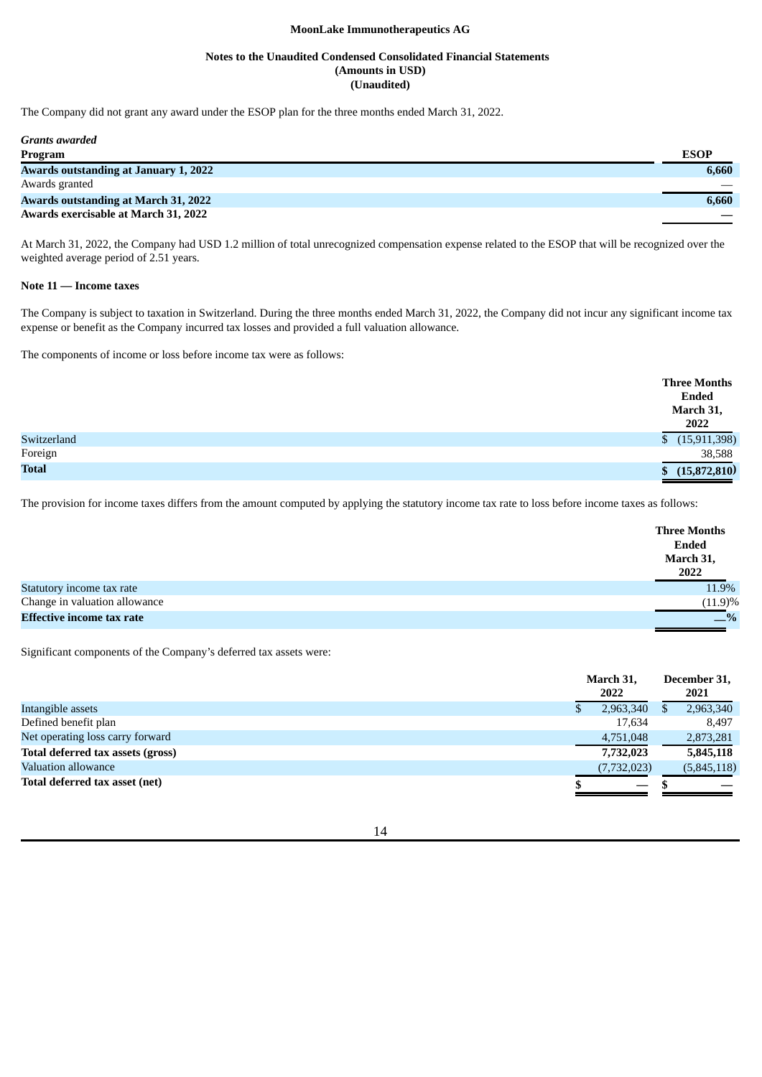### **Notes to the Unaudited Condensed Consolidated Financial Statements (Amounts in USD) (Unaudited)**

The Company did not grant any award under the ESOP plan for the three months ended March 31, 2022.

| <b>Grants awarded</b>                        |             |
|----------------------------------------------|-------------|
| Program                                      | <b>ESOP</b> |
| <b>Awards outstanding at January 1, 2022</b> | 6.660       |
| Awards granted                               |             |
| <b>Awards outstanding at March 31, 2022</b>  | 6.660       |
| Awards exercisable at March 31, 2022         |             |

At March 31, 2022, the Company had USD 1.2 million of total unrecognized compensation expense related to the ESOP that will be recognized over the weighted average period of 2.51 years.

#### **Note 11 — Income taxes**

The Company is subject to taxation in Switzerland. During the three months ended March 31, 2022, the Company did not incur any significant income tax expense or benefit as the Company incurred tax losses and provided a full valuation allowance.

The components of income or loss before income tax were as follows:

|              | <b>Three Months</b><br><b>Ended</b> |
|--------------|-------------------------------------|
|              | March 31,<br>2022                   |
| Switzerland  | (15,911,398)<br>$\mathbb{S}$        |
| Foreign      | 38,588                              |
| <b>Total</b> | (15,872,810)                        |

The provision for income taxes differs from the amount computed by applying the statutory income tax rate to loss before income taxes as follows:

|                                  | <b>Three Months</b><br><b>Ended</b><br>March 31,<br>2022 |
|----------------------------------|----------------------------------------------------------|
| Statutory income tax rate        | 11.9%                                                    |
| Change in valuation allowance    | (11.9)%                                                  |
| <b>Effective income tax rate</b> | $-$ %                                                    |

Significant components of the Company's deferred tax assets were:

| March 31,<br>2022 |  | December 31,<br>2021 |
|-------------------|--|----------------------|
| 2,963,340         |  | 2,963,340            |
| 17,634            |  | 8,497                |
| 4,751,048         |  | 2,873,281            |
| 7,732,023         |  | 5,845,118            |
| (7, 732, 023)     |  | (5,845,118)          |
|                   |  |                      |
|                   |  |                      |

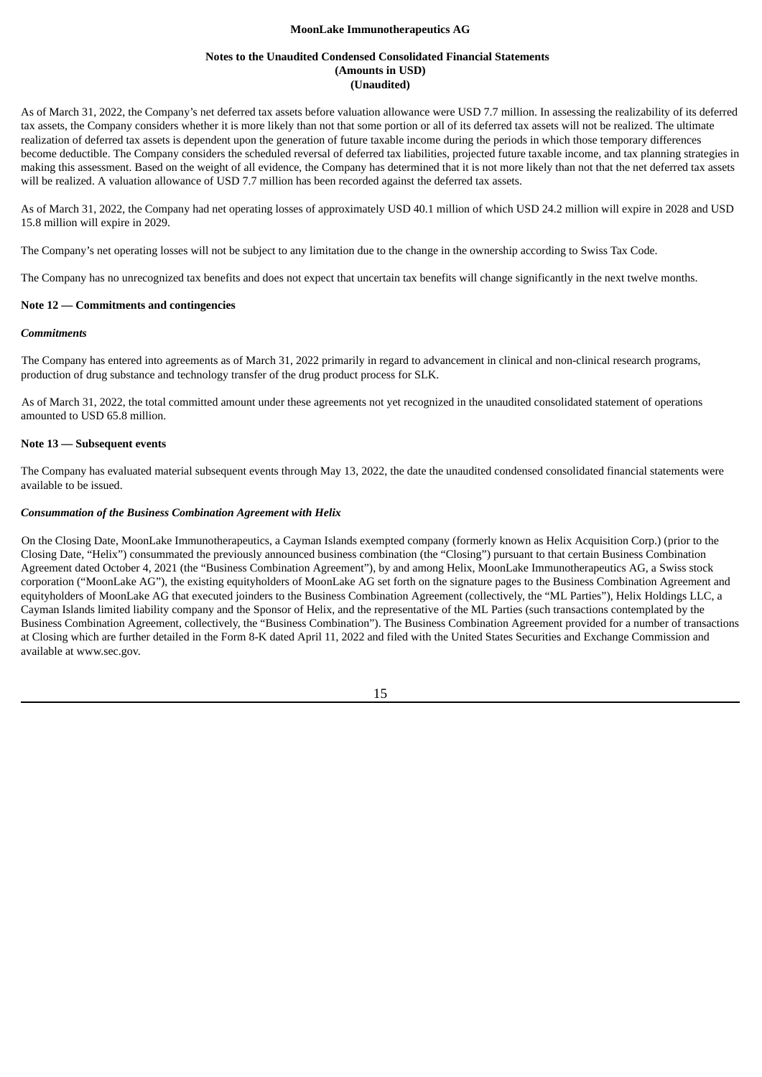#### **Notes to the Unaudited Condensed Consolidated Financial Statements (Amounts in USD) (Unaudited)**

As of March 31, 2022, the Company's net deferred tax assets before valuation allowance were USD 7.7 million. In assessing the realizability of its deferred tax assets, the Company considers whether it is more likely than not that some portion or all of its deferred tax assets will not be realized. The ultimate realization of deferred tax assets is dependent upon the generation of future taxable income during the periods in which those temporary differences become deductible. The Company considers the scheduled reversal of deferred tax liabilities, projected future taxable income, and tax planning strategies in making this assessment. Based on the weight of all evidence, the Company has determined that it is not more likely than not that the net deferred tax assets will be realized. A valuation allowance of USD 7.7 million has been recorded against the deferred tax assets.

As of March 31, 2022, the Company had net operating losses of approximately USD 40.1 million of which USD 24.2 million will expire in 2028 and USD 15.8 million will expire in 2029.

The Company's net operating losses will not be subject to any limitation due to the change in the ownership according to Swiss Tax Code.

The Company has no unrecognized tax benefits and does not expect that uncertain tax benefits will change significantly in the next twelve months.

### **Note 12 — Commitments and contingencies**

#### *Commitments*

The Company has entered into agreements as of March 31, 2022 primarily in regard to advancement in clinical and non-clinical research programs, production of drug substance and technology transfer of the drug product process for SLK.

As of March 31, 2022, the total committed amount under these agreements not yet recognized in the unaudited consolidated statement of operations amounted to USD 65.8 million.

#### **Note 13 — Subsequent events**

The Company has evaluated material subsequent events through May 13, 2022, the date the unaudited condensed consolidated financial statements were available to be issued.

#### *Consummation of the Business Combination Agreement with Helix*

On the Closing Date, MoonLake Immunotherapeutics, a Cayman Islands exempted company (formerly known as Helix Acquisition Corp.) (prior to the Closing Date, "Helix") consummated the previously announced business combination (the "Closing") pursuant to that certain Business Combination Agreement dated October 4, 2021 (the "Business Combination Agreement"), by and among Helix, MoonLake Immunotherapeutics AG, a Swiss stock corporation ("MoonLake AG"), the existing equityholders of MoonLake AG set forth on the signature pages to the Business Combination Agreement and equityholders of MoonLake AG that executed joinders to the Business Combination Agreement (collectively, the "ML Parties"), Helix Holdings LLC, a Cayman Islands limited liability company and the Sponsor of Helix, and the representative of the ML Parties (such transactions contemplated by the Business Combination Agreement, collectively, the "Business Combination"). The Business Combination Agreement provided for a number of transactions at Closing which are further detailed in the Form 8-K dated April 11, 2022 and filed with the United States Securities and Exchange Commission and available at www.sec.gov.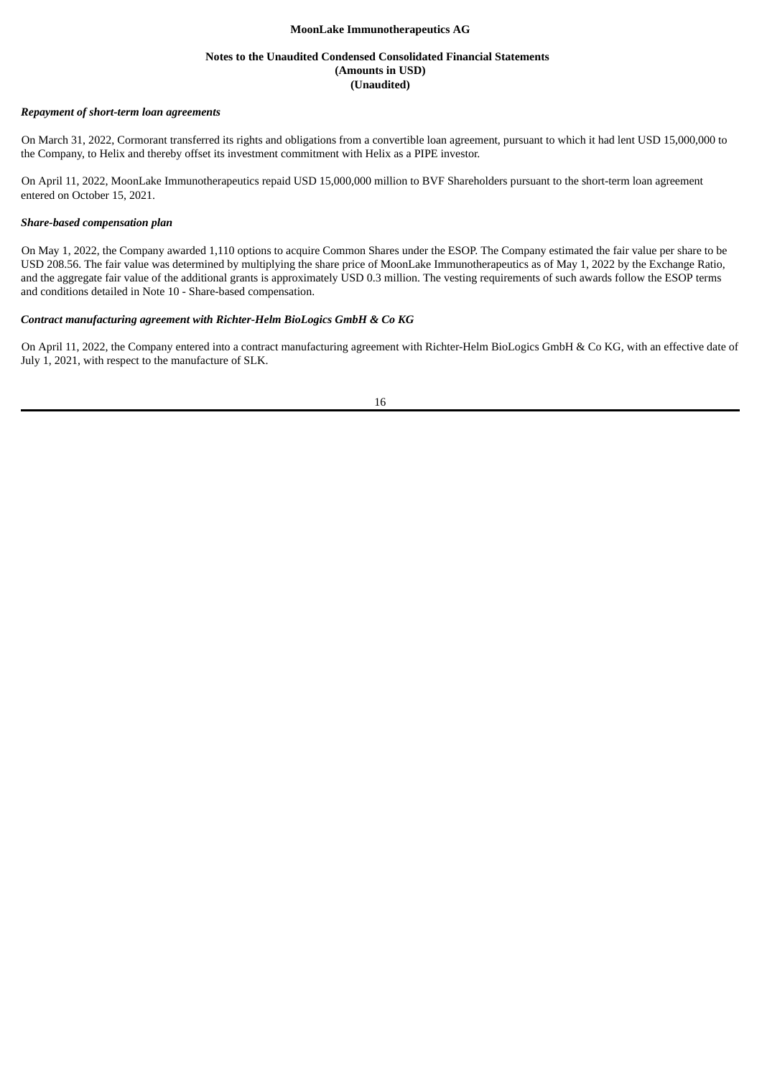### **Notes to the Unaudited Condensed Consolidated Financial Statements (Amounts in USD) (Unaudited)**

#### *Repayment of short-term loan agreements*

On March 31, 2022, Cormorant transferred its rights and obligations from a convertible loan agreement, pursuant to which it had lent USD 15,000,000 to the Company, to Helix and thereby offset its investment commitment with Helix as a PIPE investor.

On April 11, 2022, MoonLake Immunotherapeutics repaid USD 15,000,000 million to BVF Shareholders pursuant to the short-term loan agreement entered on October 15, 2021.

#### *Share-based compensation plan*

On May 1, 2022, the Company awarded 1,110 options to acquire Common Shares under the ESOP. The Company estimated the fair value per share to be USD 208.56. The fair value was determined by multiplying the share price of MoonLake Immunotherapeutics as of May 1, 2022 by the Exchange Ratio, and the aggregate fair value of the additional grants is approximately USD 0.3 million. The vesting requirements of such awards follow the ESOP terms and conditions detailed in Note 10 - Share-based compensation.

## *Contract manufacturing agreement with Richter-Helm BioLogics GmbH & Co KG*

On April 11, 2022, the Company entered into a contract manufacturing agreement with Richter-Helm BioLogics GmbH & Co KG, with an effective date of July 1, 2021, with respect to the manufacture of SLK.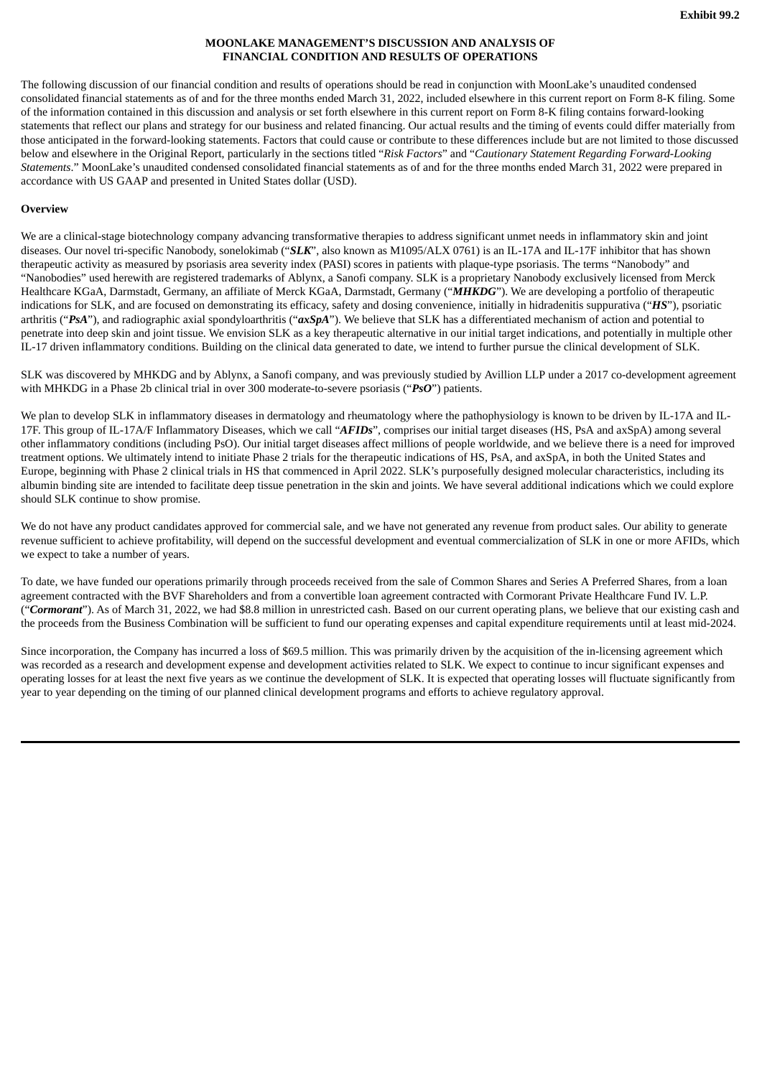## **MOONLAKE MANAGEMENT'S DISCUSSION AND ANALYSIS OF FINANCIAL CONDITION AND RESULTS OF OPERATIONS**

<span id="page-21-0"></span>The following discussion of our financial condition and results of operations should be read in conjunction with MoonLake's unaudited condensed consolidated financial statements as of and for the three months ended March 31, 2022, included elsewhere in this current report on Form 8-K filing. Some of the information contained in this discussion and analysis or set forth elsewhere in this current report on Form 8-K filing contains forward-looking statements that reflect our plans and strategy for our business and related financing. Our actual results and the timing of events could differ materially from those anticipated in the forward-looking statements. Factors that could cause or contribute to these differences include but are not limited to those discussed below and elsewhere in the Original Report, particularly in the sections titled "*Risk Factors*" and "*Cautionary Statement Regarding Forward-Looking Statements*." MoonLake's unaudited condensed consolidated financial statements as of and for the three months ended March 31, 2022 were prepared in accordance with US GAAP and presented in United States dollar (USD).

# **Overview**

We are a clinical-stage biotechnology company advancing transformative therapies to address significant unmet needs in inflammatory skin and joint diseases. Our novel tri-specific Nanobody, sonelokimab ("*SLK*", also known as M1095/ALX 0761) is an IL-17A and IL-17F inhibitor that has shown therapeutic activity as measured by psoriasis area severity index (PASI) scores in patients with plaque-type psoriasis. The terms "Nanobody" and "Nanobodies" used herewith are registered trademarks of Ablynx, a Sanofi company. SLK is a proprietary Nanobody exclusively licensed from Merck Healthcare KGaA, Darmstadt, Germany, an affiliate of Merck KGaA, Darmstadt, Germany ("*MHKDG*"). We are developing a portfolio of therapeutic indications for SLK, and are focused on demonstrating its efficacy, safety and dosing convenience, initially in hidradenitis suppurativa ("*HS*"), psoriatic arthritis ("*PsA*"), and radiographic axial spondyloarthritis ("*axSpA*"). We believe that SLK has a differentiated mechanism of action and potential to penetrate into deep skin and joint tissue. We envision SLK as a key therapeutic alternative in our initial target indications, and potentially in multiple other IL-17 driven inflammatory conditions. Building on the clinical data generated to date, we intend to further pursue the clinical development of SLK.

SLK was discovered by MHKDG and by Ablynx, a Sanofi company, and was previously studied by Avillion LLP under a 2017 co-development agreement with MHKDG in a Phase 2b clinical trial in over 300 moderate-to-severe psoriasis ("*PsO*") patients.

We plan to develop SLK in inflammatory diseases in dermatology and rheumatology where the pathophysiology is known to be driven by IL-17A and IL-17F. This group of IL-17A/F Inflammatory Diseases, which we call "*AFIDs*", comprises our initial target diseases (HS, PsA and axSpA) among several other inflammatory conditions (including PsO). Our initial target diseases affect millions of people worldwide, and we believe there is a need for improved treatment options. We ultimately intend to initiate Phase 2 trials for the therapeutic indications of HS, PsA, and axSpA, in both the United States and Europe, beginning with Phase 2 clinical trials in HS that commenced in April 2022. SLK's purposefully designed molecular characteristics, including its albumin binding site are intended to facilitate deep tissue penetration in the skin and joints. We have several additional indications which we could explore should SLK continue to show promise.

We do not have any product candidates approved for commercial sale, and we have not generated any revenue from product sales. Our ability to generate revenue sufficient to achieve profitability, will depend on the successful development and eventual commercialization of SLK in one or more AFIDs, which we expect to take a number of years.

To date, we have funded our operations primarily through proceeds received from the sale of Common Shares and Series A Preferred Shares, from a loan agreement contracted with the BVF Shareholders and from a convertible loan agreement contracted with Cormorant Private Healthcare Fund IV. L.P. ("Cormorant"). As of March 31, 2022, we had \$8.8 million in unrestricted cash. Based on our current operating plans, we believe that our existing cash and the proceeds from the Business Combination will be sufficient to fund our operating expenses and capital expenditure requirements until at least mid-2024.

Since incorporation, the Company has incurred a loss of \$69.5 million. This was primarily driven by the acquisition of the in-licensing agreement which was recorded as a research and development expense and development activities related to SLK. We expect to continue to incur significant expenses and operating losses for at least the next five years as we continue the development of SLK. It is expected that operating losses will fluctuate significantly from year to year depending on the timing of our planned clinical development programs and efforts to achieve regulatory approval.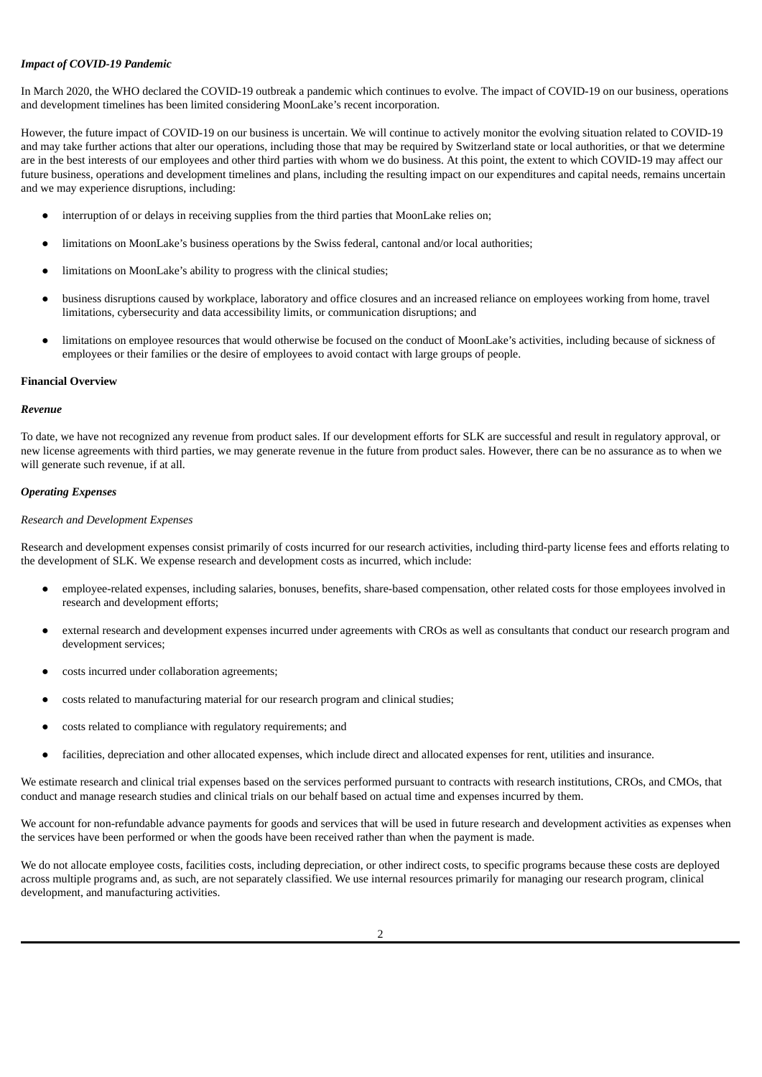## *Impact of COVID-19 Pandemic*

In March 2020, the WHO declared the COVID-19 outbreak a pandemic which continues to evolve. The impact of COVID-19 on our business, operations and development timelines has been limited considering MoonLake's recent incorporation.

However, the future impact of COVID-19 on our business is uncertain. We will continue to actively monitor the evolving situation related to COVID-19 and may take further actions that alter our operations, including those that may be required by Switzerland state or local authorities, or that we determine are in the best interests of our employees and other third parties with whom we do business. At this point, the extent to which COVID-19 may affect our future business, operations and development timelines and plans, including the resulting impact on our expenditures and capital needs, remains uncertain and we may experience disruptions, including:

- interruption of or delays in receiving supplies from the third parties that MoonLake relies on;
- limitations on MoonLake's business operations by the Swiss federal, cantonal and/or local authorities;
- limitations on MoonLake's ability to progress with the clinical studies;
- business disruptions caused by workplace, laboratory and office closures and an increased reliance on employees working from home, travel limitations, cybersecurity and data accessibility limits, or communication disruptions; and
- limitations on employee resources that would otherwise be focused on the conduct of MoonLake's activities, including because of sickness of employees or their families or the desire of employees to avoid contact with large groups of people.

#### **Financial Overview**

#### *Revenue*

To date, we have not recognized any revenue from product sales. If our development efforts for SLK are successful and result in regulatory approval, or new license agreements with third parties, we may generate revenue in the future from product sales. However, there can be no assurance as to when we will generate such revenue, if at all.

#### *Operating Expenses*

#### *Research and Development Expenses*

Research and development expenses consist primarily of costs incurred for our research activities, including third-party license fees and efforts relating to the development of SLK. We expense research and development costs as incurred, which include:

- employee-related expenses, including salaries, bonuses, benefits, share-based compensation, other related costs for those employees involved in research and development efforts;
- external research and development expenses incurred under agreements with CROs as well as consultants that conduct our research program and development services;
- costs incurred under collaboration agreements;
- costs related to manufacturing material for our research program and clinical studies;
- costs related to compliance with regulatory requirements; and
- facilities, depreciation and other allocated expenses, which include direct and allocated expenses for rent, utilities and insurance.

We estimate research and clinical trial expenses based on the services performed pursuant to contracts with research institutions, CROs, and CMOs, that conduct and manage research studies and clinical trials on our behalf based on actual time and expenses incurred by them.

We account for non-refundable advance payments for goods and services that will be used in future research and development activities as expenses when the services have been performed or when the goods have been received rather than when the payment is made.

We do not allocate employee costs, facilities costs, including depreciation, or other indirect costs, to specific programs because these costs are deployed across multiple programs and, as such, are not separately classified. We use internal resources primarily for managing our research program, clinical development, and manufacturing activities.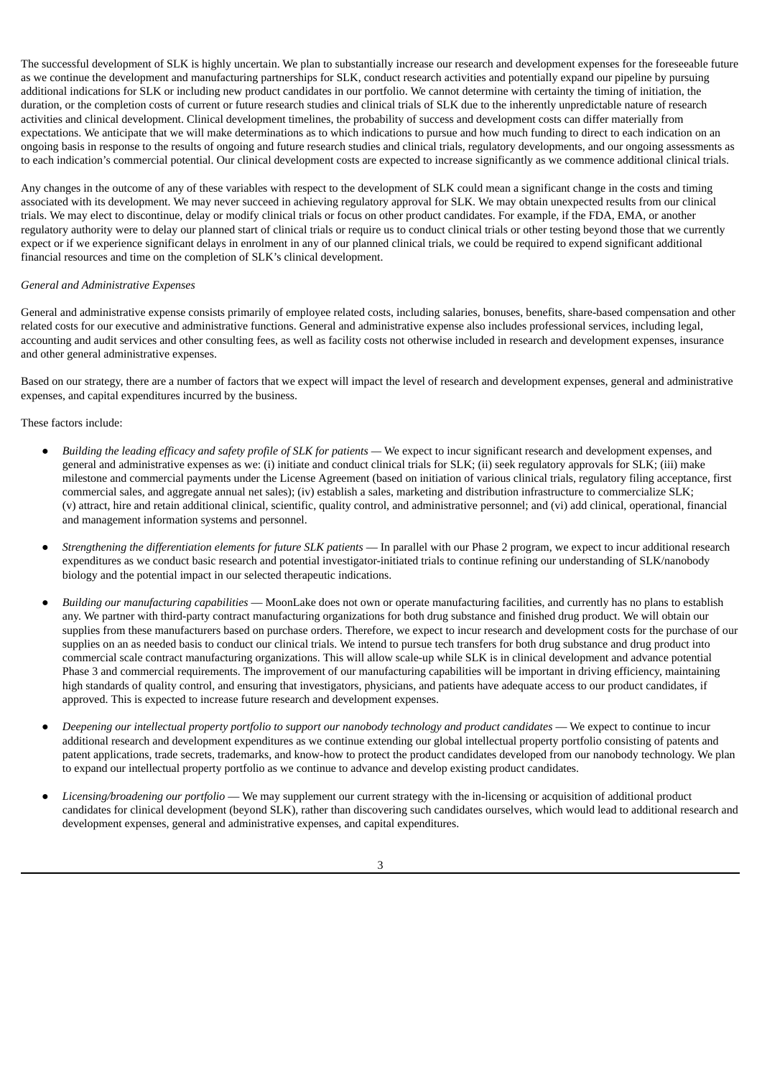The successful development of SLK is highly uncertain. We plan to substantially increase our research and development expenses for the foreseeable future as we continue the development and manufacturing partnerships for SLK, conduct research activities and potentially expand our pipeline by pursuing additional indications for SLK or including new product candidates in our portfolio. We cannot determine with certainty the timing of initiation, the duration, or the completion costs of current or future research studies and clinical trials of SLK due to the inherently unpredictable nature of research activities and clinical development. Clinical development timelines, the probability of success and development costs can differ materially from expectations. We anticipate that we will make determinations as to which indications to pursue and how much funding to direct to each indication on an ongoing basis in response to the results of ongoing and future research studies and clinical trials, regulatory developments, and our ongoing assessments as to each indication's commercial potential. Our clinical development costs are expected to increase significantly as we commence additional clinical trials.

Any changes in the outcome of any of these variables with respect to the development of SLK could mean a significant change in the costs and timing associated with its development. We may never succeed in achieving regulatory approval for SLK. We may obtain unexpected results from our clinical trials. We may elect to discontinue, delay or modify clinical trials or focus on other product candidates. For example, if the FDA, EMA, or another regulatory authority were to delay our planned start of clinical trials or require us to conduct clinical trials or other testing beyond those that we currently expect or if we experience significant delays in enrolment in any of our planned clinical trials, we could be required to expend significant additional financial resources and time on the completion of SLK's clinical development.

## *General and Administrative Expenses*

General and administrative expense consists primarily of employee related costs, including salaries, bonuses, benefits, share-based compensation and other related costs for our executive and administrative functions. General and administrative expense also includes professional services, including legal, accounting and audit services and other consulting fees, as well as facility costs not otherwise included in research and development expenses, insurance and other general administrative expenses.

Based on our strategy, there are a number of factors that we expect will impact the level of research and development expenses, general and administrative expenses, and capital expenditures incurred by the business.

These factors include:

- Building the leading efficacy and safety profile of SLK for patients We expect to incur significant research and development expenses, and general and administrative expenses as we: (i) initiate and conduct clinical trials for SLK; (ii) seek regulatory approvals for SLK; (iii) make milestone and commercial payments under the License Agreement (based on initiation of various clinical trials, regulatory filing acceptance, first commercial sales, and aggregate annual net sales); (iv) establish a sales, marketing and distribution infrastructure to commercialize SLK; (v) attract, hire and retain additional clinical, scientific, quality control, and administrative personnel; and (vi) add clinical, operational, financial and management information systems and personnel.
- *Strengthening the differentiation elements for future SLK patients* In parallel with our Phase 2 program, we expect to incur additional research expenditures as we conduct basic research and potential investigator-initiated trials to continue refining our understanding of SLK/nanobody biology and the potential impact in our selected therapeutic indications.
- *Building our manufacturing capabilities* MoonLake does not own or operate manufacturing facilities, and currently has no plans to establish any. We partner with third-party contract manufacturing organizations for both drug substance and finished drug product. We will obtain our supplies from these manufacturers based on purchase orders. Therefore, we expect to incur research and development costs for the purchase of our supplies on an as needed basis to conduct our clinical trials. We intend to pursue tech transfers for both drug substance and drug product into commercial scale contract manufacturing organizations. This will allow scale-up while SLK is in clinical development and advance potential Phase 3 and commercial requirements. The improvement of our manufacturing capabilities will be important in driving efficiency, maintaining high standards of quality control, and ensuring that investigators, physicians, and patients have adequate access to our product candidates, if approved. This is expected to increase future research and development expenses.
- Deepening our intellectual property portfolio to support our nanobody technology and product candidates We expect to continue to incur additional research and development expenditures as we continue extending our global intellectual property portfolio consisting of patents and patent applications, trade secrets, trademarks, and know-how to protect the product candidates developed from our nanobody technology. We plan to expand our intellectual property portfolio as we continue to advance and develop existing product candidates.
- *Licensing/broadening our portfolio* We may supplement our current strategy with the in-licensing or acquisition of additional product candidates for clinical development (beyond SLK), rather than discovering such candidates ourselves, which would lead to additional research and development expenses, general and administrative expenses, and capital expenditures.

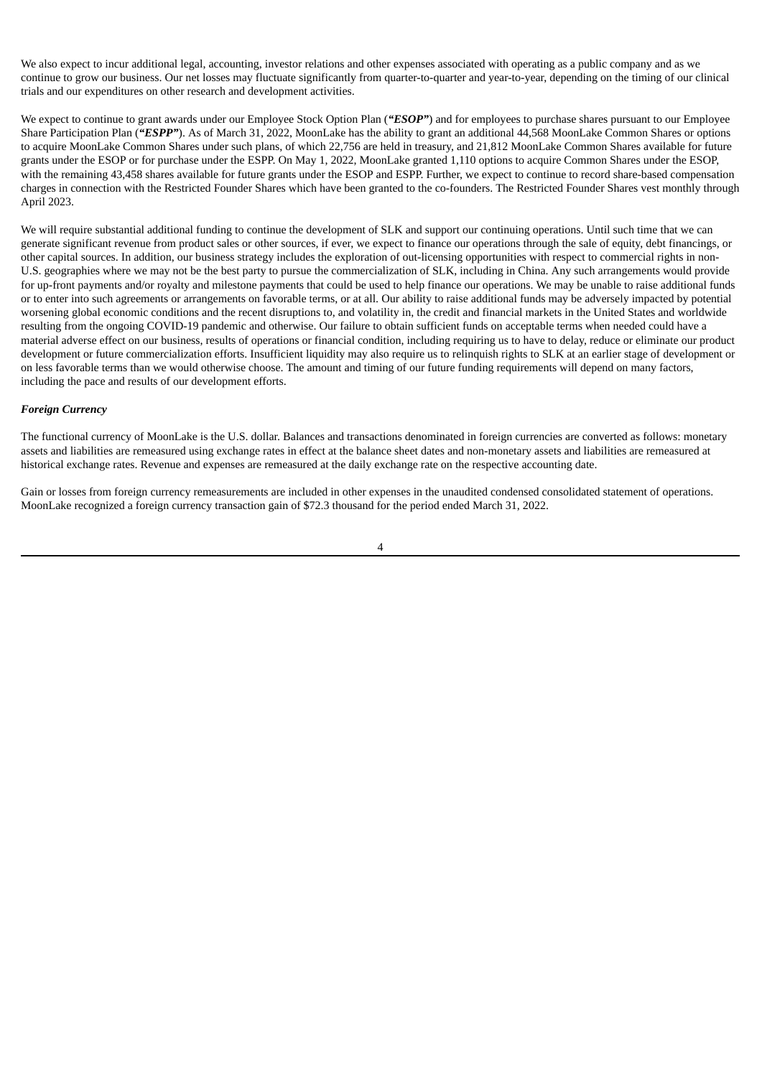We also expect to incur additional legal, accounting, investor relations and other expenses associated with operating as a public company and as we continue to grow our business. Our net losses may fluctuate significantly from quarter-to-quarter and year-to-year, depending on the timing of our clinical trials and our expenditures on other research and development activities.

We expect to continue to grant awards under our Employee Stock Option Plan (*"ESOP"*) and for employees to purchase shares pursuant to our Employee Share Participation Plan (*"ESPP"*). As of March 31, 2022, MoonLake has the ability to grant an additional 44,568 MoonLake Common Shares or options to acquire MoonLake Common Shares under such plans, of which 22,756 are held in treasury, and 21,812 MoonLake Common Shares available for future grants under the ESOP or for purchase under the ESPP. On May 1, 2022, MoonLake granted 1,110 options to acquire Common Shares under the ESOP, with the remaining 43,458 shares available for future grants under the ESOP and ESPP. Further, we expect to continue to record share-based compensation charges in connection with the Restricted Founder Shares which have been granted to the co-founders. The Restricted Founder Shares vest monthly through April 2023.

We will require substantial additional funding to continue the development of SLK and support our continuing operations. Until such time that we can generate significant revenue from product sales or other sources, if ever, we expect to finance our operations through the sale of equity, debt financings, or other capital sources. In addition, our business strategy includes the exploration of out-licensing opportunities with respect to commercial rights in non-U.S. geographies where we may not be the best party to pursue the commercialization of SLK, including in China. Any such arrangements would provide for up-front payments and/or royalty and milestone payments that could be used to help finance our operations. We may be unable to raise additional funds or to enter into such agreements or arrangements on favorable terms, or at all. Our ability to raise additional funds may be adversely impacted by potential worsening global economic conditions and the recent disruptions to, and volatility in, the credit and financial markets in the United States and worldwide resulting from the ongoing COVID-19 pandemic and otherwise. Our failure to obtain sufficient funds on acceptable terms when needed could have a material adverse effect on our business, results of operations or financial condition, including requiring us to have to delay, reduce or eliminate our product development or future commercialization efforts. Insufficient liquidity may also require us to relinquish rights to SLK at an earlier stage of development or on less favorable terms than we would otherwise choose. The amount and timing of our future funding requirements will depend on many factors, including the pace and results of our development efforts.

## *Foreign Currency*

The functional currency of MoonLake is the U.S. dollar. Balances and transactions denominated in foreign currencies are converted as follows: monetary assets and liabilities are remeasured using exchange rates in effect at the balance sheet dates and non-monetary assets and liabilities are remeasured at historical exchange rates. Revenue and expenses are remeasured at the daily exchange rate on the respective accounting date.

Gain or losses from foreign currency remeasurements are included in other expenses in the unaudited condensed consolidated statement of operations. MoonLake recognized a foreign currency transaction gain of \$72.3 thousand for the period ended March 31, 2022.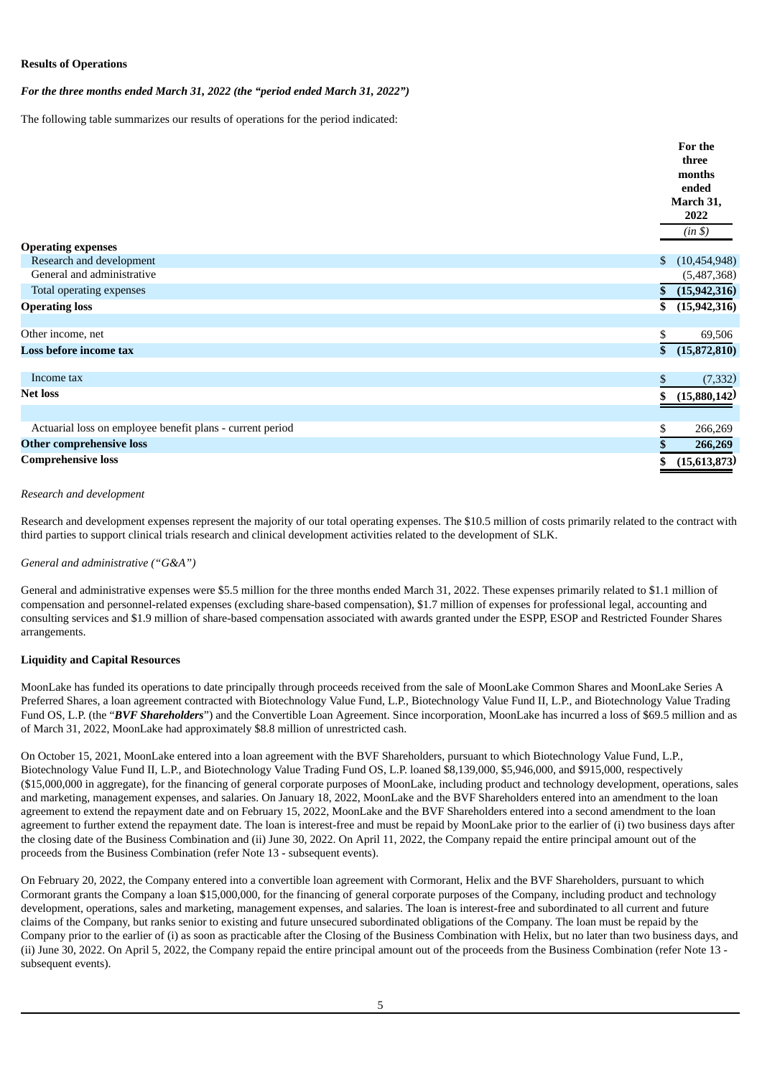# **Results of Operations**

*For the three months ended March 31, 2022 (the "period ended March 31, 2022")*

The following table summarizes our results of operations for the period indicated:

|                                                           | For the<br>three                 |
|-----------------------------------------------------------|----------------------------------|
|                                                           | months                           |
|                                                           | ended                            |
|                                                           | March 31,<br>2022                |
|                                                           | (in \$)                          |
| <b>Operating expenses</b>                                 |                                  |
| Research and development                                  | $\mathfrak{S}$<br>(10, 454, 948) |
| General and administrative                                | (5,487,368)                      |
| Total operating expenses                                  | (15, 942, 316)<br>\$             |
| <b>Operating loss</b>                                     | (15, 942, 316)<br>\$             |
| Other income, net                                         | \$<br>69,506                     |
| Loss before income tax                                    | (15,872,810)<br>\$               |
| Income tax                                                | \$<br>(7, 332)                   |
| <b>Net loss</b>                                           | (15,880,142)<br>\$               |
|                                                           |                                  |
| Actuarial loss on employee benefit plans - current period | \$<br>266,269                    |
| <b>Other comprehensive loss</b>                           | 266,269                          |
| <b>Comprehensive loss</b>                                 | (15,613,873)<br>\$               |

#### *Research and development*

Research and development expenses represent the majority of our total operating expenses. The \$10.5 million of costs primarily related to the contract with third parties to support clinical trials research and clinical development activities related to the development of SLK.

## *General and administrative ("G&A")*

General and administrative expenses were \$5.5 million for the three months ended March 31, 2022. These expenses primarily related to \$1.1 million of compensation and personnel-related expenses (excluding share-based compensation), \$1.7 million of expenses for professional legal, accounting and consulting services and \$1.9 million of share-based compensation associated with awards granted under the ESPP, ESOP and Restricted Founder Shares arrangements.

## **Liquidity and Capital Resources**

MoonLake has funded its operations to date principally through proceeds received from the sale of MoonLake Common Shares and MoonLake Series A Preferred Shares, a loan agreement contracted with Biotechnology Value Fund, L.P., Biotechnology Value Fund II, L.P., and Biotechnology Value Trading Fund OS, L.P. (the "*BVF Shareholders*") and the Convertible Loan Agreement. Since incorporation, MoonLake has incurred a loss of \$69.5 million and as of March 31, 2022, MoonLake had approximately \$8.8 million of unrestricted cash.

On October 15, 2021, MoonLake entered into a loan agreement with the BVF Shareholders, pursuant to which Biotechnology Value Fund, L.P., Biotechnology Value Fund II, L.P., and Biotechnology Value Trading Fund OS, L.P. loaned \$8,139,000, \$5,946,000, and \$915,000, respectively (\$15,000,000 in aggregate), for the financing of general corporate purposes of MoonLake, including product and technology development, operations, sales and marketing, management expenses, and salaries. On January 18, 2022, MoonLake and the BVF Shareholders entered into an amendment to the loan agreement to extend the repayment date and on February 15, 2022, MoonLake and the BVF Shareholders entered into a second amendment to the loan agreement to further extend the repayment date. The loan is interest-free and must be repaid by MoonLake prior to the earlier of (i) two business days after the closing date of the Business Combination and (ii) June 30, 2022. On April 11, 2022, the Company repaid the entire principal amount out of the proceeds from the Business Combination (refer Note 13 - subsequent events).

On February 20, 2022, the Company entered into a convertible loan agreement with Cormorant, Helix and the BVF Shareholders, pursuant to which Cormorant grants the Company a loan \$15,000,000, for the financing of general corporate purposes of the Company, including product and technology development, operations, sales and marketing, management expenses, and salaries. The loan is interest-free and subordinated to all current and future claims of the Company, but ranks senior to existing and future unsecured subordinated obligations of the Company. The loan must be repaid by the Company prior to the earlier of (i) as soon as practicable after the Closing of the Business Combination with Helix, but no later than two business days, and (ii) June 30, 2022. On April 5, 2022, the Company repaid the entire principal amount out of the proceeds from the Business Combination (refer Note 13 subsequent events).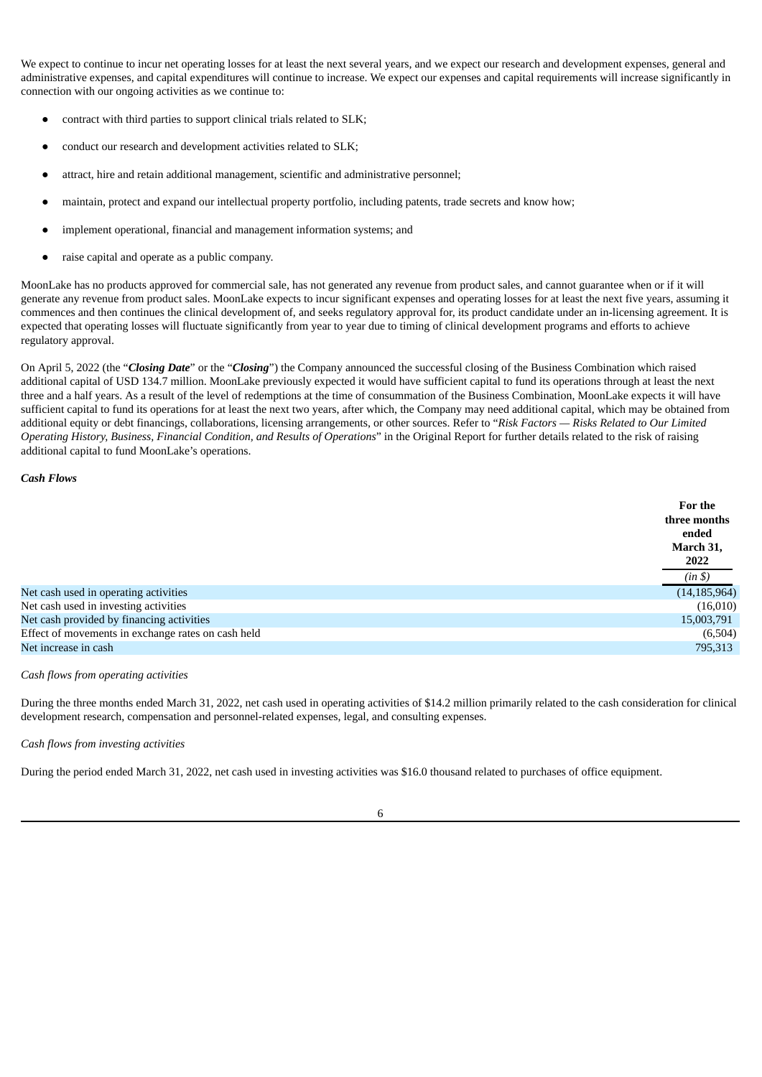We expect to continue to incur net operating losses for at least the next several years, and we expect our research and development expenses, general and administrative expenses, and capital expenditures will continue to increase. We expect our expenses and capital requirements will increase significantly in connection with our ongoing activities as we continue to:

- contract with third parties to support clinical trials related to SLK;
- conduct our research and development activities related to SLK;
- attract, hire and retain additional management, scientific and administrative personnel;
- maintain, protect and expand our intellectual property portfolio, including patents, trade secrets and know how;
- implement operational, financial and management information systems; and
- raise capital and operate as a public company.

MoonLake has no products approved for commercial sale, has not generated any revenue from product sales, and cannot guarantee when or if it will generate any revenue from product sales. MoonLake expects to incur significant expenses and operating losses for at least the next five years, assuming it commences and then continues the clinical development of, and seeks regulatory approval for, its product candidate under an in-licensing agreement. It is expected that operating losses will fluctuate significantly from year to year due to timing of clinical development programs and efforts to achieve regulatory approval.

On April 5, 2022 (the "*Closing Date*" or the "*Closing*") the Company announced the successful closing of the Business Combination which raised additional capital of USD 134.7 million. MoonLake previously expected it would have sufficient capital to fund its operations through at least the next three and a half years. As a result of the level of redemptions at the time of consummation of the Business Combination, MoonLake expects it will have sufficient capital to fund its operations for at least the next two years, after which, the Company may need additional capital, which may be obtained from additional equity or debt financings, collaborations, licensing arrangements, or other sources. Refer to "*Risk Factors — Risks Related to Our Limited Operating History, Business, Financial Condition, and Results of Operations*" in the Original Report for further details related to the risk of raising additional capital to fund MoonLake's operations.

## *Cash Flows*

|                                                    | For the<br>three months<br>ended<br>March 31,<br>2022 |
|----------------------------------------------------|-------------------------------------------------------|
|                                                    | (in \$)                                               |
| Net cash used in operating activities              | (14, 185, 964)                                        |
| Net cash used in investing activities              | (16,010)                                              |
| Net cash provided by financing activities          | 15,003,791                                            |
| Effect of movements in exchange rates on cash held | (6,504)                                               |
| Net increase in cash                               | 795,313                                               |

#### *Cash flows from operating activities*

During the three months ended March 31, 2022, net cash used in operating activities of \$14.2 million primarily related to the cash consideration for clinical development research, compensation and personnel-related expenses, legal, and consulting expenses.

#### *Cash flows from investing activities*

During the period ended March 31, 2022, net cash used in investing activities was \$16.0 thousand related to purchases of office equipment.

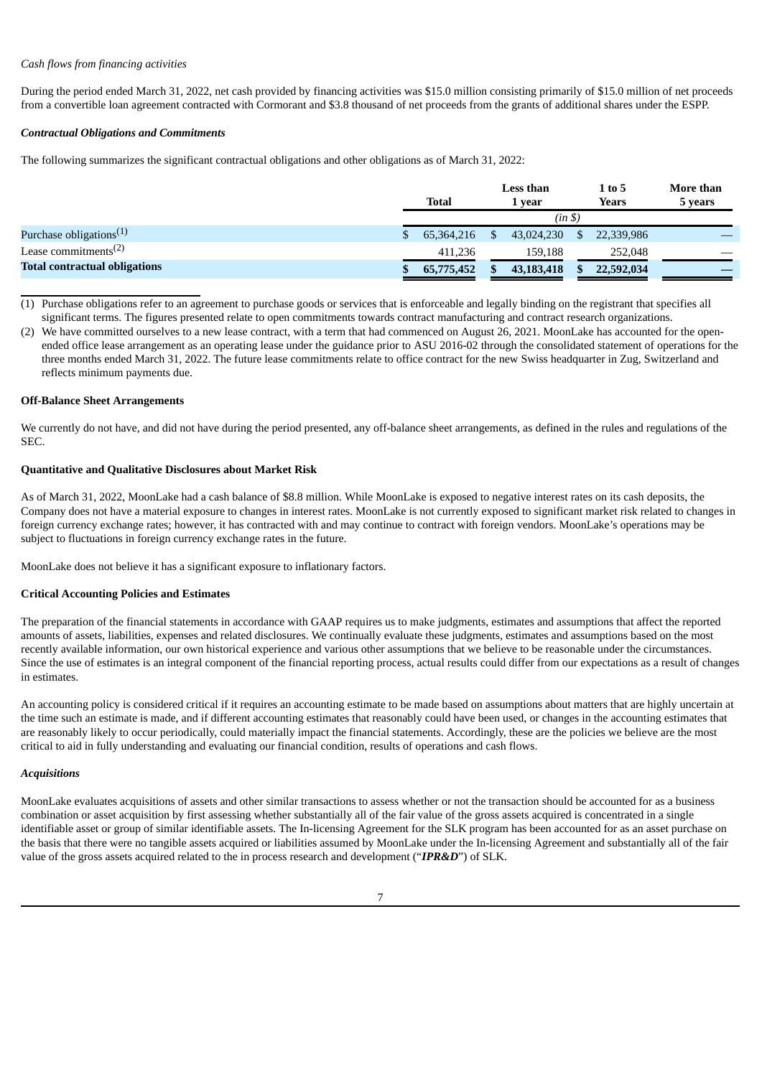## *Cash flows from financing activities*

During the period ended March 31, 2022, net cash provided by financing activities was \$15.0 million consisting primarily of \$15.0 million of net proceeds from a convertible loan agreement contracted with Cormorant and \$3.8 thousand of net proceeds from the grants of additional shares under the ESPP.

## *Contractual Obligations and Commitments*

The following summarizes the significant contractual obligations and other obligations as of March 31, 2022:

|                                               | <b>Total</b> | Less than<br>1 vear |            |    | 1 to 5<br>Years | More than<br>5 years |
|-----------------------------------------------|--------------|---------------------|------------|----|-----------------|----------------------|
|                                               | (in \$)      |                     |            |    |                 |                      |
| Purchase obligations <sup>(1)</sup>           | 65,364,216   |                     | 43,024,230 | \$ | 22,339,986      |                      |
| Lease commitments <sup><math>(2)</math></sup> | 411.236      |                     | 159.188    |    | 252,048         |                      |
| <b>Total contractual obligations</b>          | 65,775,452   |                     | 43,183,418 |    | 22,592,034      |                      |

(1) Purchase obligations refer to an agreement to purchase goods or services that is enforceable and legally binding on the registrant that specifies all significant terms. The figures presented relate to open commitments towards contract manufacturing and contract research organizations.

(2) We have committed ourselves to a new lease contract, with a term that had commenced on August 26, 2021. MoonLake has accounted for the openended office lease arrangement as an operating lease under the guidance prior to ASU 2016-02 through the consolidated statement of operations for the three months ended March 31, 2022. The future lease commitments relate to office contract for the new Swiss headquarter in Zug, Switzerland and reflects minimum payments due.

## **Off-Balance Sheet Arrangements**

We currently do not have, and did not have during the period presented, any off-balance sheet arrangements, as defined in the rules and regulations of the SEC.

## **Quantitative and Qualitative Disclosures about Market Risk**

As of March 31, 2022, MoonLake had a cash balance of \$8.8 million. While MoonLake is exposed to negative interest rates on its cash deposits, the Company does not have a material exposure to changes in interest rates. MoonLake is not currently exposed to significant market risk related to changes in foreign currency exchange rates; however, it has contracted with and may continue to contract with foreign vendors. MoonLake's operations may be subject to fluctuations in foreign currency exchange rates in the future.

MoonLake does not believe it has a significant exposure to inflationary factors.

## **Critical Accounting Policies and Estimates**

The preparation of the financial statements in accordance with GAAP requires us to make judgments, estimates and assumptions that affect the reported amounts of assets, liabilities, expenses and related disclosures. We continually evaluate these judgments, estimates and assumptions based on the most recently available information, our own historical experience and various other assumptions that we believe to be reasonable under the circumstances. Since the use of estimates is an integral component of the financial reporting process, actual results could differ from our expectations as a result of changes in estimates.

An accounting policy is considered critical if it requires an accounting estimate to be made based on assumptions about matters that are highly uncertain at the time such an estimate is made, and if different accounting estimates that reasonably could have been used, or changes in the accounting estimates that are reasonably likely to occur periodically, could materially impact the financial statements. Accordingly, these are the policies we believe are the most critical to aid in fully understanding and evaluating our financial condition, results of operations and cash flows.

## *Acquisitions*

MoonLake evaluates acquisitions of assets and other similar transactions to assess whether or not the transaction should be accounted for as a business combination or asset acquisition by first assessing whether substantially all of the fair value of the gross assets acquired is concentrated in a single identifiable asset or group of similar identifiable assets. The In-licensing Agreement for the SLK program has been accounted for as an asset purchase on the basis that there were no tangible assets acquired or liabilities assumed by MoonLake under the In-licensing Agreement and substantially all of the fair value of the gross assets acquired related to the in process research and development ("*IPR&D*") of SLK.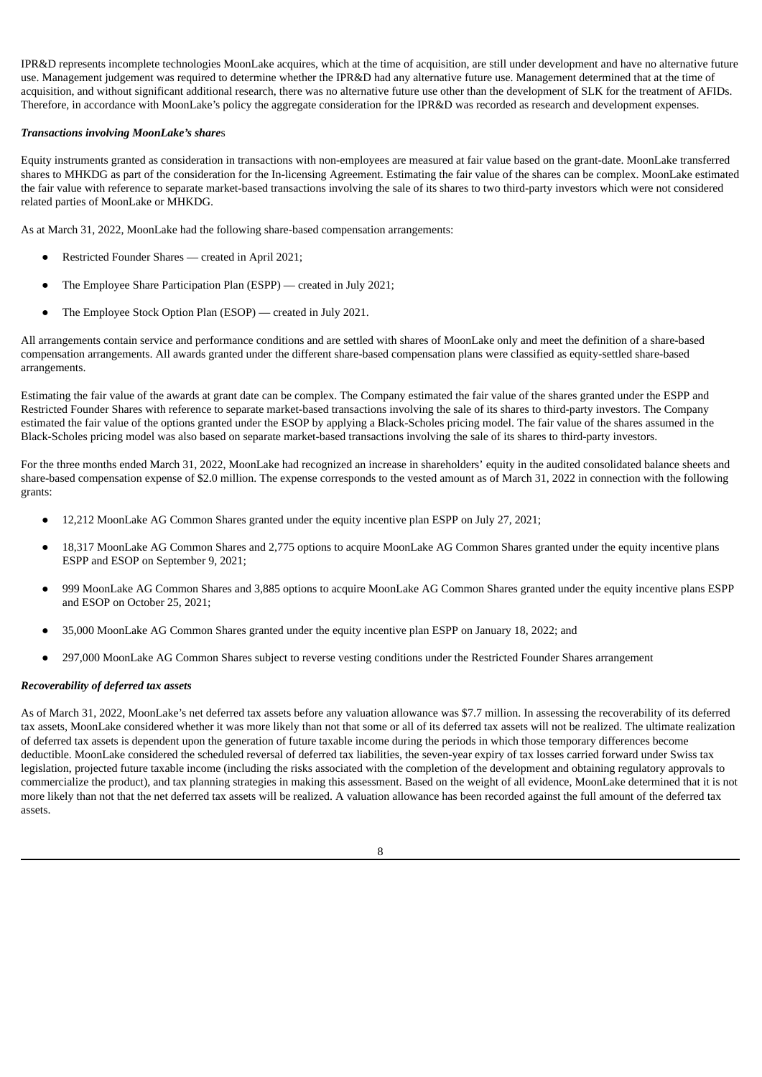IPR&D represents incomplete technologies MoonLake acquires, which at the time of acquisition, are still under development and have no alternative future use. Management judgement was required to determine whether the IPR&D had any alternative future use. Management determined that at the time of acquisition, and without significant additional research, there was no alternative future use other than the development of SLK for the treatment of AFIDs. Therefore, in accordance with MoonLake's policy the aggregate consideration for the IPR&D was recorded as research and development expenses.

## *Transactions involving MoonLake's share*s

Equity instruments granted as consideration in transactions with non-employees are measured at fair value based on the grant-date. MoonLake transferred shares to MHKDG as part of the consideration for the In-licensing Agreement. Estimating the fair value of the shares can be complex. MoonLake estimated the fair value with reference to separate market-based transactions involving the sale of its shares to two third-party investors which were not considered related parties of MoonLake or MHKDG.

As at March 31, 2022, MoonLake had the following share-based compensation arrangements:

- Restricted Founder Shares created in April 2021;
- The Employee Share Participation Plan (ESPP) created in July 2021;
- The Employee Stock Option Plan (ESOP) created in July 2021.

All arrangements contain service and performance conditions and are settled with shares of MoonLake only and meet the definition of a share-based compensation arrangements. All awards granted under the different share-based compensation plans were classified as equity-settled share-based arrangements.

Estimating the fair value of the awards at grant date can be complex. The Company estimated the fair value of the shares granted under the ESPP and Restricted Founder Shares with reference to separate market-based transactions involving the sale of its shares to third-party investors. The Company estimated the fair value of the options granted under the ESOP by applying a Black-Scholes pricing model. The fair value of the shares assumed in the Black-Scholes pricing model was also based on separate market-based transactions involving the sale of its shares to third-party investors.

For the three months ended March 31, 2022, MoonLake had recognized an increase in shareholders' equity in the audited consolidated balance sheets and share-based compensation expense of \$2.0 million. The expense corresponds to the vested amount as of March 31, 2022 in connection with the following grants:

- 12,212 MoonLake AG Common Shares granted under the equity incentive plan ESPP on July 27, 2021;
- 18,317 MoonLake AG Common Shares and 2,775 options to acquire MoonLake AG Common Shares granted under the equity incentive plans ESPP and ESOP on September 9, 2021;
- 999 MoonLake AG Common Shares and 3,885 options to acquire MoonLake AG Common Shares granted under the equity incentive plans ESPP and ESOP on October 25, 2021;
- 35,000 MoonLake AG Common Shares granted under the equity incentive plan ESPP on January 18, 2022; and
- 297,000 MoonLake AG Common Shares subject to reverse vesting conditions under the Restricted Founder Shares arrangement

## *Recoverability of deferred tax assets*

As of March 31, 2022, MoonLake's net deferred tax assets before any valuation allowance was \$7.7 million. In assessing the recoverability of its deferred tax assets, MoonLake considered whether it was more likely than not that some or all of its deferred tax assets will not be realized. The ultimate realization of deferred tax assets is dependent upon the generation of future taxable income during the periods in which those temporary differences become deductible. MoonLake considered the scheduled reversal of deferred tax liabilities, the seven-year expiry of tax losses carried forward under Swiss tax legislation, projected future taxable income (including the risks associated with the completion of the development and obtaining regulatory approvals to commercialize the product), and tax planning strategies in making this assessment. Based on the weight of all evidence, MoonLake determined that it is not more likely than not that the net deferred tax assets will be realized. A valuation allowance has been recorded against the full amount of the deferred tax assets.

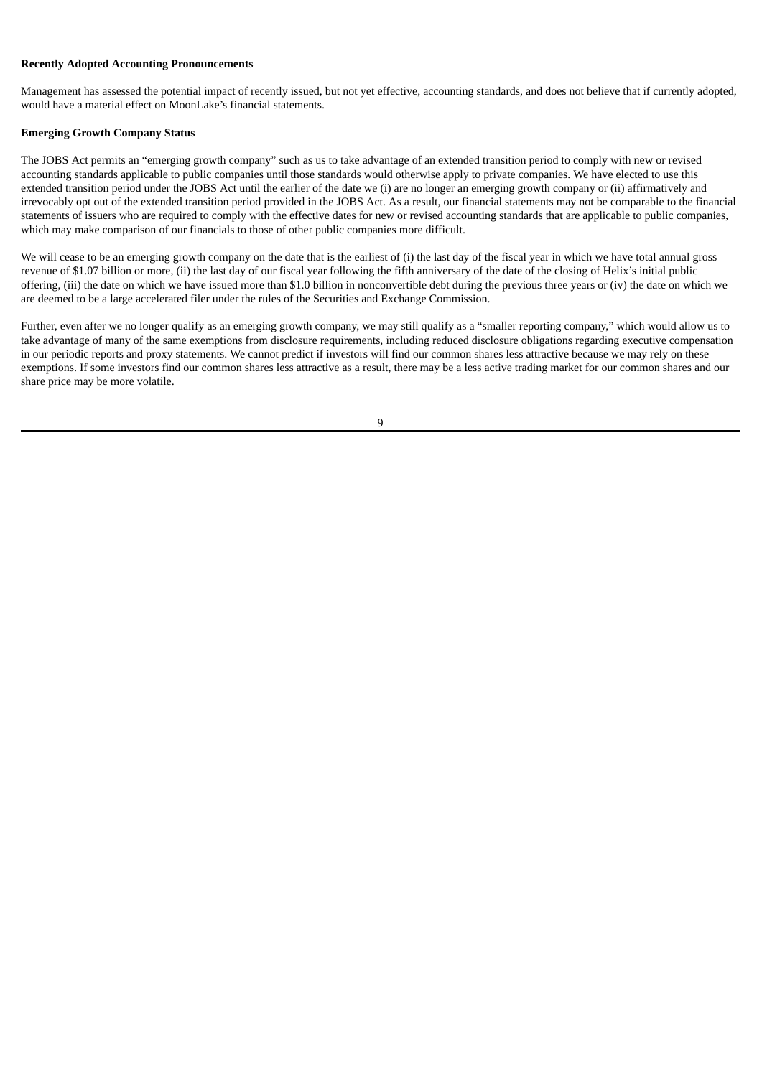## **Recently Adopted Accounting Pronouncements**

Management has assessed the potential impact of recently issued, but not yet effective, accounting standards, and does not believe that if currently adopted, would have a material effect on MoonLake's financial statements.

# **Emerging Growth Company Status**

The JOBS Act permits an "emerging growth company" such as us to take advantage of an extended transition period to comply with new or revised accounting standards applicable to public companies until those standards would otherwise apply to private companies. We have elected to use this extended transition period under the JOBS Act until the earlier of the date we (i) are no longer an emerging growth company or (ii) affirmatively and irrevocably opt out of the extended transition period provided in the JOBS Act. As a result, our financial statements may not be comparable to the financial statements of issuers who are required to comply with the effective dates for new or revised accounting standards that are applicable to public companies, which may make comparison of our financials to those of other public companies more difficult.

We will cease to be an emerging growth company on the date that is the earliest of (i) the last day of the fiscal year in which we have total annual gross revenue of \$1.07 billion or more, (ii) the last day of our fiscal year following the fifth anniversary of the date of the closing of Helix's initial public offering, (iii) the date on which we have issued more than \$1.0 billion in nonconvertible debt during the previous three years or (iv) the date on which we are deemed to be a large accelerated filer under the rules of the Securities and Exchange Commission.

Further, even after we no longer qualify as an emerging growth company, we may still qualify as a "smaller reporting company," which would allow us to take advantage of many of the same exemptions from disclosure requirements, including reduced disclosure obligations regarding executive compensation in our periodic reports and proxy statements. We cannot predict if investors will find our common shares less attractive because we may rely on these exemptions. If some investors find our common shares less attractive as a result, there may be a less active trading market for our common shares and our share price may be more volatile.

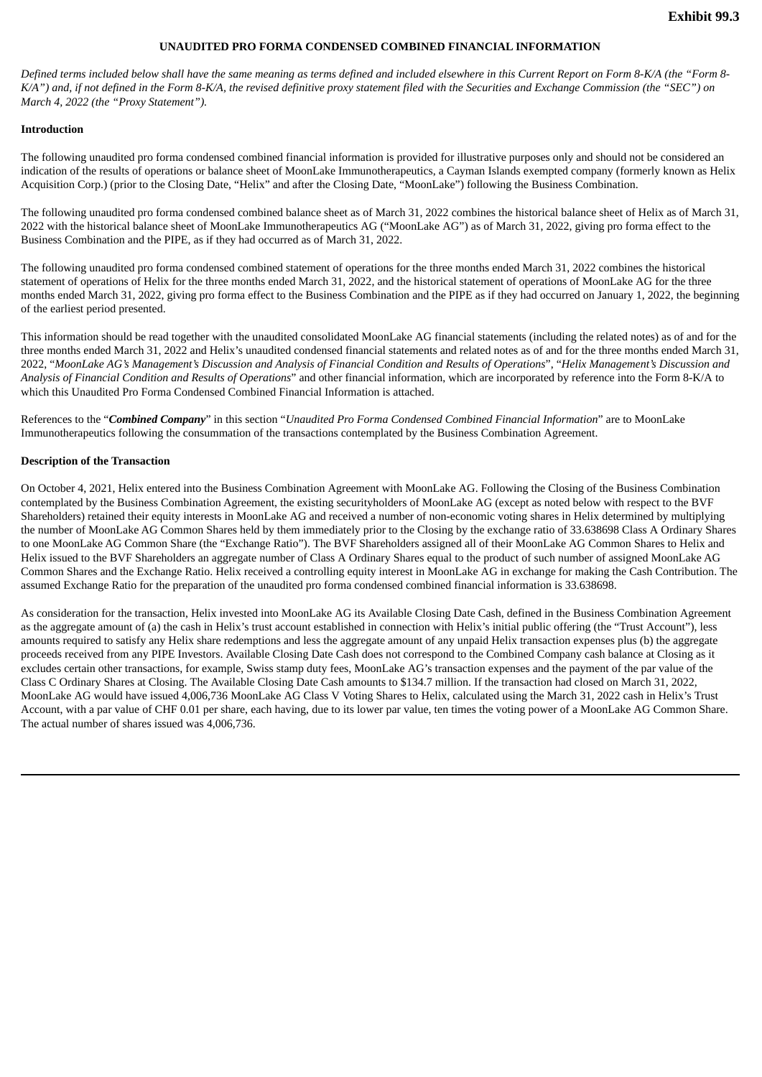## **UNAUDITED PRO FORMA CONDENSED COMBINED FINANCIAL INFORMATION**

<span id="page-30-0"></span>Defined terms included below shall have the same meaning as terms defined and included elsewhere in this Current Report on Form 8-K/A (the "Form 8-K/A") and, if not defined in the Form 8-K/A, the revised definitive proxy statement filed with the Securities and Exchange Commission (the "SEC") on *March 4, 2022 (the "Proxy Statement").*

## **Introduction**

The following unaudited pro forma condensed combined financial information is provided for illustrative purposes only and should not be considered an indication of the results of operations or balance sheet of MoonLake Immunotherapeutics, a Cayman Islands exempted company (formerly known as Helix Acquisition Corp.) (prior to the Closing Date, "Helix" and after the Closing Date, "MoonLake") following the Business Combination.

The following unaudited pro forma condensed combined balance sheet as of March 31, 2022 combines the historical balance sheet of Helix as of March 31, 2022 with the historical balance sheet of MoonLake Immunotherapeutics AG ("MoonLake AG") as of March 31, 2022, giving pro forma effect to the Business Combination and the PIPE, as if they had occurred as of March 31, 2022.

The following unaudited pro forma condensed combined statement of operations for the three months ended March 31, 2022 combines the historical statement of operations of Helix for the three months ended March 31, 2022, and the historical statement of operations of MoonLake AG for the three months ended March 31, 2022, giving pro forma effect to the Business Combination and the PIPE as if they had occurred on January 1, 2022, the beginning of the earliest period presented.

This information should be read together with the unaudited consolidated MoonLake AG financial statements (including the related notes) as of and for the three months ended March 31, 2022 and Helix's unaudited condensed financial statements and related notes as of and for the three months ended March 31, 2022, "MoonLake AG's Management's Discussion and Analysis of Financial Condition and Results of Operations", "Helix Management's Discussion and *Analysis of Financial Condition and Results of Operations*" and other financial information, which are incorporated by reference into the Form 8-K/A to which this Unaudited Pro Forma Condensed Combined Financial Information is attached.

References to the "*Combined Company*" in this section "*Unaudited Pro Forma Condensed Combined Financial Information*" are to MoonLake Immunotherapeutics following the consummation of the transactions contemplated by the Business Combination Agreement.

#### **Description of the Transaction**

On October 4, 2021, Helix entered into the Business Combination Agreement with MoonLake AG. Following the Closing of the Business Combination contemplated by the Business Combination Agreement, the existing securityholders of MoonLake AG (except as noted below with respect to the BVF Shareholders) retained their equity interests in MoonLake AG and received a number of non-economic voting shares in Helix determined by multiplying the number of MoonLake AG Common Shares held by them immediately prior to the Closing by the exchange ratio of 33.638698 Class A Ordinary Shares to one MoonLake AG Common Share (the "Exchange Ratio"). The BVF Shareholders assigned all of their MoonLake AG Common Shares to Helix and Helix issued to the BVF Shareholders an aggregate number of Class A Ordinary Shares equal to the product of such number of assigned MoonLake AG Common Shares and the Exchange Ratio. Helix received a controlling equity interest in MoonLake AG in exchange for making the Cash Contribution. The assumed Exchange Ratio for the preparation of the unaudited pro forma condensed combined financial information is 33.638698.

As consideration for the transaction, Helix invested into MoonLake AG its Available Closing Date Cash, defined in the Business Combination Agreement as the aggregate amount of (a) the cash in Helix's trust account established in connection with Helix's initial public offering (the "Trust Account"), less amounts required to satisfy any Helix share redemptions and less the aggregate amount of any unpaid Helix transaction expenses plus (b) the aggregate proceeds received from any PIPE Investors. Available Closing Date Cash does not correspond to the Combined Company cash balance at Closing as it excludes certain other transactions, for example, Swiss stamp duty fees, MoonLake AG's transaction expenses and the payment of the par value of the Class C Ordinary Shares at Closing. The Available Closing Date Cash amounts to \$134.7 million. If the transaction had closed on March 31, 2022, MoonLake AG would have issued 4,006,736 MoonLake AG Class V Voting Shares to Helix, calculated using the March 31, 2022 cash in Helix's Trust Account, with a par value of CHF 0.01 per share, each having, due to its lower par value, ten times the voting power of a MoonLake AG Common Share. The actual number of shares issued was 4,006,736.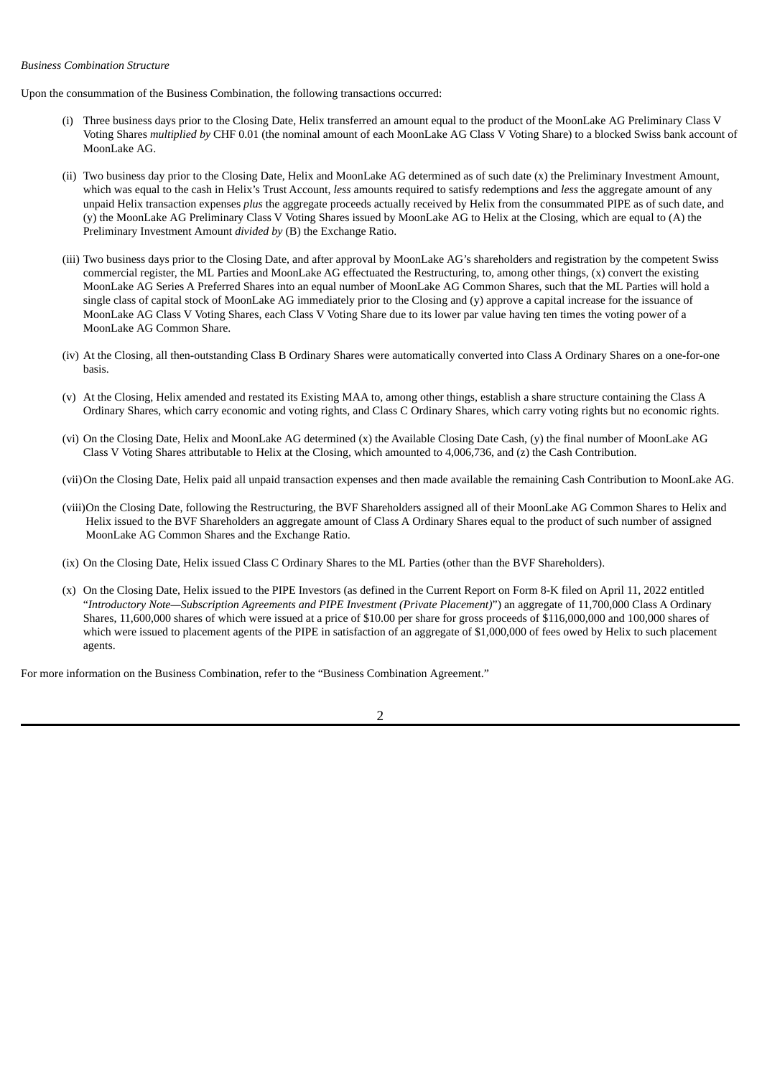### *Business Combination Structure*

Upon the consummation of the Business Combination, the following transactions occurred:

- (i) Three business days prior to the Closing Date, Helix transferred an amount equal to the product of the MoonLake AG Preliminary Class V Voting Shares *multiplied by* CHF 0.01 (the nominal amount of each MoonLake AG Class V Voting Share) to a blocked Swiss bank account of MoonLake AG.
- (ii) Two business day prior to the Closing Date, Helix and MoonLake AG determined as of such date (x) the Preliminary Investment Amount, which was equal to the cash in Helix's Trust Account, *less* amounts required to satisfy redemptions and *less* the aggregate amount of any unpaid Helix transaction expenses *plus* the aggregate proceeds actually received by Helix from the consummated PIPE as of such date, and (y) the MoonLake AG Preliminary Class V Voting Shares issued by MoonLake AG to Helix at the Closing, which are equal to (A) the Preliminary Investment Amount *divided by* (B) the Exchange Ratio.
- (iii) Two business days prior to the Closing Date, and after approval by MoonLake AG's shareholders and registration by the competent Swiss commercial register, the ML Parties and MoonLake AG effectuated the Restructuring, to, among other things, (x) convert the existing MoonLake AG Series A Preferred Shares into an equal number of MoonLake AG Common Shares, such that the ML Parties will hold a single class of capital stock of MoonLake AG immediately prior to the Closing and (y) approve a capital increase for the issuance of MoonLake AG Class V Voting Shares, each Class V Voting Share due to its lower par value having ten times the voting power of a MoonLake AG Common Share.
- (iv) At the Closing, all then-outstanding Class B Ordinary Shares were automatically converted into Class A Ordinary Shares on a one-for-one basis.
- (v) At the Closing, Helix amended and restated its Existing MAA to, among other things, establish a share structure containing the Class A Ordinary Shares, which carry economic and voting rights, and Class C Ordinary Shares, which carry voting rights but no economic rights.
- (vi) On the Closing Date, Helix and MoonLake AG determined (x) the Available Closing Date Cash, (y) the final number of MoonLake AG Class V Voting Shares attributable to Helix at the Closing, which amounted to 4,006,736, and (z) the Cash Contribution.
- (vii)On the Closing Date, Helix paid all unpaid transaction expenses and then made available the remaining Cash Contribution to MoonLake AG.
- (viii)On the Closing Date, following the Restructuring, the BVF Shareholders assigned all of their MoonLake AG Common Shares to Helix and Helix issued to the BVF Shareholders an aggregate amount of Class A Ordinary Shares equal to the product of such number of assigned MoonLake AG Common Shares and the Exchange Ratio.
- (ix) On the Closing Date, Helix issued Class C Ordinary Shares to the ML Parties (other than the BVF Shareholders).
- (x) On the Closing Date, Helix issued to the PIPE Investors (as defined in the Current Report on Form 8-K filed on April 11, 2022 entitled "*Introductory Note—Subscription Agreements and PIPE Investment (Private Placement)*") an aggregate of 11,700,000 Class A Ordinary Shares, 11,600,000 shares of which were issued at a price of \$10.00 per share for gross proceeds of \$116,000,000 and 100,000 shares of which were issued to placement agents of the PIPE in satisfaction of an aggregate of \$1,000,000 of fees owed by Helix to such placement agents.

For more information on the Business Combination, refer to the "Business Combination Agreement."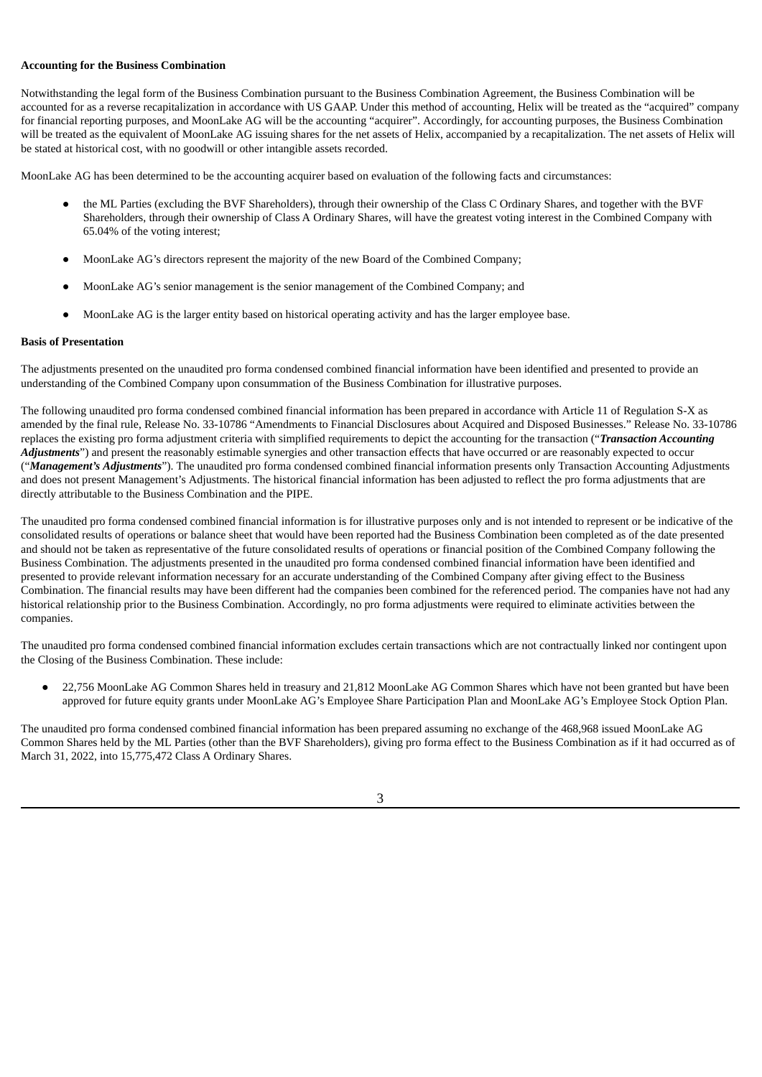### **Accounting for the Business Combination**

Notwithstanding the legal form of the Business Combination pursuant to the Business Combination Agreement, the Business Combination will be accounted for as a reverse recapitalization in accordance with US GAAP. Under this method of accounting, Helix will be treated as the "acquired" company for financial reporting purposes, and MoonLake AG will be the accounting "acquirer". Accordingly, for accounting purposes, the Business Combination will be treated as the equivalent of MoonLake AG issuing shares for the net assets of Helix, accompanied by a recapitalization. The net assets of Helix will be stated at historical cost, with no goodwill or other intangible assets recorded.

MoonLake AG has been determined to be the accounting acquirer based on evaluation of the following facts and circumstances:

- the ML Parties (excluding the BVF Shareholders), through their ownership of the Class C Ordinary Shares, and together with the BVF Shareholders, through their ownership of Class A Ordinary Shares, will have the greatest voting interest in the Combined Company with 65.04% of the voting interest;
- MoonLake AG's directors represent the majority of the new Board of the Combined Company;
- MoonLake AG's senior management is the senior management of the Combined Company; and
- MoonLake AG is the larger entity based on historical operating activity and has the larger employee base.

# **Basis of Presentation**

The adjustments presented on the unaudited pro forma condensed combined financial information have been identified and presented to provide an understanding of the Combined Company upon consummation of the Business Combination for illustrative purposes.

The following unaudited pro forma condensed combined financial information has been prepared in accordance with Article 11 of Regulation S-X as amended by the final rule, Release No. 33-10786 "Amendments to Financial Disclosures about Acquired and Disposed Businesses." Release No. 33-10786 replaces the existing pro forma adjustment criteria with simplified requirements to depict the accounting for the transaction ("*Transaction Accounting* Adjustments") and present the reasonably estimable synergies and other transaction effects that have occurred or are reasonably expected to occur ("*Management's Adjustments*"). The unaudited pro forma condensed combined financial information presents only Transaction Accounting Adjustments and does not present Management's Adjustments. The historical financial information has been adjusted to reflect the pro forma adjustments that are directly attributable to the Business Combination and the PIPE.

The unaudited pro forma condensed combined financial information is for illustrative purposes only and is not intended to represent or be indicative of the consolidated results of operations or balance sheet that would have been reported had the Business Combination been completed as of the date presented and should not be taken as representative of the future consolidated results of operations or financial position of the Combined Company following the Business Combination. The adjustments presented in the unaudited pro forma condensed combined financial information have been identified and presented to provide relevant information necessary for an accurate understanding of the Combined Company after giving effect to the Business Combination. The financial results may have been different had the companies been combined for the referenced period. The companies have not had any historical relationship prior to the Business Combination. Accordingly, no pro forma adjustments were required to eliminate activities between the companies.

The unaudited pro forma condensed combined financial information excludes certain transactions which are not contractually linked nor contingent upon the Closing of the Business Combination. These include:

22,756 MoonLake AG Common Shares held in treasury and 21,812 MoonLake AG Common Shares which have not been granted but have been approved for future equity grants under MoonLake AG's Employee Share Participation Plan and MoonLake AG's Employee Stock Option Plan.

The unaudited pro forma condensed combined financial information has been prepared assuming no exchange of the 468,968 issued MoonLake AG Common Shares held by the ML Parties (other than the BVF Shareholders), giving pro forma effect to the Business Combination as if it had occurred as of March 31, 2022, into 15,775,472 Class A Ordinary Shares.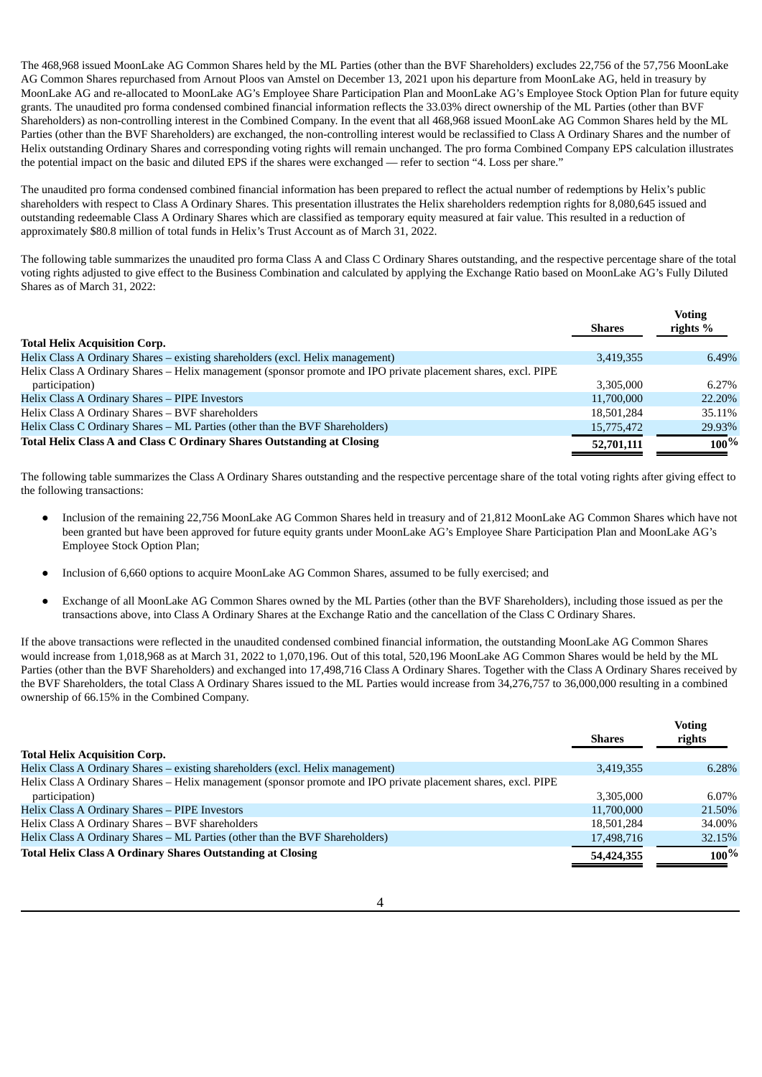The 468,968 issued MoonLake AG Common Shares held by the ML Parties (other than the BVF Shareholders) excludes 22,756 of the 57,756 MoonLake AG Common Shares repurchased from Arnout Ploos van Amstel on December 13, 2021 upon his departure from MoonLake AG, held in treasury by MoonLake AG and re-allocated to MoonLake AG's Employee Share Participation Plan and MoonLake AG's Employee Stock Option Plan for future equity grants. The unaudited pro forma condensed combined financial information reflects the 33.03% direct ownership of the ML Parties (other than BVF Shareholders) as non-controlling interest in the Combined Company. In the event that all 468,968 issued MoonLake AG Common Shares held by the ML Parties (other than the BVF Shareholders) are exchanged, the non-controlling interest would be reclassified to Class A Ordinary Shares and the number of Helix outstanding Ordinary Shares and corresponding voting rights will remain unchanged. The pro forma Combined Company EPS calculation illustrates the potential impact on the basic and diluted EPS if the shares were exchanged — refer to section "4. Loss per share."

The unaudited pro forma condensed combined financial information has been prepared to reflect the actual number of redemptions by Helix's public shareholders with respect to Class A Ordinary Shares. This presentation illustrates the Helix shareholders redemption rights for 8,080,645 issued and outstanding redeemable Class A Ordinary Shares which are classified as temporary equity measured at fair value. This resulted in a reduction of approximately \$80.8 million of total funds in Helix's Trust Account as of March 31, 2022.

The following table summarizes the unaudited pro forma Class A and Class C Ordinary Shares outstanding, and the respective percentage share of the total voting rights adjusted to give effect to the Business Combination and calculated by applying the Exchange Ratio based on MoonLake AG's Fully Diluted Shares as of March 31, 2022:

|                                                                                                                | <b>Shares</b> | <b>Voting</b><br>rights $%$ |
|----------------------------------------------------------------------------------------------------------------|---------------|-----------------------------|
| <b>Total Helix Acquisition Corp.</b>                                                                           |               |                             |
| Helix Class A Ordinary Shares - existing shareholders (excl. Helix management)                                 | 3,419,355     | 6.49%                       |
| Helix Class A Ordinary Shares – Helix management (sponsor promote and IPO private placement shares, excl. PIPE |               |                             |
| participation)                                                                                                 | 3.305.000     | 6.27%                       |
| Helix Class A Ordinary Shares - PIPE Investors                                                                 | 11,700,000    | 22.20%                      |
| Helix Class A Ordinary Shares - BVF shareholders                                                               | 18,501,284    | 35.11%                      |
| Helix Class C Ordinary Shares - ML Parties (other than the BVF Shareholders)                                   | 15,775,472    | 29.93%                      |
| Total Helix Class A and Class C Ordinary Shares Outstanding at Closing                                         | 52,701,111    | $100\%$                     |

The following table summarizes the Class A Ordinary Shares outstanding and the respective percentage share of the total voting rights after giving effect to the following transactions:

- Inclusion of the remaining 22,756 MoonLake AG Common Shares held in treasury and of 21,812 MoonLake AG Common Shares which have not been granted but have been approved for future equity grants under MoonLake AG's Employee Share Participation Plan and MoonLake AG's Employee Stock Option Plan;
- Inclusion of 6,660 options to acquire MoonLake AG Common Shares, assumed to be fully exercised; and
- Exchange of all MoonLake AG Common Shares owned by the ML Parties (other than the BVF Shareholders), including those issued as per the transactions above, into Class A Ordinary Shares at the Exchange Ratio and the cancellation of the Class C Ordinary Shares.

If the above transactions were reflected in the unaudited condensed combined financial information, the outstanding MoonLake AG Common Shares would increase from 1,018,968 as at March 31, 2022 to 1,070,196. Out of this total, 520,196 MoonLake AG Common Shares would be held by the ML Parties (other than the BVF Shareholders) and exchanged into 17,498,716 Class A Ordinary Shares. Together with the Class A Ordinary Shares received by the BVF Shareholders, the total Class A Ordinary Shares issued to the ML Parties would increase from 34,276,757 to 36,000,000 resulting in a combined ownership of 66.15% in the Combined Company.

**Voting**

|                                                                                                                | <b>Shares</b> | VULILLY<br>rights |
|----------------------------------------------------------------------------------------------------------------|---------------|-------------------|
| <b>Total Helix Acquisition Corp.</b>                                                                           |               |                   |
| Helix Class A Ordinary Shares – existing shareholders (excl. Helix management)                                 | 3.419.355     | 6.28%             |
| Helix Class A Ordinary Shares – Helix management (sponsor promote and IPO private placement shares, excl. PIPE |               |                   |
| participation)                                                                                                 | 3.305.000     | 6.07%             |
| Helix Class A Ordinary Shares - PIPE Investors                                                                 | 11,700,000    | 21.50%            |
| Helix Class A Ordinary Shares - BVF shareholders                                                               | 18,501,284    | 34.00%            |
| Helix Class A Ordinary Shares – ML Parties (other than the BVF Shareholders)                                   | 17,498,716    | 32.15%            |
| <b>Total Helix Class A Ordinary Shares Outstanding at Closing</b>                                              | 54,424,355    | $100\%$           |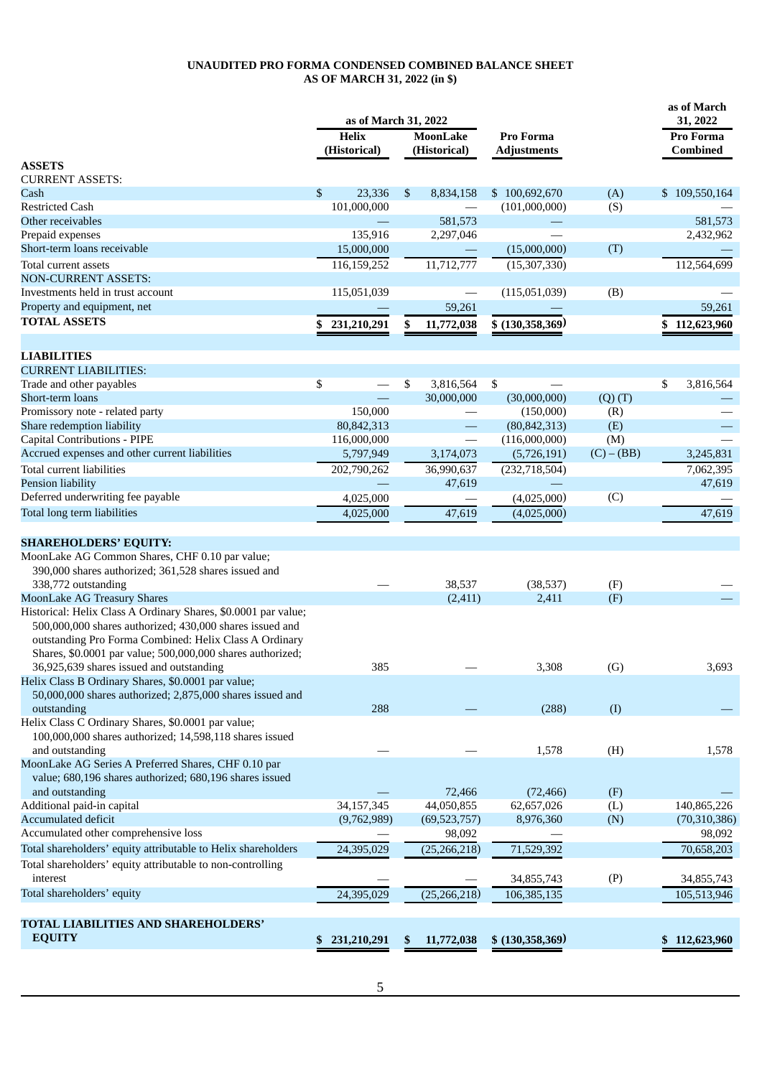# **UNAUDITED PRO FORMA CONDENSED COMBINED BALANCE SHEET AS OF MARCH 31, 2022 (in \$)**

|                                                                | as of March 31, 2022         |                                |                                 | as of March<br>31, 2022 |                              |  |
|----------------------------------------------------------------|------------------------------|--------------------------------|---------------------------------|-------------------------|------------------------------|--|
|                                                                | <b>Helix</b><br>(Historical) | MoonLake<br>(Historical)       | Pro Forma<br><b>Adjustments</b> |                         | Pro Forma<br><b>Combined</b> |  |
| <b>ASSETS</b>                                                  |                              |                                |                                 |                         |                              |  |
| <b>CURRENT ASSETS:</b>                                         |                              |                                |                                 |                         |                              |  |
| Cash                                                           | \$<br>23,336                 | \$<br>8,834,158                | \$100,692,670                   | (A)                     | \$109,550,164                |  |
| <b>Restricted Cash</b>                                         | 101,000,000                  |                                | (101,000,000)                   | (S)                     |                              |  |
| Other receivables                                              |                              | 581,573                        |                                 |                         | 581,573                      |  |
| Prepaid expenses                                               | 135,916                      | 2,297,046                      |                                 |                         | 2,432,962                    |  |
| Short-term loans receivable                                    | 15,000,000                   |                                | (15,000,000)                    | (T)                     |                              |  |
| Total current assets                                           | 116,159,252                  | 11,712,777                     | (15, 307, 330)                  |                         | 112,564,699                  |  |
| <b>NON-CURRENT ASSETS:</b>                                     |                              |                                |                                 |                         |                              |  |
| Investments held in trust account                              | 115,051,039                  |                                | (115,051,039)                   | (B)                     |                              |  |
| Property and equipment, net                                    |                              | 59,261                         |                                 |                         | 59,261                       |  |
| <b>TOTAL ASSETS</b>                                            | 231,210,291                  | \$<br>11,772,038               | \$(130,358,369)                 |                         | 112,623,960<br>\$            |  |
|                                                                |                              |                                |                                 |                         |                              |  |
| <b>LIABILITIES</b>                                             |                              |                                |                                 |                         |                              |  |
| <b>CURRENT LIABILITIES:</b>                                    |                              |                                |                                 |                         |                              |  |
| Trade and other payables                                       | \$                           | \$<br>3,816,564                | \$                              |                         | \$<br>3,816,564              |  |
| Short-term loans                                               |                              | 30,000,000                     | (30,000,000)                    | $(Q)$ $(T)$             |                              |  |
| Promissory note - related party                                | 150,000                      |                                | (150,000)                       | (R)                     |                              |  |
| Share redemption liability                                     | 80,842,313                   | $\qquad \qquad -$              | (80, 842, 313)                  | (E)                     |                              |  |
| Capital Contributions - PIPE                                   | 116,000,000                  | $\overbrace{\phantom{123321}}$ | (116,000,000)                   | (M)                     |                              |  |
| Accrued expenses and other current liabilities                 | 5,797,949                    | 3,174,073                      | (5,726,191)                     | $(C) - (BB)$            | 3,245,831                    |  |
| Total current liabilities                                      | 202,790,262                  | 36,990,637                     | (232, 718, 504)                 |                         | 7,062,395                    |  |
| Pension liability                                              |                              | 47,619                         |                                 |                         | 47,619                       |  |
| Deferred underwriting fee payable                              | 4,025,000                    |                                | (4,025,000)                     | (C)                     |                              |  |
| Total long term liabilities                                    | 4,025,000                    | 47,619                         | (4,025,000)                     |                         | 47,619                       |  |
|                                                                |                              |                                |                                 |                         |                              |  |
| <b>SHAREHOLDERS' EQUITY:</b>                                   |                              |                                |                                 |                         |                              |  |
| MoonLake AG Common Shares, CHF 0.10 par value;                 |                              |                                |                                 |                         |                              |  |
| 390,000 shares authorized; 361,528 shares issued and           |                              |                                |                                 |                         |                              |  |
| 338,772 outstanding                                            |                              | 38,537                         | (38,537)                        | (F)                     |                              |  |
| <b>MoonLake AG Treasury Shares</b>                             |                              | (2, 411)                       | 2,411                           | (F)                     |                              |  |
| Historical: Helix Class A Ordinary Shares, \$0.0001 par value; |                              |                                |                                 |                         |                              |  |
| 500,000,000 shares authorized; 430,000 shares issued and       |                              |                                |                                 |                         |                              |  |
| outstanding Pro Forma Combined: Helix Class A Ordinary         |                              |                                |                                 |                         |                              |  |
| Shares, \$0.0001 par value; 500,000,000 shares authorized;     |                              |                                |                                 |                         |                              |  |
| 36,925,639 shares issued and outstanding                       | 385                          |                                | 3,308                           | (G)                     | 3,693                        |  |
| Helix Class B Ordinary Shares, \$0.0001 par value;             |                              |                                |                                 |                         |                              |  |
| 50,000,000 shares authorized; 2,875,000 shares issued and      |                              |                                |                                 |                         |                              |  |
| outstanding                                                    | 288                          |                                | (288)                           | (I)                     |                              |  |
| Helix Class C Ordinary Shares, \$0.0001 par value;             |                              |                                |                                 |                         |                              |  |
| 100,000,000 shares authorized; 14,598,118 shares issued        |                              |                                |                                 |                         |                              |  |
| and outstanding                                                |                              |                                | 1,578                           | (H)                     | 1,578                        |  |
| MoonLake AG Series A Preferred Shares, CHF 0.10 par            |                              |                                |                                 |                         |                              |  |
| value; 680,196 shares authorized; 680,196 shares issued        |                              |                                |                                 |                         |                              |  |
| and outstanding                                                |                              | 72,466                         | (72, 466)                       | (F)                     |                              |  |
| Additional paid-in capital                                     | 34,157,345                   | 44,050,855                     | 62,657,026                      | (L)                     | 140,865,226                  |  |
| <b>Accumulated deficit</b>                                     | (9,762,989)                  | (69, 523, 757)                 | 8,976,360                       | (N)                     | (70, 310, 386)               |  |
| Accumulated other comprehensive loss                           |                              | 98,092                         |                                 |                         | 98,092                       |  |
| Total shareholders' equity attributable to Helix shareholders  | 24,395,029                   | (25, 266, 218)                 | 71,529,392                      |                         | 70,658,203                   |  |
| Total shareholders' equity attributable to non-controlling     |                              |                                |                                 |                         |                              |  |
| interest                                                       |                              |                                | 34,855,743                      | (P)                     | 34,855,743                   |  |
| Total shareholders' equity                                     | 24,395,029                   | (25, 266, 218)                 | 106,385,135                     |                         | 105,513,946                  |  |
|                                                                |                              |                                |                                 |                         |                              |  |
| TOTAL LIABILITIES AND SHAREHOLDERS'                            |                              |                                |                                 |                         |                              |  |
| <b>EQUITY</b>                                                  | \$231,210,291                | \$<br>11,772,038               | \$(130,358,369)                 |                         | \$112,623,960                |  |
|                                                                |                              |                                |                                 |                         |                              |  |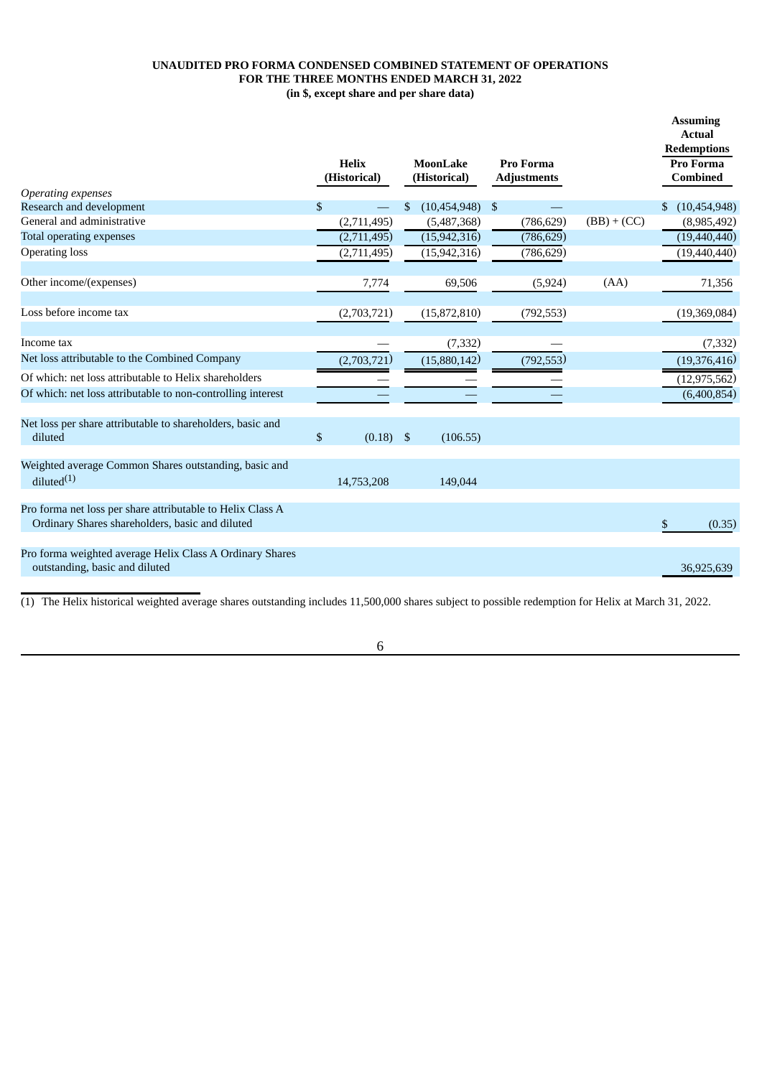# **UNAUDITED PRO FORMA CONDENSED COMBINED STATEMENT OF OPERATIONS FOR THE THREE MONTHS ENDED MARCH 31, 2022 (in \$, except share and per share data)**

|                                                                                                               | <b>Helix</b><br>(Historical) |     | MoonLake<br>(Historical) | <b>Pro Forma</b><br><b>Adjustments</b> |               |     | <b>Assuming</b><br><b>Actual</b><br><b>Redemptions</b><br>Pro Forma<br><b>Combined</b> |
|---------------------------------------------------------------------------------------------------------------|------------------------------|-----|--------------------------|----------------------------------------|---------------|-----|----------------------------------------------------------------------------------------|
| Operating expenses                                                                                            |                              |     |                          |                                        |               |     |                                                                                        |
| Research and development<br>General and administrative                                                        | \$                           | \$. | (10, 454, 948)           | \$                                     |               | \$. | (10, 454, 948)                                                                         |
|                                                                                                               | (2,711,495)                  |     | (5,487,368)              | (786, 629)                             | $(BB) + (CC)$ |     | (8,985,492)                                                                            |
| <b>Total operating expenses</b>                                                                               | (2,711,495)                  |     | (15, 942, 316)           | (786, 629)                             |               |     | (19, 440, 440)                                                                         |
| <b>Operating loss</b>                                                                                         | (2,711,495)                  |     | (15, 942, 316)           | (786, 629)                             |               |     | (19, 440, 440)                                                                         |
| Other income/(expenses)                                                                                       | 7,774                        |     | 69,506                   | (5, 924)                               | (AA)          |     | 71,356                                                                                 |
| Loss before income tax                                                                                        | (2,703,721)                  |     | (15,872,810)             | (792, 553)                             |               |     | (19,369,084)                                                                           |
| Income tax                                                                                                    |                              |     | (7, 332)                 |                                        |               |     | (7, 332)                                                                               |
| Net loss attributable to the Combined Company                                                                 | (2,703,721)                  |     | (15,880,142)             | (792, 553)                             |               |     | (19,376,416)                                                                           |
| Of which: net loss attributable to Helix shareholders                                                         |                              |     |                          |                                        |               |     | (12, 975, 562)                                                                         |
| Of which: net loss attributable to non-controlling interest                                                   |                              |     |                          |                                        |               |     | (6,400,854)                                                                            |
| Net loss per share attributable to shareholders, basic and<br>diluted                                         | \$<br>(0.18)                 | \$  | (106.55)                 |                                        |               |     |                                                                                        |
| Weighted average Common Shares outstanding, basic and<br>diluted <sup>(1)</sup>                               | 14,753,208                   |     | 149,044                  |                                        |               |     |                                                                                        |
| Pro forma net loss per share attributable to Helix Class A<br>Ordinary Shares shareholders, basic and diluted |                              |     |                          |                                        |               | \$  | (0.35)                                                                                 |
| Pro forma weighted average Helix Class A Ordinary Shares<br>outstanding, basic and diluted                    |                              |     |                          |                                        |               |     | 36.925.639                                                                             |

(1) The Helix historical weighted average shares outstanding includes 11,500,000 shares subject to possible redemption for Helix at March 31, 2022.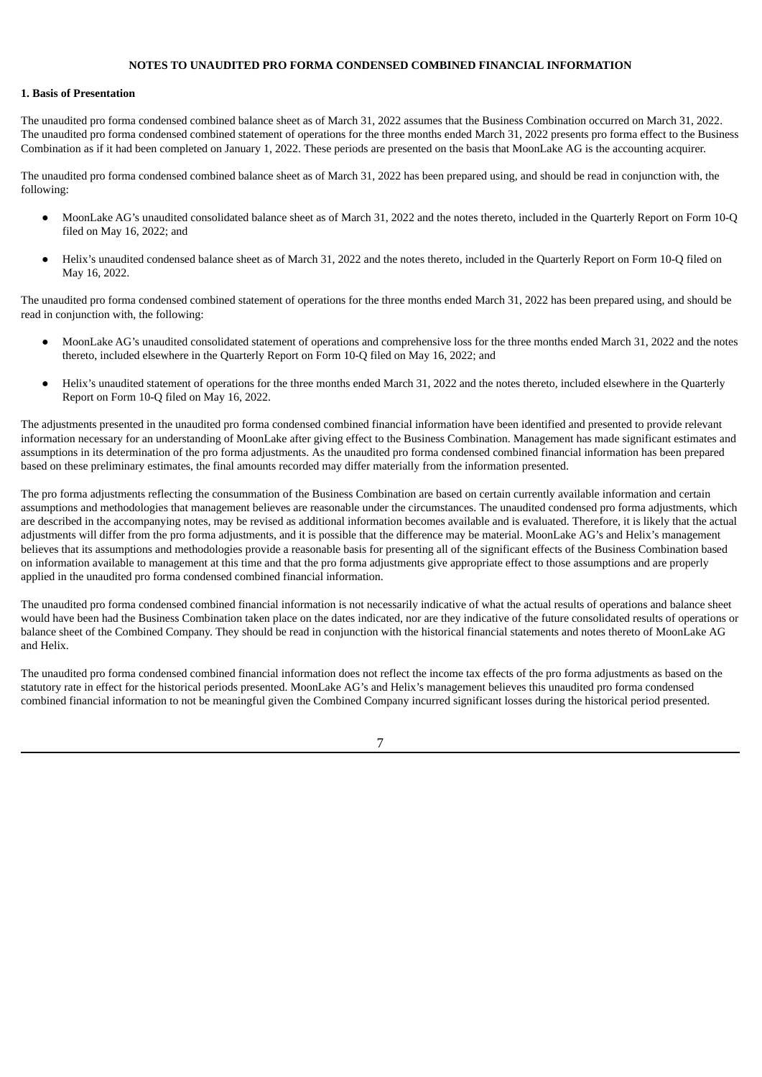#### **NOTES TO UNAUDITED PRO FORMA CONDENSED COMBINED FINANCIAL INFORMATION**

## **1. Basis of Presentation**

The unaudited pro forma condensed combined balance sheet as of March 31, 2022 assumes that the Business Combination occurred on March 31, 2022. The unaudited pro forma condensed combined statement of operations for the three months ended March 31, 2022 presents pro forma effect to the Business Combination as if it had been completed on January 1, 2022. These periods are presented on the basis that MoonLake AG is the accounting acquirer.

The unaudited pro forma condensed combined balance sheet as of March 31, 2022 has been prepared using, and should be read in conjunction with, the following:

- MoonLake AG's unaudited consolidated balance sheet as of March 31, 2022 and the notes thereto, included in the Quarterly Report on Form 10-Q filed on May 16, 2022; and
- Helix's unaudited condensed balance sheet as of March 31, 2022 and the notes thereto, included in the Quarterly Report on Form 10-Q filed on May 16, 2022.

The unaudited pro forma condensed combined statement of operations for the three months ended March 31, 2022 has been prepared using, and should be read in conjunction with, the following:

- MoonLake AG's unaudited consolidated statement of operations and comprehensive loss for the three months ended March 31, 2022 and the notes thereto, included elsewhere in the Quarterly Report on Form 10-Q filed on May 16, 2022; and
- Helix's unaudited statement of operations for the three months ended March 31, 2022 and the notes thereto, included elsewhere in the Quarterly Report on Form 10-Q filed on May 16, 2022.

The adjustments presented in the unaudited pro forma condensed combined financial information have been identified and presented to provide relevant information necessary for an understanding of MoonLake after giving effect to the Business Combination. Management has made significant estimates and assumptions in its determination of the pro forma adjustments. As the unaudited pro forma condensed combined financial information has been prepared based on these preliminary estimates, the final amounts recorded may differ materially from the information presented.

The pro forma adjustments reflecting the consummation of the Business Combination are based on certain currently available information and certain assumptions and methodologies that management believes are reasonable under the circumstances. The unaudited condensed pro forma adjustments, which are described in the accompanying notes, may be revised as additional information becomes available and is evaluated. Therefore, it is likely that the actual adjustments will differ from the pro forma adjustments, and it is possible that the difference may be material. MoonLake AG's and Helix's management believes that its assumptions and methodologies provide a reasonable basis for presenting all of the significant effects of the Business Combination based on information available to management at this time and that the pro forma adjustments give appropriate effect to those assumptions and are properly applied in the unaudited pro forma condensed combined financial information.

The unaudited pro forma condensed combined financial information is not necessarily indicative of what the actual results of operations and balance sheet would have been had the Business Combination taken place on the dates indicated, nor are they indicative of the future consolidated results of operations or balance sheet of the Combined Company. They should be read in conjunction with the historical financial statements and notes thereto of MoonLake AG and Helix.

The unaudited pro forma condensed combined financial information does not reflect the income tax effects of the pro forma adjustments as based on the statutory rate in effect for the historical periods presented. MoonLake AG's and Helix's management believes this unaudited pro forma condensed combined financial information to not be meaningful given the Combined Company incurred significant losses during the historical period presented.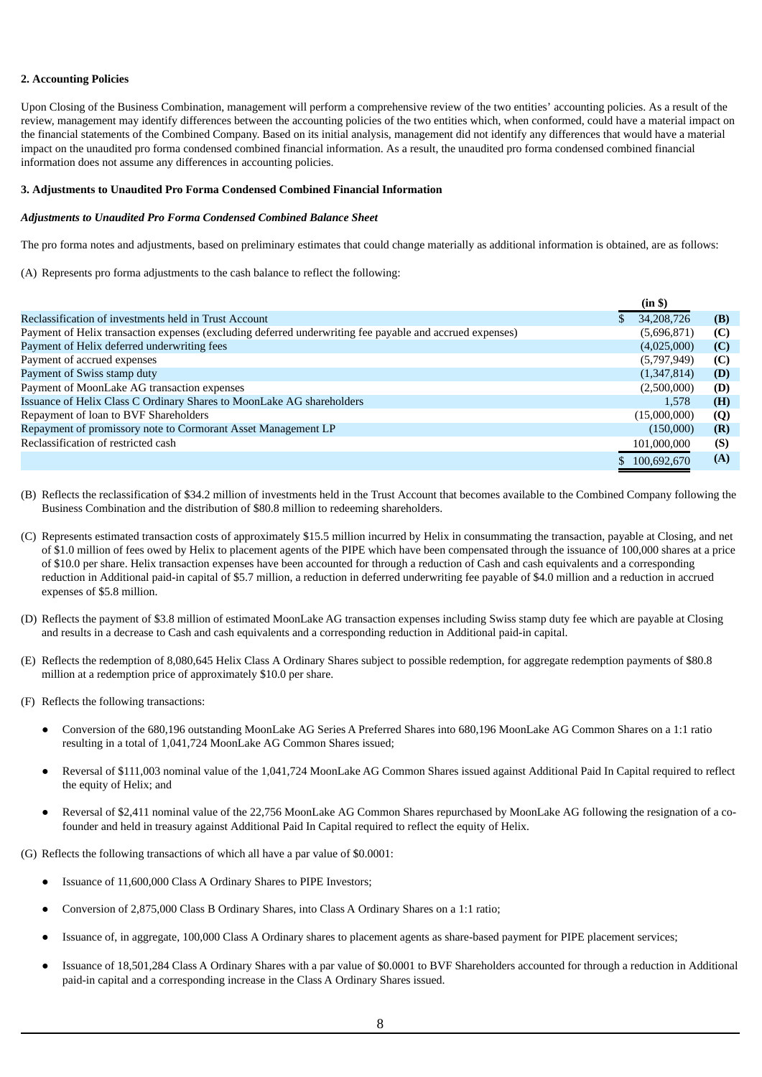# **2. Accounting Policies**

Upon Closing of the Business Combination, management will perform a comprehensive review of the two entities' accounting policies. As a result of the review, management may identify differences between the accounting policies of the two entities which, when conformed, could have a material impact on the financial statements of the Combined Company. Based on its initial analysis, management did not identify any differences that would have a material impact on the unaudited pro forma condensed combined financial information. As a result, the unaudited pro forma condensed combined financial information does not assume any differences in accounting policies.

#### **3. Adjustments to Unaudited Pro Forma Condensed Combined Financial Information**

#### *Adjustments to Unaudited Pro Forma Condensed Combined Balance Sheet*

The pro forma notes and adjustments, based on preliminary estimates that could change materially as additional information is obtained, are as follows:

(A) Represents pro forma adjustments to the cash balance to reflect the following:

|                                                                                                          | (in \$)      |     |
|----------------------------------------------------------------------------------------------------------|--------------|-----|
| Reclassification of investments held in Trust Account                                                    | 34,208,726   | (B) |
| Payment of Helix transaction expenses (excluding deferred underwriting fee payable and accrued expenses) | (5,696,871)  | (C) |
| Payment of Helix deferred underwriting fees                                                              | (4,025,000)  | (C) |
| Payment of accrued expenses                                                                              | (5,797,949)  | (C) |
| Payment of Swiss stamp duty                                                                              | (1,347,814)  | (D) |
| Payment of MoonLake AG transaction expenses                                                              | (2,500,000)  | (D) |
| Issuance of Helix Class C Ordinary Shares to MoonLake AG shareholders                                    | 1.578        | (H) |
| Repayment of loan to BVF Shareholders                                                                    | (15,000,000) | (Q) |
| Repayment of promissory note to Cormorant Asset Management LP                                            | (150,000)    | (R) |
| Reclassification of restricted cash                                                                      | 101,000,000  | (S) |
|                                                                                                          | 100.692.670  | (A) |

- (B) Reflects the reclassification of \$34.2 million of investments held in the Trust Account that becomes available to the Combined Company following the Business Combination and the distribution of \$80.8 million to redeeming shareholders.
- (C) Represents estimated transaction costs of approximately \$15.5 million incurred by Helix in consummating the transaction, payable at Closing, and net of \$1.0 million of fees owed by Helix to placement agents of the PIPE which have been compensated through the issuance of 100,000 shares at a price of \$10.0 per share. Helix transaction expenses have been accounted for through a reduction of Cash and cash equivalents and a corresponding reduction in Additional paid-in capital of \$5.7 million, a reduction in deferred underwriting fee payable of \$4.0 million and a reduction in accrued expenses of \$5.8 million.
- (D) Reflects the payment of \$3.8 million of estimated MoonLake AG transaction expenses including Swiss stamp duty fee which are payable at Closing and results in a decrease to Cash and cash equivalents and a corresponding reduction in Additional paid-in capital.
- (E) Reflects the redemption of 8,080,645 Helix Class A Ordinary Shares subject to possible redemption, for aggregate redemption payments of \$80.8 million at a redemption price of approximately \$10.0 per share.
- (F) Reflects the following transactions:
	- Conversion of the 680,196 outstanding MoonLake AG Series A Preferred Shares into 680,196 MoonLake AG Common Shares on a 1:1 ratio resulting in a total of 1,041,724 MoonLake AG Common Shares issued;
	- Reversal of \$111,003 nominal value of the 1,041,724 MoonLake AG Common Shares issued against Additional Paid In Capital required to reflect the equity of Helix; and
	- Reversal of \$2,411 nominal value of the 22,756 MoonLake AG Common Shares repurchased by MoonLake AG following the resignation of a cofounder and held in treasury against Additional Paid In Capital required to reflect the equity of Helix.

(G) Reflects the following transactions of which all have a par value of \$0.0001:

- Issuance of 11,600,000 Class A Ordinary Shares to PIPE Investors;
- Conversion of 2,875,000 Class B Ordinary Shares, into Class A Ordinary Shares on a 1:1 ratio;
- Issuance of, in aggregate, 100,000 Class A Ordinary shares to placement agents as share-based payment for PIPE placement services;
- Issuance of 18,501,284 Class A Ordinary Shares with a par value of \$0,0001 to BVF Shareholders accounted for through a reduction in Additional paid-in capital and a corresponding increase in the Class A Ordinary Shares issued.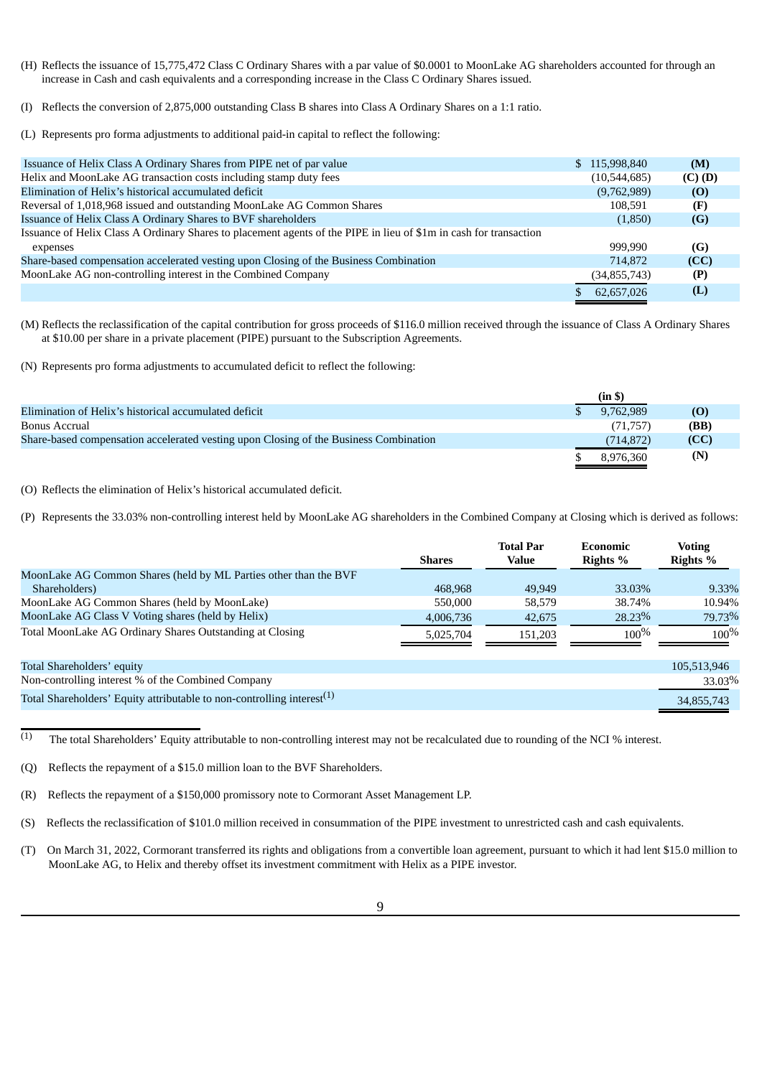- (H) Reflects the issuance of 15,775,472 Class C Ordinary Shares with a par value of \$0.0001 to MoonLake AG shareholders accounted for through an increase in Cash and cash equivalents and a corresponding increase in the Class C Ordinary Shares issued.
- (I) Reflects the conversion of 2,875,000 outstanding Class B shares into Class A Ordinary Shares on a 1:1 ratio.
- (L) Represents pro forma adjustments to additional paid-in capital to reflect the following:

|                | (M)           |
|----------------|---------------|
| (10,544,685)   | $(C)$ $(D)$   |
| (9,762,989)    | (0)           |
| 108.591        | (F)           |
| (1,850)        | (G)           |
|                |               |
| 999.990        | (G)           |
| 714,872        | (CC)          |
| (34, 855, 743) | (P)           |
| 62,657,026     | (L)           |
|                | \$115,998,840 |

(M) Reflects the reclassification of the capital contribution for gross proceeds of \$116.0 million received through the issuance of Class A Ordinary Shares at \$10.00 per share in a private placement (PIPE) pursuant to the Subscription Agreements.

(N) Represents pro forma adjustments to accumulated deficit to reflect the following:

|                                                                                       | (in \$)   |      |
|---------------------------------------------------------------------------------------|-----------|------|
| Elimination of Helix's historical accumulated deficit                                 | 9.762.989 | (0)  |
| Bonus Accrual                                                                         | (71, 757) | (BB) |
| Share-based compensation accelerated vesting upon Closing of the Business Combination | (714.872) | (CC) |
|                                                                                       | 8.976.360 | (N)  |

(O) Reflects the elimination of Helix's historical accumulated deficit.

(P) Represents the 33.03% non-controlling interest held by MoonLake AG shareholders in the Combined Company at Closing which is derived as follows:

|                                                                           | <b>Shares</b> | <b>Total Par</b><br>Value | Economic<br>Rights % | <b>Voting</b><br>Rights % |
|---------------------------------------------------------------------------|---------------|---------------------------|----------------------|---------------------------|
| MoonLake AG Common Shares (held by ML Parties other than the BVF          |               |                           |                      |                           |
| Shareholders)                                                             | 468,968       | 49,949                    | 33.03%               | 9.33%                     |
| MoonLake AG Common Shares (held by MoonLake)                              | 550,000       | 58,579                    | 38.74%               | 10.94%                    |
| MoonLake AG Class V Voting shares (held by Helix)                         | 4,006,736     | 42,675                    | 28.23%               | 79.73%                    |
| Total MoonLake AG Ordinary Shares Outstanding at Closing                  | 5,025,704     | 151.203                   | $100\%$              | $100\%$                   |
| Total Shareholders' equity                                                |               |                           |                      | 105,513,946               |
| Non-controlling interest % of the Combined Company                        |               |                           |                      | 33.03%                    |
| Total Shareholders' Equity attributable to non-controlling interest $(1)$ |               |                           |                      | 34,855,743                |

 $\overline{c}$ <sup>(1)</sup> The total Shareholders' Equity attributable to non-controlling interest may not be recalculated due to rounding of the NCI % interest.

(Q) Reflects the repayment of a \$15.0 million loan to the BVF Shareholders.

(R) Reflects the repayment of a \$150,000 promissory note to Cormorant Asset Management LP.

(S) Reflects the reclassification of \$101.0 million received in consummation of the PIPE investment to unrestricted cash and cash equivalents.

(T) On March 31, 2022, Cormorant transferred its rights and obligations from a convertible loan agreement, pursuant to which it had lent \$15.0 million to MoonLake AG, to Helix and thereby offset its investment commitment with Helix as a PIPE investor.